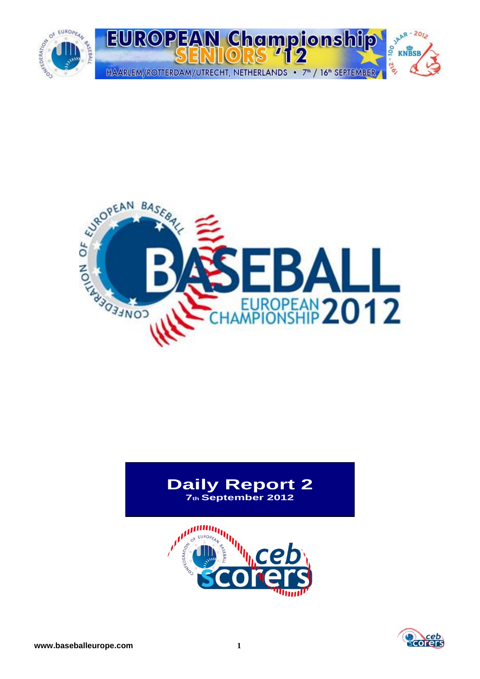



# **Daily Report 2 7th September 2012**



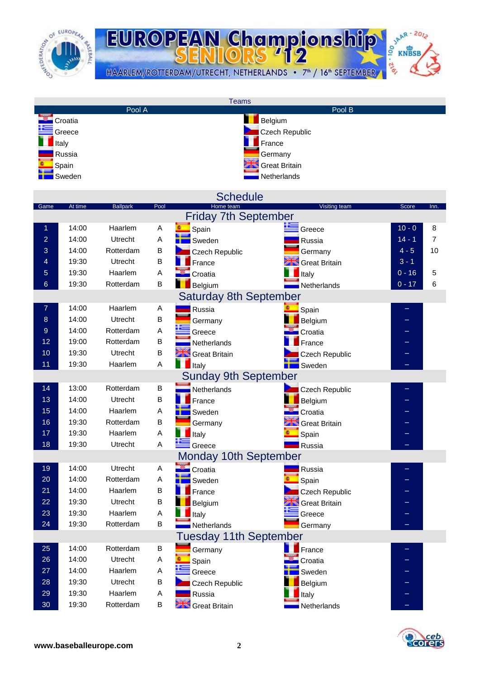

SAAR-2012 EUROPEAN Championship **DI-2'e** HAARLEM/ROTTERDAM/UTRECHT, NETHERLANDS • 7<sup>th</sup> / 16<sup>th</sup> SEPTEMBER

|                |         |                 |                           | <b>Teams</b>                  |                      |          |      |
|----------------|---------|-----------------|---------------------------|-------------------------------|----------------------|----------|------|
|                |         | Pool A          |                           |                               | Pool B               |          |      |
|                | Croatia |                 |                           |                               | Belgium              |          |      |
|                | Greece  |                 |                           |                               | Czech Republic       |          |      |
|                | Italy   |                 |                           |                               | France               |          |      |
|                | Russia  |                 |                           |                               | Germany              |          |      |
|                | Spain   |                 |                           |                               | <b>Great Britain</b> |          |      |
|                |         |                 |                           |                               |                      |          |      |
|                | Sweden  |                 |                           |                               | Netherlands          |          |      |
|                |         |                 |                           |                               |                      |          |      |
|                | At time |                 | Pool                      | <b>Schedule</b><br>Home team  |                      | Score    |      |
| Game           |         | <b>Ballpark</b> |                           | <b>Friday 7th September</b>   | Visiting team        |          | Inn. |
|                |         |                 |                           |                               |                      |          |      |
| 1              | 14:00   | Haarlem         | A                         | Spain                         | Greece               | $10 - 0$ | 8    |
| $\overline{2}$ | 14:00   | Utrecht         | A                         | Sweden                        | Russia               | $14 - 1$ | 7    |
| 3              | 14:00   | Rotterdam       | B                         | Czech Republic                | Germany              | $4 - 5$  | 10   |
| 4              | 19:30   | Utrecht         | B                         | France                        | Great Britain        | $3 - 1$  |      |
| 5              | 19:30   | Haarlem         | Α                         | Croatia                       | Italy                | $0 - 16$ | 5    |
| $6\phantom{1}$ | 19:30   | Rotterdam       | B                         | Belgium                       | Netherlands          | $0 - 17$ | 6    |
|                |         |                 |                           | <b>Saturday 8th September</b> |                      |          |      |
| 7              | 14:00   | Haarlem         | Α                         |                               |                      |          |      |
|                |         |                 |                           | Russia                        | Spain                |          |      |
| 8              | 14:00   | Utrecht         | B                         | Germany                       | Belgium              |          |      |
| 9              | 14:00   | Rotterdam       | A                         | Greece                        | Croatia              |          |      |
| 12             | 19:00   | Rotterdam       | B                         | Netherlands                   | France               | -        |      |
| 10             | 19:30   | Utrecht         | B                         | <b>Creat Britain</b>          | Czech Republic       |          |      |
| 11             | 19:30   | Haarlem         | A                         | $\blacksquare$ Italy          | Sweden               |          |      |
|                |         |                 |                           | <b>Sunday 9th September</b>   |                      |          |      |
| 14             | 13:00   | Rotterdam       | B                         | Netherlands                   | Czech Republic       |          |      |
| 13             | 14:00   | Utrecht         | B                         | France                        | Belgium              |          |      |
| 15             | 14:00   | Haarlem         | A                         | Sweden                        | Croatia              | -        |      |
| 16             | 19:30   | Rotterdam       | B                         |                               |                      |          |      |
|                |         |                 |                           | Germany                       | <b>Great Britain</b> |          |      |
| 17             | 19:30   | Haarlem         | $\boldsymbol{\mathsf{A}}$ | Italy                         | Spain                |          |      |
| 18             | 19:30   | Utrecht         | A                         | Greece                        | Russia               |          |      |
|                |         |                 |                           | <b>Monday 10th September</b>  |                      |          |      |
| 19             | 14:00   | Utrecht         | Α                         | Croatia                       | Russia               |          |      |
| 20             | 14:00   | Rotterdam       | Α                         | Sweden                        | Spain                |          |      |
| 21             | 14:00   | Haarlem         | B                         | France                        | Czech Republic       |          |      |
| 22             | 19:30   | Utrecht         | B                         | Belgium                       | <b>Great Britain</b> |          |      |
| 23             | 19:30   | Haarlem         | A                         | Italy                         | Greece               |          |      |
| 24             | 19:30   | Rotterdam       | $\sf B$                   | Netherlands                   | Germany              |          |      |
|                |         |                 |                           |                               |                      |          |      |
|                |         |                 |                           | <b>Tuesday 11th September</b> |                      |          |      |
| 25             | 14:00   | Rotterdam       | B                         | Germany                       | France               |          |      |
| $26\,$         | 14:00   | Utrecht         | Α                         | Spain                         | Croatia              |          |      |
| 27             | 14:00   | Haarlem         | Α                         | Greece                        | Sweden               |          |      |
| 28             | 19:30   | Utrecht         | B                         | Czech Republic                | Belgium              |          |      |
| 29             | 19:30   | Haarlem         | Α                         | Russia                        | Italy                |          |      |
| 30             | 19:30   | Rotterdam       | B                         | <b>State</b> Great Britain    | Netherlands          |          |      |
|                |         |                 |                           |                               |                      |          |      |

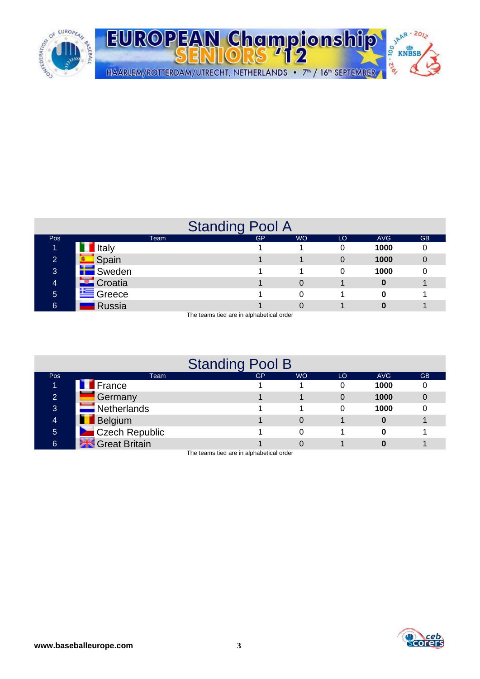

|                |                 | <b>Standing Pool A</b> |           |    |            |           |
|----------------|-----------------|------------------------|-----------|----|------------|-----------|
| <b>Pos</b>     | Team            | <b>GP</b>              | <b>WO</b> | LO | <b>AVG</b> | <b>GB</b> |
| ъ              | <b>Italy</b>    |                        |           |    | 1000       |           |
| $\overline{2}$ | $\Box$ Spain    |                        |           | 0  | 1000       |           |
| 3              | <b>E</b> Sweden |                        |           | 0  | 1000       |           |
| 4              | <b>Croatia</b>  |                        | 0         |    |            |           |
| $\sqrt{5}$     | Greece          |                        | 0         |    |            |           |
| 6              | <b>Russia</b>   |                        |           |    |            |           |

The teams tied are in alphabetical order

|                |                            | <b>Standing Pool B</b>                   |           |    |            |           |
|----------------|----------------------------|------------------------------------------|-----------|----|------------|-----------|
| <b>Pos</b>     | Team                       | <b>GP</b>                                | <b>WO</b> | LO | <b>AVG</b> | <b>GB</b> |
|                | <b>France</b>              |                                          |           |    | 1000       |           |
| $\overline{2}$ | Germany                    |                                          |           |    | 1000       |           |
| 3              | $\blacksquare$ Netherlands |                                          |           |    | 1000       |           |
| 4              | <b>Belgium</b>             |                                          |           |    |            |           |
| $\overline{5}$ | Czech Republic             |                                          | 0         |    |            |           |
| 6              | <b>Stro Great Britain</b>  |                                          |           |    |            |           |
|                |                            | The teams tiad are in alphabetical arder |           |    |            |           |

The teams tied are in alphabetical order



JAAR - 2012

 $\frac{1}{2}$  KNBSB

-216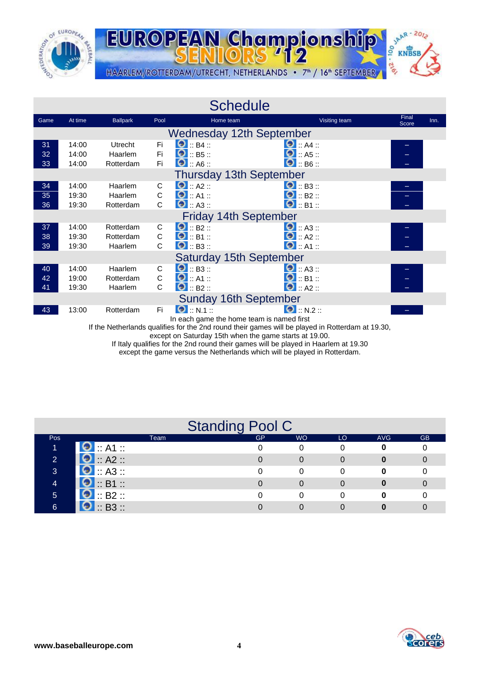



| Final<br>At time<br><b>Ballpark</b><br>Visiting team<br>Game<br>Pool<br>Home team<br>Score                               | Inn. |
|--------------------------------------------------------------------------------------------------------------------------|------|
| <b>Wednesday 12th September</b>                                                                                          |      |
| $\bullet$ :: B4 ::<br>$\bullet$ :: A4 ::<br><b>Utrecht</b><br>Fi.<br>31<br>14:00                                         |      |
| $\bullet$ :: B5 ::<br>$\bullet$ :: A5 ::<br>Fi<br>32<br>14:00<br>Haarlem                                                 |      |
| $\bullet$ :: B6 ::<br>$\bullet$ : A6 ::<br>Fi<br>33<br>14:00<br>Rotterdam                                                |      |
| <b>Thursday 13th September</b>                                                                                           |      |
| $\bigcirc$ :: A2 ::<br>$\bullet$ : B3 ::<br>14:00<br>Haarlem<br>C<br>34                                                  |      |
| $\bullet$ :: A1 ::<br>$\bullet$ :: B2 ::<br>C<br>35<br>19:30<br>Haarlem                                                  |      |
| $\bullet$ :: B1 ::<br>$\bullet$ :: A3 ::<br>$\mathsf{C}$<br>36<br>19:30<br>Rotterdam                                     |      |
| <b>Friday 14th September</b>                                                                                             |      |
| $\Theta$ :: B2 ::<br>$\bullet$ :: A3 ::<br>14:00<br>Rotterdam<br>C<br>37                                                 |      |
| $\bullet$ :: A2 ::<br>$\bigcirc$ :: B1 ::<br>C<br>38<br>19:30<br>Rotterdam                                               |      |
| $\bullet$ :: A1 ::<br>$\bullet$ :: B3 ::<br>C<br>39<br>19:30<br>Haarlem                                                  |      |
| <b>Saturday 15th September</b>                                                                                           |      |
| $\bullet$ :: B3 ::<br>$\bullet$ : A3 ::<br>C<br>40<br>14:00<br>Haarlem                                                   |      |
| $\bullet$ :: A1 ::<br>$\bullet$ :: B1 ::<br>$\mathsf C$<br>42<br>19:00<br>Rotterdam                                      |      |
| $\bullet$ : B2 ::<br>$\bullet$ :: A2 ::<br>C<br>41<br>19:30<br>Haarlem                                                   |      |
| <b>Sunday 16th September</b>                                                                                             |      |
| $\Theta$ :: N.1 ::<br>$\bullet$ :: N.2 ::<br>Fi<br>43<br>13:00<br>Rotterdam<br>In each game the home team is named first |      |

If the Netherlands qualifies for the 2nd round their games will be played in Rotterdam at 19.30,

except on Saturday 15th when the game starts at 19.00.

If Italy qualifies for the 2nd round their games will be played in Haarlem at 19.30

except the game versus the Netherlands which will be played in Rotterdam.

|              |                    | <b>Standing Pool C</b> |           |    |            |           |
|--------------|--------------------|------------------------|-----------|----|------------|-----------|
| <b>Pos</b>   | Team               | <b>GP</b>              | <b>WO</b> | LO | <b>AVG</b> | <b>GB</b> |
|              | $\bullet$ : A1 :   |                        | 0         |    |            |           |
| $\mathbf{2}$ | $\bullet$ :: A2 :: |                        |           |    |            |           |
| 3            | $\bullet$ :: A3 :: |                        |           |    |            |           |
|              | $\bullet$ :: B1 :: |                        |           |    |            |           |
| 5            | $\bullet$ :: B2 :: |                        |           |    |            |           |
| 6            | $\bullet$ :: B3 :: |                        |           |    |            |           |

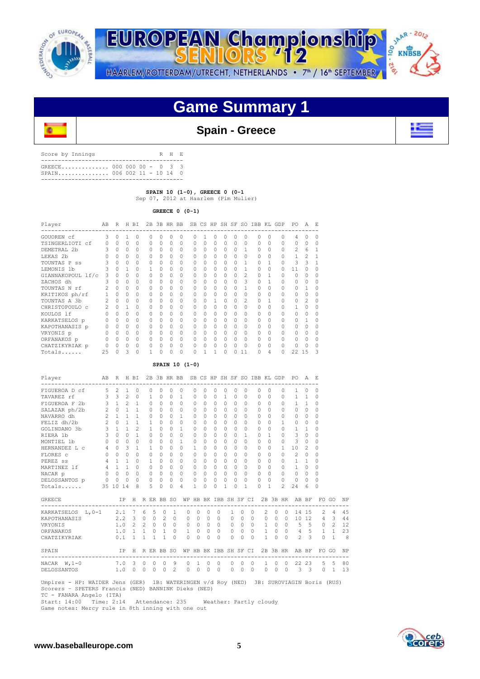



# **Game Summary 1**



## **Spain - Greece**

| Score by Innings                                          |  |  |  | R H E |  |
|-----------------------------------------------------------|--|--|--|-------|--|
| GREECE 000 000 00 - 0 3 3<br>$SPAIN$ 006 002 11 - 10 14 0 |  |  |  |       |  |
|                                                           |  |  |  |       |  |

 **SPAIN 10 (1-0), GREECE 0 (0-1**

Sep 07, 2012 at Haarlem (Pim Mulier)

 **GREECE 0 (0-1)**

| Player            | AB     | R        | Н      | BI       | 2B       |          | 3B HR BB |          | <b>SB</b> |          | CS HP SH SF |           |          |          | SO IBB KL |          | GDP | PO             | A              | E.       |
|-------------------|--------|----------|--------|----------|----------|----------|----------|----------|-----------|----------|-------------|-----------|----------|----------|-----------|----------|-----|----------------|----------------|----------|
| GOUOREN cf        | 3      | $\Omega$ | 1      | $\Omega$ | $\Omega$ | 0        | 0        | $\Omega$ | O         |          | 0           | $\Omega$  | $\Omega$ | O        | $\Omega$  | $\Omega$ | U   | 4              | n              | $\Omega$ |
| TSINGERLIOTI cf   | $\cap$ | $\Omega$ | $\cap$ | $\Omega$ | $\Omega$ | 0        | 0        | $\Omega$ | $\Omega$  | $\Omega$ | $\Omega$    | $\Omega$  | 0        | $\Omega$ | $\Omega$  | $\Omega$ |     | $\Omega$       | O              | $\Omega$ |
| DEMETRAL 2b       | 3      | $\Omega$ | O      |          | O.       | $\Omega$ | U        | 0        | $\cap$    | $\cap$   | $\Omega$    | $\Omega$  | Ω        |          | $\Omega$  |          |     | $\mathfrak{D}$ | 6              |          |
| LEKAS 2b          |        |          |        |          | O.       |          |          | $\Omega$ | $\cap$    | O        | $\Omega$    |           | 0        |          | $\cap$    |          |     |                | $\mathfrak{D}$ |          |
| TOUNTAS P ss      |        | U        | $\cap$ | O        | $\Omega$ | U        | 0        | $\Omega$ | $\cap$    | O        | O           | $\bigcap$ | O        |          | $\cap$    |          |     | ς              | 3              |          |
| LEMONIS 1b        |        | $\Omega$ |        |          |          | 0        | 0        | $\Omega$ | $\cap$    | O        | $\Omega$    | $\cap$    | 0        |          | $\cap$    |          |     | 11             |                | $\Omega$ |
| GIANNAKOPOUL lf/c | 3      | $\Omega$ | $\cap$ |          | $\Omega$ | 0        | 0        | $\Omega$ | $\Omega$  | $\Omega$ | $\Omega$    | $\cap$    | U        | 2        | $\cap$    |          |     | $\cap$         | Λ              | $\Omega$ |
| ZACHOS dh         |        | $\Omega$ | O      |          | O.       | U        | U        | 0        | $\cap$    | O        | O           |           |          | 3        | $\cap$    |          |     | O.             |                | O        |
| TOUNTAS N rf      |        | $\Omega$ | $\cap$ |          | O.       | U        |          |          | $\cap$    |          | O           |           | U        |          | $\Omega$  |          |     | $\cap$         |                | $\Omega$ |
| KRITIKOS ph/rf    |        | $\Omega$ | $\cap$ |          | O.       | U        | O        | O        | $\cap$    | O        | O           | $\cap$    | U        |          | $\cap$    |          |     | $\cap$         |                | $\Omega$ |
| TOUNTAS A 3b      | 2      | O        | $\cap$ |          | O.       | U        | O        | $\Omega$ | $\cap$    | O        |             | $\cap$    | 0        | 2        | $\cap$    |          |     | Λ              | $\mathfrak{D}$ | $\Omega$ |
| CHRISTOPOULO c    | 2      | $\Omega$ |        | O        | O.       | O        | O        | $\cap$   | $\cap$    | $\Omega$ | $\cap$      | $\cap$    | U        | O        | $\cap$    |          |     |                | Λ              | $\Omega$ |
| KOULOS lf         |        | $\Omega$ | O      |          | O.       | U        | U        | $\Omega$ | $\cap$    | O        | $\cap$      | $\cap$    | U        |          | $\cap$    |          |     | O              |                | $\cap$   |
| KARKATSELOS p     |        |          | $\cap$ |          |          | 0        |          | $\Omega$ | $\cap$    | $\Omega$ | $\Omega$    |           | O        | U        | $\Omega$  |          |     | O.             |                | $\Omega$ |
| KAPOTHANASIS p    |        | U        | $\cap$ |          | O.       | O        | U        | $\Omega$ | $\cap$    | O        | $\cap$      | $\cap$    | U        |          | $\cap$    |          |     | $\cap$         |                |          |
| VRYONIS p         |        | $\cap$   | $\cap$ |          | O.       | O        | 0        | $\Omega$ | $\cap$    | O        | $\Omega$    | $\cap$    | 0        | U        | $\Omega$  |          |     | $\cap$         |                | $\cap$   |
| ORFANAKOS p       |        | $\cap$   | $\cap$ | O        | O.       | 0        | O        | O        | $\cap$    | $\Omega$ | $\Omega$    | $\bigcap$ | O        | U        | $\cap$    | $\cap$   |     | $\cap$         | U              | O        |
| CHATZIKYRIAK p    |        | 0        | 0      | O        |          | U        | U        | U        | $\cap$    |          | O           | $\cap$    |          |          | $\cap$    |          |     | Ω              |                | O        |
| Totals            | 25     |          | 3      |          |          | 0        | 0        |          |           |          |             |           |          | 11       | 0         | 4        |     | 22             | 15             | 3        |

### **SPAIN 10 (1-0)**

| Player                                                                                                                                         | AB             |                         |                | R H BI         |                |                |              |              | 2B 3B HR BB SB CS HP SH SF SO IBB KL GDP |              |              |                |              |              |                          |                |                                |                          |                | PO.                                               | A              | - F.           |                         |    |
|------------------------------------------------------------------------------------------------------------------------------------------------|----------------|-------------------------|----------------|----------------|----------------|----------------|--------------|--------------|------------------------------------------|--------------|--------------|----------------|--------------|--------------|--------------------------|----------------|--------------------------------|--------------------------|----------------|---------------------------------------------------|----------------|----------------|-------------------------|----|
| FIGUEROA D cf 5 2                                                                                                                              |                |                         | $\mathbf{1}$   | $\Omega$       |                | $\Omega$       | $\Omega$     | $\Omega$     | $\Omega$                                 | $\Omega$     | $\Omega$     | $\Omega$       | $\Omega$     | $\Omega$     | $\Omega$                 |                | $\Omega$                       | $\Omega$                 | 0              | 1                                                 | $\circ$        | $\Omega$       |                         |    |
| TAVAREZ rf                                                                                                                                     | $\mathbf{3}$   | $\overline{\mathbf{3}}$ | $\overline{2}$ | $\circ$        |                | $\mathbf{1}$   | $\Omega$     | $\Omega$     | $\mathbf{1}$                             | $\mathbf{0}$ | $\Omega$     | $\Omega$       | $\mathbf{1}$ | $\Omega$     | $\Omega$                 |                | $\circ$                        | $\Omega$                 | 0              | $\mathbf{1}$                                      | $\mathbf{1}$   | 0              |                         |    |
| FIGUEROA F 2b $3 \quad 1$                                                                                                                      |                |                         | $\overline{2}$ | <sup>1</sup>   |                | $\circ$        | $\circ$      | $\circ$      | $\circ$                                  | $\mathbf{0}$ | $\circ$      | $\circ$        | $\circ$      | 0            | $\Omega$                 |                | $\circ$                        | 0                        | 0              | $\mathbf{1}$                                      | $\mathbf{1}$   | 0              |                         |    |
| SALAZAR $ph/2b$ 2 0                                                                                                                            |                |                         | $\mathbf{1}$   | <sup>1</sup>   |                | $\Omega$       | $\Omega$     | $\Omega$     | $\Omega$                                 | $\Omega$     | $\Omega$     | $\Omega$       | $\Omega$     | $\Omega$     | $\Omega$                 |                | $\Omega$                       | $\Omega$                 | $\Omega$       | $\Omega$                                          | $\circ$        | $\Omega$       |                         |    |
| $2\quad1$<br>NAVARRO dh                                                                                                                        |                |                         | $\mathbf{1}$   | $\mathbf{1}$   |                | $\Omega$       | $\Omega$     | $\Omega$     | $\mathbf{1}$                             | $\Omega$     | $\Omega$     | $\Omega$       | $\Omega$     | $\Omega$     | $\Omega$                 |                | $\cap$                         | $\Omega$                 | $\Omega$       | 0                                                 | $\circ$        | $\Omega$       |                         |    |
| FELIZ dh/2b 2                                                                                                                                  |                | $\Omega$                | $\mathbf{1}$   | $\mathbf{1}$   |                | $\overline{1}$ | $\cap$       | $\Omega$     | $\Omega$                                 | $\Omega$     | $\Omega$     | $\Omega$       | $\bigcap$    | $\Omega$     | $\bigcap$                |                | $\Omega$                       | $\Omega$                 | $\mathbf{1}$   | $\Omega$                                          | $\Omega$       | $\Omega$       |                         |    |
| $\begin{array}{ccccccccc}\n & & & & & & 3 & & 1 & & 1\n\end{array}$<br>GOLINDANO 3b                                                            |                |                         |                | $\overline{2}$ |                | $\mathbf{1}$   | $\Omega$     | $\Omega$     | $\mathbf{1}$                             | $\Omega$     | $\Omega$     | $\Omega$       | $\Omega$     | $\Omega$     | $\Omega$                 |                | $\Omega$                       | $\Omega$                 | $\Omega$       | $\mathbf{1}$                                      | $\overline{1}$ | $\Omega$       |                         |    |
| RIERA 1b                                                                                                                                       |                | $3 \quad 0$             | $\Omega$       | $\mathbf{1}$   |                | $\circ$        | $\Omega$     | $\Omega$     | $\Omega$                                 | 0            | $\Omega$     | $\Omega$       | $\Omega$     | $\Omega$     | $\mathbf{1}$             |                | $\Omega$                       | $\mathbf{1}$             | $\Omega$       | 3                                                 | $\circ$        | $\Omega$       |                         |    |
| MONTIEL 1b                                                                                                                                     | $\circ$        | $\cap$                  | $\Omega$       | $\Omega$       |                | $\circ$        | $\Omega$     | $\Omega$     | $\mathbf{1}$                             | 0            | $\Omega$     | $\Omega$       | $\cap$       | $\Omega$     | $\cap$                   |                | $\cap$                         | $\Omega$                 | $\Omega$       | 3                                                 | $\circ$        | $\Omega$       |                         |    |
| HERNANDEZ L C                                                                                                                                  | $4\phantom{0}$ | $\Omega$                | 3              | $\mathbf{1}$   |                | $\mathbf{1}$   | $\Omega$     | $\Omega$     | $\Omega$                                 | $\mathbf{1}$ | $\Omega$     | $\Omega$       | $\Omega$     | $\Omega$     | $\Omega$                 |                | $\Omega$                       | $\Omega$                 | $\mathbf{1}$   | 10                                                | $\overline{2}$ | 0              |                         |    |
| FLORES C                                                                                                                                       |                | $0 \quad 0$             | $\Omega$       | $\Omega$       |                | $\Omega$       | $\Omega$     | $\Omega$     | $\Omega$                                 | $\Omega$     | $\Omega$     | $\Omega$       | $\cap$       | $\Omega$     | $\bigcap$                |                | $\Omega$                       | $\Omega$                 | $\Omega$       | $\overline{c}$                                    | $\mathbf{0}$   | $\Omega$       |                         |    |
| PEREZ SS                                                                                                                                       |                | $4 \quad 1$             | $\mathbf{1}$   | $\Omega$       |                | $\mathbf{1}$   | $\Omega$     | $\Omega$     | $\Omega$                                 | $\mathbf{0}$ | $\Omega$     | $\Omega$       | $\Omega$     | $\Omega$     | $\Omega$                 |                | $\Omega$                       | $\Omega$                 | $\Omega$       | $\mathbf{1}$                                      | $\mathbf{1}$   | $\Omega$       |                         |    |
| MARTINEZ 1f                                                                                                                                    |                | $4 \quad 1$             | $\mathbf{1}$   | $\Omega$       |                | $\Omega$       | $\Omega$     | $\Omega$     | $\Omega$                                 | $\Omega$     | $\Omega$     | $\Omega$       | $\Omega$     | $\Omega$     | $\cap$                   |                | $\Omega$                       | $\Omega$                 | 0              | $\mathbf{1}$                                      | $\Omega$       | $\Omega$       |                         |    |
| NACAR p                                                                                                                                        |                | $0\quad 0$              | $\Omega$       |                | $\overline{0}$ | $\circ$        | $\Omega$     | $\Omega$     | $\Omega$                                 | $\Omega$     | $\Omega$     | $\Omega$       | $\Omega$     | $\Omega$     | $\Omega$                 |                | $\Omega$                       | $\Omega$                 | $\Omega$       | $\Omega$                                          | $\Omega$       | $\Omega$       |                         |    |
| DELOSSANTOS p                                                                                                                                  |                | $0\quad 0\quad 0$       |                | $\Omega$       |                | $\circ$        | $\Omega$     | $\Omega$     | $\Omega$                                 | $\circ$      | $\Omega$     | 0              | 0            | $\Omega$     | $\bigcap$                |                | $\Omega$                       | $\Omega$                 | 0              | $\Omega$                                          | $\Omega$       | $\Omega$       |                         |    |
| Totals                                                                                                                                         |                | 35 10                   | 14             | 8              |                | $\overline{5}$ | $\cap$       | $\Omega$     | 4                                        | $\mathbf{1}$ | $\Omega$     | O              | 1            |              | $\Omega$<br>$\mathbf{1}$ |                | $\cap$                         | 1                        | $\mathfrak{D}$ | 24                                                | 6              | $\Omega$       |                         |    |
| <b>GREECE</b>                                                                                                                                  |                |                         | IP.            |                |                |                |              |              |                                          |              |              |                |              |              |                          |                |                                |                          |                | H R ER BB SO WP HB BK IBB SH SF CI 2B 3B HR AB BF |                |                | FO GO                   | NP |
| KARKATSELOS L, 0-1 2.1 7                                                                                                                       |                |                         |                |                | 6              | 5              | $\Omega$     | $\mathbf{1}$ | $\Omega$                                 | $\Omega$     | $\Omega$     |                | $\Omega$     | $\mathbf{1}$ | $\Omega$                 | $\Omega$       | $\mathfrak{D}$                 | $\Omega$                 | $\Omega$       |                                                   | 14 15          | $\mathcal{L}$  | $\overline{4}$          | 45 |
| KAPOTHANASIS                                                                                                                                   |                |                         |                | $2.2 \quad 3$  | $\circ$        | $\circ$        | 2            | $\Omega$     | $\circ$                                  | $\circ$      | $\Omega$     | $\bigcirc$     |              | $\circ$      | $\circ$                  | $\bigcirc$     | $\circ$                        |                          | $0\quad 0$     |                                                   | 10 12          | $\overline{4}$ | 3                       | 44 |
| VRYONIS                                                                                                                                        |                |                         |                | $1.0 \t2$      | $\overline{2}$ |                | $0\qquad 0$  | $\Omega$     | $\circ$                                  | $\circ$      | $\Omega$     |                | $\circ$      |              | $0\qquad 0$              | $\overline{0}$ |                                | $1 \quad 0 \quad 0$      |                | $5\quad 5$                                        |                | $\overline{0}$ | 2                       | 12 |
| ORFANAKOS                                                                                                                                      |                |                         |                | 1.0 1          | $\mathbf{1}$   | $\Omega$       | $\mathbf{1}$ | $\Omega$     | 1                                        | $\circ$      | $\Omega$     |                | $\Omega$     | $\circ$      | $\circ$                  | $\bigcirc$     |                                | $\mathbf{1}$<br>$\circ$  |                | $0 \t 4 \t 5$                                     |                | $\mathbf{1}$   | $\mathbf{1}$            | 23 |
| CHATZIKYRIAK                                                                                                                                   |                |                         | 0.1            | $\mathbf{1}$   | $\mathbf{1}$   | $\mathbf{1}$   | $\mathbf{1}$ | $\Omega$     | $\Omega$                                 | $\Omega$     | $\cap$       |                | $\Omega$     | $\Omega$     | $\Omega$                 | $\Omega$       | $\mathbf{1}$                   | $\cap$                   | $\Omega$       | $\mathfrak{D}$                                    | $\mathcal{L}$  | $\Omega$       | $\mathbf{1}$            | 8  |
| SPAIN                                                                                                                                          |                |                         | TP             | H              |                |                | R ER BB SO   |              |                                          |              |              |                |              |              |                          |                | WP HB BK IBB SH SF CI 2B 3B HR |                          |                | AB BF                                             |                |                | FO GO                   | NP |
| $NACAR$ $W, 1-0$                                                                                                                               |                |                         | $7.0$ 3        |                | $\Omega$       |                | $0\quad 0$   | 9            | $\circ$                                  |              | 1<br>$\circ$ |                | $\Omega$     | $\circ$      | $\circ$                  | $\Omega$       |                                | $\Omega$<br>$\mathbf{1}$ | $\bigcirc$     |                                                   | 22 23          |                | $\overline{5}$<br>$5 -$ | 80 |
| DELOSSANTOS                                                                                                                                    |                | 1.0                     |                | $0\quad 0$     |                |                | $0\qquad 0$  | 2            |                                          | $0\qquad 0$  | $\circ$      | $\overline{0}$ |              | $\circ$      | $\circ$                  | $\overline{0}$ | $\circ$                        | $\circ$                  | $\overline{0}$ |                                                   | $3 \quad 3$    | $\circ$        | $\mathbf{1}$            | 13 |
| Umpires - HP: WAIDER Jens (GER) 1B: WATERINGEN v/d Roy (NED) 3B: SUROVIAGIN Boris (RUS)<br>Scorers - SPETERS Francis (NED) BANNINK Dieks (NED) |                |                         |                |                |                |                |              |              |                                          |              |              |                |              |              |                          |                |                                |                          |                |                                                   |                |                |                         |    |

TC - FANARA Angelo (ITA)

Start: 14:00 Time: 2:14 Attendance: 235 Weather: Partly cloudy

Game notes: Mercy rule in 8th inning with one out

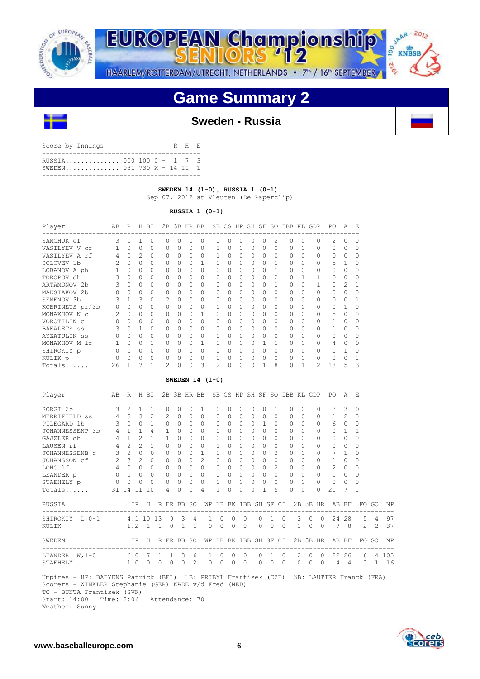

JAAR - 2012 EUROPEAN Championship 00 **KNBSB** 11.2%

HAARLEM/ROTTERDAM/UTRECHT, NETHERLANDS • 7<sup>th</sup> / 16<sup>th</sup> SEPTEMBER

# **Game Summary 2**



## **Sweden - Russia**

| Score by Innings                                         |  |  | R H E |  |
|----------------------------------------------------------|--|--|-------|--|
| RUSSIA 000 100 0 - 1 7 3<br>SWEDEN 031 730 $X - 14$ 11 1 |  |  |       |  |
|                                                          |  |  |       |  |

## **SWEDEN 14 (1-0), RUSSIA 1 (0-1)**

Sep 07, 2012 at Vleuten (De Paperclip)

## **RUSSIA 1 (0-1)**

| Player             | AВ | R | H            | ВI          | 2B            |              | 3B HR    | BB       |                | SB CS HP     |          | SH SF SO  |              |               |          |          | IBB KL GDP | P0 | А            | E        |
|--------------------|----|---|--------------|-------------|---------------|--------------|----------|----------|----------------|--------------|----------|-----------|--------------|---------------|----------|----------|------------|----|--------------|----------|
| SAMCHUK cf         | 3  |   |              | $\Omega$    |               |              |          |          |                |              | 0        |           |              | 2             | O        | 0        |            | 2  |              | $\Omega$ |
| VASILYEV V cf      |    | O | $\Omega$     | $\Omega$    |               |              | $\Omega$ | $\Omega$ |                | $\Omega$     | $\Omega$ | $\Omega$  | $\Omega$     | $\Omega$      | $\Omega$ | $\Omega$ | $\Omega$   | 0  | $\Omega$     | $\Omega$ |
| VASILYEV A rf      |    | O | 2            | $\Omega$    | $\cap$        | <sup>n</sup> | $\Omega$ | $\Omega$ |                | $\Omega$     | $\Omega$ | $\Omega$  | $\Omega$     | 0             | $\Omega$ | $\Omega$ | $\Omega$   | O  | $\Omega$     | $\Omega$ |
| SOLOVEV 1b         |    | U | $\Omega$     | $\Omega$    | $\cap$        |              | $\Omega$ |          | O              | $\Omega$     | $\Omega$ | $\Omega$  | O            |               | $\Omega$ | $\Omega$ | 0          | 5  |              | $\Omega$ |
| LOBANOV A ph       |    | 0 | 0            | $\Omega$    | $\Omega$      |              | $\Omega$ | $\Omega$ | 0              | 0            | 0        | $\Omega$  | 0            | 1             | $\Omega$ | $\Omega$ | $\Omega$   | 0  | $\Omega$     | $\Omega$ |
| TOROPOV dh         |    | O | 0            | $\Omega$    | $\cap$        | <sup>n</sup> | $\Omega$ | $\Omega$ | 0              | $\Omega$     | $\Omega$ | $\Omega$  | $\Omega$     | $\mathcal{L}$ | $\Omega$ |          | 1          |    | $\Omega$     | $\Omega$ |
| ARTAMONOV 2b       |    | 0 | $\Omega$     | $\Omega$    | $\cap$        | U            | $\Omega$ | $\Omega$ | 0              | $\Omega$     | $\Omega$ | $\Omega$  | O.           |               | $\Omega$ | $\Omega$ |            | 0  | 2            |          |
| MAKSIAKOV 2b       |    | U | $\Omega$     | $\mathbf 0$ | $\cap$        |              | $\Omega$ | $\Omega$ | 0              | $\Omega$     | $\Omega$ | $\Omega$  | $\Omega$     | $\Omega$      | $\Omega$ | 0        | 0          | O  | <sup>0</sup> | 0        |
| SEMENOV 3b         | 3  |   | 3            | $\Omega$    | $\mathcal{L}$ |              | $\Omega$ | $\Omega$ | 0              | 0            | $\Omega$ | $\Omega$  |              | 0             | $\Omega$ | $\Omega$ | 0          |    | <sup>0</sup> |          |
| KOBRINETS pr/3b    |    | U | $\Omega$     | $\Omega$    | $\cap$        |              | $\Omega$ | $\Omega$ | 0              | $\Omega$     | $\Omega$ | $\Omega$  | $\Omega$     | 0             | $\cap$   | $\Omega$ | 0          | O  |              | $\Omega$ |
| MONAKHOV N C       |    | O | O            | $\Omega$    |               |              | $\Omega$ |          | O              |              | $\Omega$ | $\Omega$  | <sup>n</sup> | 0             | $\Omega$ | $\Omega$ | 0          | 5  | $\Omega$     | $\Omega$ |
| VOROTILIN C        |    | U | <sup>0</sup> | $\Omega$    | $\cap$        |              | $\Omega$ | $\Omega$ | O              | O.           | $\Omega$ | $\Omega$  | $\Omega$     | 0             | $\Omega$ | $\Omega$ | $\Omega$   |    | <sup>0</sup> | $\Omega$ |
| <b>BAKALETS</b> ss |    | O |              | $\Omega$    | $\cap$        | 0            | $\Omega$ | $\Omega$ | $\Omega$       | $\Omega$     | $\Omega$ | $\Omega$  | $\Omega$     | $\Omega$      | $\Omega$ | $\Omega$ | 0          |    | <sup>0</sup> | $\Omega$ |
| AYZATULIN SS       |    | U | <sup>0</sup> | $\Omega$    | <sup>0</sup>  |              | $\Omega$ | O        | 0              | O.           | 0        | $\bigcap$ | <sup>n</sup> | 0             | O        | 0        | 0          | O. | <sup>0</sup> | $\Omega$ |
| MONAKHOV M 1f      |    | U | <sup>0</sup> |             | <sup>0</sup>  |              | $\Omega$ |          | O              | O.           | 0        | $\Omega$  |              |               | $\Omega$ | $\Omega$ | $\Omega$   | 4  | $\Omega$     | $\Omega$ |
| SHIROKIY p         |    | O | 0            | $\Omega$    |               |              | $\Omega$ | $\Omega$ | 0              | <sup>0</sup> | $\Omega$ | $\Omega$  | <sup>n</sup> | 0             | $\Omega$ | $\Omega$ | O.         | U  |              | $\Omega$ |
| KULIK p            |    | U | $\Omega$     | $\Omega$    | $\cap$        |              | $\Omega$ | $\Omega$ | O              | 0            | $\Omega$ | $\Omega$  | $\cap$       | 0             | $\cap$   | $\Omega$ | O          | O  | ∩            |          |
| Totals             | 26 |   |              |             | 2             |              |          | 3        | $\mathfrak{D}$ |              |          |           |              | 8             |          |          | 2          | 18 | 5            | 3        |

## **SWEDEN 14 (1-0)**

|            | $3 \t2 \t1$<br>300<br>JOHANNESSENP 3b 4 1 1 | $\mathbf{1}$<br>MERRIFIELD ss 4 3 3 2<br>$\mathbf{1}$ |                                                                                                                                    | $\Omega$<br>$2 \ 0$<br>$\Omega$                        | $\Omega$                                                       | $\Omega$<br>$\cap$                           | $\overline{1}$<br>$\Omega$ | $\Omega$<br>$\Omega$                                                                            | $\Omega$<br>$\bigcap$ | $\Omega$<br>$\Omega$                                                | $\Omega$<br>$\Omega$                                                                           | $\Omega$                                                                      |                                  | $\Omega$                                                                               | $\Omega$                         |          | $\Omega$           | 3                                                                              | 3               | $\Omega$                                                                                       |                                                                                               |                                                                                                                                         |
|------------|---------------------------------------------|-------------------------------------------------------|------------------------------------------------------------------------------------------------------------------------------------|--------------------------------------------------------|----------------------------------------------------------------|----------------------------------------------|----------------------------|-------------------------------------------------------------------------------------------------|-----------------------|---------------------------------------------------------------------|------------------------------------------------------------------------------------------------|-------------------------------------------------------------------------------|----------------------------------|----------------------------------------------------------------------------------------|----------------------------------|----------|--------------------|--------------------------------------------------------------------------------|-----------------|------------------------------------------------------------------------------------------------|-----------------------------------------------------------------------------------------------|-----------------------------------------------------------------------------------------------------------------------------------------|
|            |                                             |                                                       |                                                                                                                                    |                                                        |                                                                |                                              |                            |                                                                                                 |                       |                                                                     |                                                                                                |                                                                               |                                  |                                                                                        |                                  |          |                    |                                                                                |                 |                                                                                                |                                                                                               |                                                                                                                                         |
|            |                                             |                                                       |                                                                                                                                    |                                                        |                                                                |                                              |                            |                                                                                                 |                       |                                                                     |                                                                                                | $\cap$                                                                        | $\Omega$                         |                                                                                        | $0 \quad 0$                      |          | $\Omega$           |                                                                                | $1\quad2\quad0$ |                                                                                                |                                                                                               |                                                                                                                                         |
|            |                                             |                                                       |                                                                                                                                    |                                                        | $\Omega$                                                       | $\bigcap$                                    | $\Omega$                   | $\Omega$                                                                                        | $\Omega$              | $\Omega$                                                            | $\Omega$                                                                                       | 1                                                                             | $\Omega$                         | $\Omega$                                                                               | $\Omega$                         |          | $\Omega$           |                                                                                | 6 0 0           |                                                                                                |                                                                                               |                                                                                                                                         |
|            |                                             | $\overline{4}$                                        |                                                                                                                                    | $\overline{1}$                                         | $\Omega$                                                       | $\bigcap$                                    | $\Omega$                   | $\Omega$                                                                                        | $\Omega$              | $\Omega$                                                            | $\Omega$                                                                                       | $\cap$                                                                        | $\Omega$                         | $\bigcap$                                                                              | $\Omega$                         |          | $\Omega$           | $\Omega$                                                                       | $\overline{1}$  | $\overline{1}$                                                                                 |                                                                                               |                                                                                                                                         |
|            |                                             | 4 1 2 1                                               | $\overline{1}$                                                                                                                     |                                                        | $\Omega$                                                       | $\cap$                                       | $\Omega$                   | $\Omega$                                                                                        |                       | 0 <sub>0</sub>                                                      | $\Omega$                                                                                       | $\bigcap$                                                                     | $\Omega$                         | $\Omega$                                                                               | $\Omega$                         |          | $\Omega$           |                                                                                | $0 \quad 0$     | $\Omega$                                                                                       |                                                                                               |                                                                                                                                         |
| $4\quad 2$ | $2^{1}$                                     | $\overline{1}$                                        |                                                                                                                                    | $\Omega$                                               | $\bigcap$                                                      | $\bigcap$                                    | $\Omega$                   | $\mathbf{1}$                                                                                    | $\bigcap$             | $\Omega$                                                            | $\Omega$                                                                                       | $\Omega$                                                                      | $\Omega$                         | $\cap$                                                                                 | $\Omega$                         |          | $\Omega$           | $\Omega$                                                                       | $\cap$          | $\Omega$                                                                                       |                                                                                               |                                                                                                                                         |
|            |                                             | $\Omega$                                              |                                                                                                                                    |                                                        | $\Omega$                                                       | $\cap$                                       | $\overline{1}$             | $\Omega$                                                                                        | $\cap$                | $\Omega$                                                            | $\Omega$                                                                                       | $\cap$                                                                        | $\mathfrak{D}$                   | $\bigcap$                                                                              | $\Omega$                         |          |                    | $7^{\circ}$                                                                    |                 | $\Omega$                                                                                       |                                                                                               |                                                                                                                                         |
|            |                                             | $\Omega$                                              |                                                                                                                                    |                                                        | $\Omega$                                                       |                                              |                            | $\Omega$                                                                                        |                       |                                                                     | $\cap$                                                                                         |                                                                               | $\Omega$                         | $\cap$                                                                                 | $\Omega$                         |          |                    | $\mathbf{1}$                                                                   |                 | $\Omega$                                                                                       |                                                                                               |                                                                                                                                         |
|            |                                             | $\Omega$                                              |                                                                                                                                    |                                                        | $\Omega$                                                       |                                              | $\Omega$                   | $\Omega$                                                                                        |                       |                                                                     | $\Omega$                                                                                       | $\Omega$                                                                      | $\mathcal{L}$                    | $\bigcap$                                                                              | $\Omega$                         |          |                    | $\overline{2}$                                                                 |                 | $\Omega$                                                                                       |                                                                                               |                                                                                                                                         |
|            |                                             | $\Omega$                                              |                                                                                                                                    |                                                        |                                                                |                                              |                            |                                                                                                 |                       |                                                                     | $\Omega$                                                                                       |                                                                               | $\Omega$                         | $\bigcap$                                                                              | $\Omega$                         |          |                    | $\mathbf{1}$                                                                   |                 | $\Omega$                                                                                       |                                                                                               |                                                                                                                                         |
|            | $\Omega$                                    | $\Omega$                                              |                                                                                                                                    |                                                        | $\cap$                                                         |                                              | $\Omega$                   |                                                                                                 |                       |                                                                     | $\Omega$                                                                                       | $\cap$                                                                        | $\cap$                           | $\cap$                                                                                 | $\Omega$                         |          |                    | $\Omega$                                                                       |                 | $\Omega$                                                                                       |                                                                                               |                                                                                                                                         |
|            |                                             |                                                       |                                                                                                                                    |                                                        | $\Omega$                                                       | $\Omega$                                     | 4                          | $\mathbf{1}$                                                                                    | $\Omega$              | $\Omega$                                                            | $\Omega$                                                                                       | $\mathbf{1}$                                                                  | 5                                | $\Omega$                                                                               | $\Omega$                         |          |                    | 21                                                                             |                 |                                                                                                |                                                                                               |                                                                                                                                         |
|            |                                             |                                                       |                                                                                                                                    |                                                        |                                                                |                                              |                            |                                                                                                 |                       |                                                                     |                                                                                                |                                                                               |                                  |                                                                                        |                                  |          |                    |                                                                                |                 |                                                                                                |                                                                                               | <b>NP</b>                                                                                                                               |
|            |                                             |                                                       |                                                                                                                                    |                                                        |                                                                |                                              |                            |                                                                                                 |                       |                                                                     |                                                                                                |                                                                               |                                  |                                                                                        | 3                                |          |                    |                                                                                |                 |                                                                                                |                                                                                               | 97                                                                                                                                      |
|            |                                             |                                                       |                                                                                                                                    |                                                        |                                                                |                                              |                            |                                                                                                 |                       |                                                                     |                                                                                                |                                                                               |                                  |                                                                                        |                                  |          |                    |                                                                                |                 |                                                                                                |                                                                                               |                                                                                                                                         |
|            |                                             |                                                       |                                                                                                                                    |                                                        |                                                                |                                              |                            |                                                                                                 |                       |                                                                     |                                                                                                |                                                                               |                                  |                                                                                        |                                  |          |                    |                                                                                |                 |                                                                                                |                                                                                               | <b>NP</b>                                                                                                                               |
|            |                                             |                                                       |                                                                                                                                    |                                                        |                                                                |                                              |                            |                                                                                                 |                       |                                                                     |                                                                                                |                                                                               |                                  |                                                                                        |                                  |          |                    |                                                                                |                 |                                                                                                |                                                                                               |                                                                                                                                         |
|            | $\circ$<br>$\circ$                          |                                                       | $3 \quad 2 \quad 0$<br>$2 \t3 \t2$<br>$4 \quad 0 \quad 0$<br>$0 \quad 0 \quad 0$<br>31 14 11 10<br>LEANDER $W, 1-0$ 6.0 7<br>1.0 0 | SHIROKIY L.0-1 4.1 10 13<br>$\mathbf{1}$<br>$\bigcirc$ | $\Omega$<br>$\bigcap$<br>$\Omega$<br>$\Omega$<br>4<br>$\Omega$ | $\overline{0}$<br>$\Omega$<br>$\overline{1}$ |                            | $0 \t 2$<br>$\cap$<br>$\begin{matrix}0&0\end{matrix}$<br>$\cap$<br>9 3 4<br>1.2 1 1 0 1 1<br>36 | 1<br>$\Omega$<br>1    | $\Omega$<br>$\Omega$<br>$2^{1}$<br>$\Omega$<br>$\Omega$<br>$\Omega$ | 0 <sub>0</sub><br>$0 \quad 0$<br>$0\quad 0\quad 0$<br>$0\quad 0\quad 0$<br>$\circ$<br>$\Omega$ | $\Omega$<br>$\begin{matrix} 0 & 0 & 0 \end{matrix}$<br>$\bigcirc$<br>$\Omega$ | $\Omega$<br>$\Omega$<br>$\Omega$ | $\cap$<br>$\cap$<br>$\mathbf{1}$<br>$0\quad 0$<br>$\overline{1}$<br>$\circ$<br>$\circ$ | $\Omega$<br>$\Omega$<br>$\Omega$ | $\Omega$ | $\circ$<br>$\circ$ | $\Omega$<br>$\Omega$<br>$\Omega$<br>$\cap$<br>$\Omega$<br>$\Omega$<br>$\Omega$ |                 | $\overline{1}$<br>$\cap$<br>$\bigcap$<br>$\Omega$<br>$\bigcap$<br>$\overline{7}$<br>$4\quad 4$ | $\overline{1}$<br>$0\quad 24\quad 28$<br>IP H R ER BB SO WP HB BK IBB SH SF CI 2B 3B HR AB BF | IP H R ER BB SO WP HB BK IBB SH SF CI 2B 3B HR AB BF FO GO<br>5 4<br>0 1 0 0 7 8 2 2 37<br>FO GO<br>2 0 0 22 26 6 4 105<br>$0 \t1 \t16$ |

 Start: 14:00 Time: 2:06 Attendance: 70 Weather: Sunny

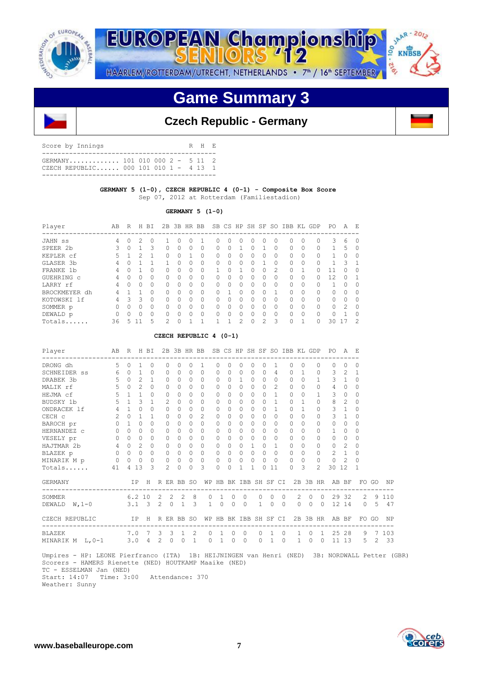

JAAR - 2012 **EUROPEAN Championship** oo 11.2%

HAARLEM/ROTTERDAM/UTRECHT, NETHERLANDS • 7<sup>th</sup> / 16<sup>th</sup> SEPTEMBER

# **Game Summary 3**



| Score by Innings                                                        |  | R H E |  |
|-------------------------------------------------------------------------|--|-------|--|
| GERMANY 101 010 000 2 - 5 11 2<br>CZECH REPUBLIC 000 101 010 1 - 4 13 1 |  |       |  |
|                                                                         |  |       |  |

## **GERMANY 5 (1-0), CZECH REPUBLIC 4 (0-1) - Composite Box Score** Sep 07, 2012 at Rotterdam (Familiestadion)

## **GERMANY 5 (1-0)**

| Player        | AB | R        | H        | BT.          | 2B            | 3B | HR.          | <b>BB</b> |              | SB CS        | HP       | SH | SF. | .SO           | <b>TBB</b>   | KT.      | GDP          | PO.      | A         | E,            |
|---------------|----|----------|----------|--------------|---------------|----|--------------|-----------|--------------|--------------|----------|----|-----|---------------|--------------|----------|--------------|----------|-----------|---------------|
| JAHN SS       | 4  | Ω        | 2        | $\Omega$     |               | Ω  | 0            |           | $^{(1)}$     | $\Omega$     |          | 0  | 0   | 0             | O.           | $\Omega$ | $\Omega$     | 3        | 6         | $\Omega$      |
| SPEER 2b      | 3  |          |          | 3            | $\Omega$      | 0  | 0            | 0         |              | $\Omega$     |          | 0  |     | 0             | $\Omega$     | $\Omega$ | 0            |          | 5         | $\Omega$      |
| KEPLER cf     | 5  |          | 2        |              | <sup>0</sup>  | U  | 1            | $\Omega$  | 0            | $\Omega$     | O        | U  | Ω   | $\Omega$      | $\cap$       | $\Omega$ | $\Omega$     |          | $\Omega$  | $\Omega$      |
| GLASER 3b     | 4  | n        |          |              |               | U  | <sup>0</sup> | $\Omega$  | <sup>0</sup> | $\Omega$     | $\Omega$ | U  |     | <sup>0</sup>  | $\Omega$     | $\Omega$ | $\Omega$     |          | २         | $\mathbf 1$   |
| FRANKE 1b     | 4  |          |          |              | O.            | U  | 0            | 0         |              | <sup>0</sup> |          | 0  | 0   | 2             | 0            |          | $\Omega$     |          |           | 0             |
| GUEHRING C    | 4  | U        | O        | $\bigcap$    | $\cap$        | U  | 0            | $\Omega$  | O            | $\bigcap$    | ∩        | Λ  | O.  | $\Omega$      | <sup>0</sup> | $\Omega$ | O            | 12       | $\cap$    |               |
| LARRY rf      | 4  | $\Omega$ | $\Omega$ | $\bigcap$    | <sup>0</sup>  | Ω  | <sup>0</sup> | O         | $\Omega$     | $\bigcap$    | $\Omega$ | U  | Ω   | $\Omega$      | <sup>0</sup> | $\Omega$ | $\Omega$     |          | $\Omega$  | $\Omega$      |
| BROCKMEYER dh | 4  |          |          | <sup>0</sup> | $\cap$        | Ω  | $\cap$       | $\Omega$  | U            |              | ∩        | O  | O   | 1             | U            | $\Omega$ | $\Omega$     | $\Omega$ |           | $\Omega$      |
| KOTOWSKI 1f   | 4  | 3        | ₹        | $\Omega$     | $\cap$        | U  | $\bigcap$    | $\Omega$  | U            | $\bigcap$    | n        | Λ  | O.  | <sup>0</sup>  | <sup>0</sup> | $\Omega$ | $\Omega$     | 0        | $\bigcap$ | $\Omega$      |
| SOMMER p      | 0  | U        | $\Omega$ | $\bigcap$    | <sup>0</sup>  | U  | O.           | 0         | O            | $\bigcap$    |          | U  | Ω   | <sup>0</sup>  | <sup>0</sup> | $\Omega$ | $\Omega$     | $\Omega$ | 2         | $\Omega$      |
| DEWALD p      | 0  |          | $\Omega$ | $\bigcap$    | $\cap$        | Ω  | <sup>0</sup> | $\Omega$  | U            | $\bigcap$    | O        | Λ  | Ω   | $\Omega$      | $\cap$       | $\Omega$ | $\Omega$     | U        |           | $\Omega$      |
| Totals        | 36 | 5        |          | 5            | $\mathcal{P}$ | Λ  |              |           |              |              | っ        | n  | 2   | $\mathcal{L}$ | U            |          | <sup>0</sup> | 30       | 17        | $\mathcal{P}$ |

## **CZECH REPUBLIC 4 (0-1)**

| Player             | AB             | R         |                             | H BI           |                | 2B            | 3B HR BB       |               |               |                       |              |              |              |           |           |          | SB CS HP SH SF SO IBB KL GDP |           |               | PO.            | A             | -E       |               |         |
|--------------------|----------------|-----------|-----------------------------|----------------|----------------|---------------|----------------|---------------|---------------|-----------------------|--------------|--------------|--------------|-----------|-----------|----------|------------------------------|-----------|---------------|----------------|---------------|----------|---------------|---------|
| DRONG dh           | 5              | $\Omega$  | 1                           | $\Omega$       |                | $\Omega$      | 0              | $\Omega$      | $\mathbf{1}$  | 0                     | $\Omega$     | $\Omega$     | $\Omega$     | 0         | 1         |          | $\Omega$                     | $\Omega$  | $\Omega$      | $\Omega$       | $\cap$        | 0        |               |         |
| SCHNEIDER SS       | 6              | $\Omega$  | 1                           | $\Omega$       |                | 0             | 0              | $\Omega$      | $\Omega$      | $\mathbf{0}$          | <sup>0</sup> | 0            | $\Omega$     | 0         | 4         |          | $\Omega$                     | 1         | 0             | 3              | 2             | 1        |               |         |
| DRABEK 3b          | 5              | $\Omega$  | $\mathcal{D}_{\mathcal{L}}$ | 1              |                | $\Omega$      | 0              | $\Omega$      | $\Omega$      | $\Omega$              | $\bigcap$    | $\mathbf{1}$ | $\Omega$     | $\Omega$  | $\bigcap$ |          | $\Omega$                     | $\Omega$  | 1             | 3              | 1             | $\Omega$ |               |         |
| MALIK rf           | 5              | $\bigcap$ | $\mathfrak{D}$              | $\bigcap$      |                | $\Omega$      | 0              | $\bigcap$     | $\bigcap$     | 0                     | $\cap$       | $\Omega$     | $\Omega$     | $\Omega$  | 2         |          | $\bigcap$                    | $\bigcap$ | 0             | 4              | $\Omega$      | 0        |               |         |
| HEJMA cf           | 5              | 1         | 1                           | $\bigcap$      |                | $\Omega$      | 0              | <sup>0</sup>  | O.            | $\Omega$              | 0            | 0            | <sup>0</sup> | $\bigcap$ | 1         |          | $\bigcap$                    | $\Omega$  |               | 3              | $\Omega$      | $\Omega$ |               |         |
| BUDSKY 1b          | 5              | 1         | 3                           | 1              |                | $\mathcal{L}$ | 0              | $\bigcap$     | $\Omega$      | $\Omega$              | $\bigcap$    | $\Omega$     | $\Omega$     | $\Omega$  | 1         |          | $\Omega$                     | 1         | $\Omega$      | 8              | 2             | $\Omega$ |               |         |
| ONDRACEK 1f        | $\overline{4}$ |           | 0                           | $\Omega$       |                | $\Omega$      | 0              | $\bigcap$     | $\Omega$      | $\Omega$              | $\bigcap$    | $\Omega$     | $\Omega$     | $\Omega$  | 1         |          | $\cap$                       | 1.        | 0             | 3              | 1             | $\Omega$ |               |         |
| CECH c             | 2              | $\Omega$  | 1                           | 1              |                | $\Omega$      | 0              | $\bigcap$     | $\mathcal{L}$ | 0                     | $\bigcap$    | $\Omega$     | $\Omega$     | 0         | $\Omega$  |          | $\Omega$                     | $\Omega$  | 0             | 3              | 1             | 0        |               |         |
| BAROCH pr          | 0              | 1         | 0                           | <sup>0</sup>   |                | 0             | 0              | $\bigcap$     | $\Omega$      | $\mathbf{0}$          | $\bigcap$    | $\Omega$     | $\Omega$     | $\Omega$  | $\Omega$  |          | $\Omega$                     | $\Omega$  | 0             | 0              | $\Omega$      | $\Omega$ |               |         |
| HERNANDEZ C        | $\Omega$       | $\bigcap$ | 0                           | <sup>0</sup>   |                | $\Omega$      | 0              | $\Omega$      | $\Omega$      | $\Omega$              | O.           | $\Omega$     | $\Omega$     | $\Omega$  | $\Omega$  |          | $\Omega$                     | $\Omega$  | 0             | 1              | $\Omega$      | 0        |               |         |
| VESELY pr          | 0              | $\Omega$  | 0                           | <sup>0</sup>   |                | $\Omega$      | 0              | $\bigcap$     | 0             | 0                     | <sup>n</sup> | $\Omega$     | $\bigcap$    | 0         | $\Omega$  |          | $\bigcap$                    | $\Omega$  | 0             | $\Omega$       | $\Omega$      | 0        |               |         |
| HAJTMAR 2b         | 4              | $\Omega$  | 2                           | $\Omega$       |                | $\Omega$      | 0              | $\Omega$      | $\bigcap$     | $\Omega$              | O.           | $\Omega$     | 1            | $\Omega$  | 1         |          | $\Omega$                     | $\Omega$  | 0             | $\Omega$       | 2             | $\Omega$ |               |         |
| BLAZEK p           | $\Omega$       | $\Omega$  | $\Omega$                    | $\circ$        |                | $\Omega$      | 0              | $\Omega$      | $\Omega$      | $\Omega$              | $\Omega$     | $\Omega$     | $\Omega$     | $\Omega$  | $\Omega$  |          | $\Omega$                     | $\Omega$  | 0             | $\mathfrak{D}$ | $\mathbf{1}$  | $\Omega$ |               |         |
| MINARIK M p        | 0              | 0         | 0                           | $\Omega$       |                | 0             | 0              | $\Omega$      | $\Omega$      | 0                     | $\Omega$     | 0            | $\Omega$     | 0         | $\Omega$  |          | $\Omega$                     | $\Omega$  | 0             | $\Omega$       | $\mathcal{L}$ | $\Omega$ |               |         |
| Totals             | 41             | 4         | 13                          | 3              |                | 2.            | 0              | $\Omega$      | 3             | 0                     | $\Omega$     | 1            | 1            | $\Omega$  | 11        |          | $\Omega$                     | 3         | $\mathcal{L}$ | 30             | 12            | 1        |               |         |
| <b>GERMANY</b>     |                |           | IP.                         | H              |                |               | R ER BB SO     |               |               | WP HB BK IBB SH SF CI |              |              |              |           |           |          |                              |           | 2B 3B HR      | AB BF          |               |          | FO GO         | ΝP      |
| SOMMER             |                |           | 6.210                       |                | 2              |               | $2 \quad 2$    | 8             | $\Omega$      | 1                     | $\Omega$     | $\Omega$     |              | $\Omega$  | $\Omega$  | $\Omega$ | 2                            | $\Omega$  | $\Omega$      | 29             | 32            | 2        |               | 9 1 1 0 |
| $W, 1-0$<br>DEWALD |                |           | $3.1 \quad 3$               |                | $\overline{2}$ | $\circ$       | $\overline{1}$ | 3             | $\mathbf{1}$  | $\circ$               | $\Omega$     | $\Omega$     |              | 1         | $\Omega$  | $\Omega$ | $\circ$                      | 0         | $\Omega$      |                | 12 14         | $\Omega$ | 5             | 47      |
| CZECH REPUBLIC     |                |           | IP                          | H              |                |               | R ER BB SO     |               |               | WP HB BK IBB SH SF CI |              |              |              |           |           |          |                              |           | 2B 3B HR      |                | AB BF         |          | FO GO         | NP      |
| BLAZEK             |                | 7.0       |                             | $\overline{7}$ | 3              | 3             | $\overline{1}$ | $\mathcal{L}$ | $\Omega$      | $\mathbf{1}$          | $\Omega$     | $\Omega$     |              | $\Omega$  | 1         | $\Omega$ | $\mathbf{1}$                 | $\Omega$  | $\mathbf{1}$  | 25             | 28            | 9        | 7             | 103     |
| MINARIK M<br>L,0-1 |                | 3.0       |                             | 4              | 2              | 0             | $\circ$        | $\mathbf{1}$  | $\Omega$      | $\mathbf{1}$          | 0            | $\Omega$     |              | $\Omega$  | 1         | $\Omega$ | $\mathbf{1}$                 | 0         | 0             | 11             | 13            | 5.       | $\mathcal{L}$ | 33      |

 Umpires - HP: LEONE Pierfranco (ITA) 1B: HEIJNINGEN van Henri (NED) 3B: NORDWALL Petter (GBR) Scorers - HAMERS Rienette (NED) HOUTKAMP Maaike (NED) TC - ESSELMAN Jan (NED) Start: 14:07 Time: 3:00 Attendance: 370

Weather: Sunny



KNBSB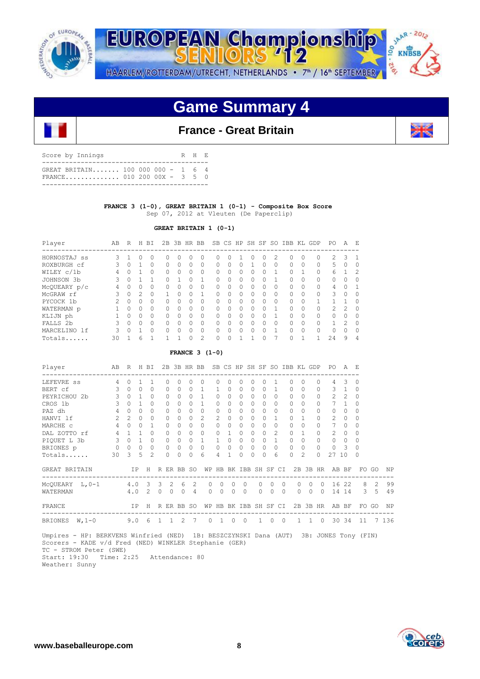

JAAR - 2012 EUROPEAN Championship 00 **KNBSB** -216 HAARLEM/ROTTERDAM/UTRECHT, NETHERLANDS • 7<sup>th</sup> / 16<sup>th</sup> SEPTEMBER

# **Game Summary 4**

## **France - Great Britain**

| Score by Innings                                                |  |  | R H E |  |
|-----------------------------------------------------------------|--|--|-------|--|
| GREAT BRITAIN 100 000 000 - 1 6 4<br>FRANCE 010 200 00X - 3 5 0 |  |  |       |  |

## **FRANCE 3 (1-0), GREAT BRITAIN 1 (0-1) - Composite Box Score** Sep 07, 2012 at Vleuten (De Paperclip)

## **GREAT BRITAIN 1 (0-1)**

| Player       | AВ | R      | H             | BI       | 2B           | 3B           | HR BB    |               |              |              |          | SB CS HP SH SF |    | -SO      | IBB      |          | KL GDP   | PО            | Α             | Е             |
|--------------|----|--------|---------------|----------|--------------|--------------|----------|---------------|--------------|--------------|----------|----------------|----|----------|----------|----------|----------|---------------|---------------|---------------|
| HORNOSTAJ ss | 3  |        | 0             | 0        | O.           | $^{(1)}$     | Ω        | 0             | $^{(1)}$     | $^{(1)}$     |          | $^{(1)}$       | 0  | 2.       | 0        | 0        | 0        | 2             | 3             | -1            |
| ROXBURGH cf  | 3  |        |               | $\Omega$ | $\Omega$     |              | 0        | $\Omega$      | 0            | 0            | 0        |                | Ω  | 0        | 0        | 0        | 0        | 5             | 0             | 0             |
| WILEY c/1b   | 4  | ∩      |               | $\Omega$ | <sup>0</sup> | <sup>n</sup> | O        | $\Omega$      | 0            | 0            | 0        | $\Omega$       | U  | 1        | O        |          | $\Omega$ | 6             | n,            | $\mathcal{L}$ |
| JOHNSON 3b   | 3  | U      |               |          | $\cap$       |              | Λ        |               | <sup>0</sup> | $\Omega$     | 0        | $\cap$         | ∩  |          | 0        | $\Omega$ | $\Omega$ | 0             | $\Omega$      | $\Omega$      |
| McQUEARY p/c | 4  | Λ      | 0             | $\Omega$ | $\bigcap$    |              | Ω        | O             | 0            | 0            | 0        | $\cap$         | Ω  | 0        | 0        | 0        | 0        | 4             | $\Omega$      |               |
| McGRAW rf    | 3  | O      | $\mathcal{P}$ | $\Omega$ |              | <sup>n</sup> | $\cap$   | 1             | $\Omega$     | <sup>0</sup> | $\Omega$ | $\cap$         | U  | $\Omega$ | $\Omega$ | $\Omega$ | $\Omega$ | 3             | $\Omega$      | $\Omega$      |
| PYCOCK 1b    | 2  | $\cap$ | <sup>0</sup>  | $\Omega$ | $\bigcap$    | <sup>n</sup> | O        | $\Omega$      | $\Omega$     | $\cap$       | $\Omega$ | $\cap$         | O. | $\Omega$ | $\Omega$ | $\Omega$ |          |               |               | $\Omega$      |
| WATERMAN p   |    | U      | <sup>0</sup>  | $\Omega$ | $\bigcap$    | U            | $\cap$   | $\Omega$      | 0            | O.           | $\Omega$ | $\cap$         | Λ  |          | $\Omega$ | $\Omega$ | 0        | $\mathcal{P}$ | $\mathcal{L}$ | $\Omega$      |
| KLIJN ph     |    | U      | <sup>0</sup>  | $\Omega$ | <sup>n</sup> | U            | U        | $\Omega$      | 0            | O.           | $\cap$   | $\cap$         | Λ  |          | $\Omega$ | $\Omega$ | $\Omega$ | 0             | <sup>0</sup>  | $\Omega$      |
| FALLS 2b     | 3  | U      | <sup>0</sup>  | $\Omega$ | <sup>0</sup> |              | Ω        | <sup>0</sup>  | $\Omega$     | O.           | $\Omega$ | $\cap$         | Λ  | $\Omega$ | $\Omega$ | $\Omega$ | $\Omega$ | 1             | $\mathcal{P}$ | $\Omega$      |
| MARCELINO 1f | ς  | U      |               | $\Omega$ | $\cap$       |              | $\Omega$ | $\Omega$      | O            | $\Omega$     | $\Omega$ | $\cap$         | Ω  | 1        | $\Omega$ | $\Omega$ | $\Omega$ | U             | $\Omega$      | $\Omega$      |
| Totals       | 30 |        | ĥ             |          |              |              | Λ        | $\mathcal{D}$ | O            |              |          |                |    | 7        | ∩        | 1        |          | 24            | 9             | 4             |

## **FRANCE 3 (1-0)**

| Player                       | AВ | R             |              | H BI           |                         | 2B           | 3B HR BB      |                |           | SB            | CS           | HP SH SF SO  |              |              |                | IBB      |              | KL        | GDP       | PO.            | A            | E,       |                |           |
|------------------------------|----|---------------|--------------|----------------|-------------------------|--------------|---------------|----------------|-----------|---------------|--------------|--------------|--------------|--------------|----------------|----------|--------------|-----------|-----------|----------------|--------------|----------|----------------|-----------|
| LEFEVRE SS                   | 4  | $\bigcap$     |              | -1             |                         | <sup>0</sup> | 0             | $\bigcap$      | $\Omega$  | O             |              |              | <sup>0</sup> | <sup>n</sup> |                |          | <sup>0</sup> | n         | $\Omega$  | 4              | 3            | $\Omega$ |                |           |
| BERT cf                      | 3  | $\Omega$      | 0            | $\Omega$       |                         | $\Omega$     |               |                |           |               |              | $\Omega$     | 0            | 0            |                |          | $\Omega$     | 0         | $\Omega$  | 3              |              | $\Omega$ |                |           |
| PEYRICHOU 2b                 | 3  | $\bigcap$     |              | $\bigcap$      |                         | <sup>n</sup> | 0             | <sup>0</sup>   |           | O             |              | $\bigcap$    | $\Omega$     | <sup>n</sup> | O              |          | $\cap$       | $\Omega$  | $\bigcap$ | $\mathcal{L}$  | 2            |          |                |           |
| CROS 1b                      | 3  | <sup>0</sup>  |              | $\bigcap$      |                         | <sup>0</sup> | 0             | <sup>0</sup>   |           | O             |              | $\bigcap$    | $\Omega$     | 0            | O              |          | $\cap$       | $\Omega$  |           |                |              |          |                |           |
| PAZ dh                       | 4  | <sup>0</sup>  | 0            | $\Omega$       |                         | O            |               | <sup>n</sup>   | $\Omega$  | 0             |              |              | 0            | 0            | 0              |          | $\Omega$     | 0         |           | 0              |              |          |                |           |
| HANVI 1f                     | 2  | $\mathcal{L}$ | $\Omega$     | $\cap$         |                         | O            |               | $\cap$         | 2         | $\mathcal{P}$ |              |              | $\Omega$     | O            |                |          | $\Omega$     |           | $\Omega$  | $\mathfrak{D}$ | <sup>n</sup> |          |                |           |
| MARCHE C                     | 4  | <sup>0</sup>  | <sup>0</sup> | 1              |                         | $\Omega$     | 0             | $\bigcap$      | $\Omega$  | 0             |              | $\bigcap$    | $\Omega$     | <sup>n</sup> | O              |          | $\Omega$     | $\Omega$  | $\Omega$  | 7              | $\Omega$     |          |                |           |
| DAL ZOTTO rf                 | 4  |               |              |                |                         |              |               |                | $\Omega$  | 0             |              |              | 0            |              | $\mathfrak{D}$ |          | $\Omega$     |           |           | $\mathcal{L}$  | 0            |          |                |           |
| PIOUET L 3b                  | 3  | $\Omega$      |              | $\Omega$       |                         | $\Omega$     | 0             | 0              |           |               |              |              | $\Omega$     | 0            |                |          | $\Omega$     | 0         | $\bigcap$ | $\Omega$       | $\Omega$     |          |                |           |
| BRIONES p                    | 0  | 0             | $\Omega$     | $\Omega$       |                         | $\Omega$     | 0             | $\Omega$       | $\Omega$  | 0             |              | $\Omega$     | $\mathbf{0}$ | 0            | 0              |          | $\Omega$     | $\Omega$  | $\Omega$  | $\Omega$       | 3            |          |                |           |
| Totals                       | 30 | 3             | 5            | $\mathfrak{D}$ |                         | $\cap$       | U             | $\bigcap$      | 6         | 4             |              | $\bigcap$    | $\Omega$     | 0            | 6              |          | $\Omega$     | 2         | $\Omega$  | 27             | 10           |          |                |           |
| GREAT BRITAIN                |    | ΙP            |              | Η              |                         |              | R ER BB SO    |                | WP        | HB            | BK           |              |              | IBB SH SF    |                | CI       |              | $2B$ $3B$ | HR        |                | AB BF        | FO.      | GO             | <b>NP</b> |
| MCQUEARY $L, 0-1$            |    | 4.0           |              | 3              | $\overline{\mathbf{3}}$ | 2            | 6             | $\overline{2}$ | $\bigcap$ | $\Omega$      | <sup>0</sup> | $\bigcap$    |              | $\Omega$     | <sup>0</sup>   | $\Omega$ | $\Omega$     | $\Omega$  | $\Omega$  |                | 16 22        | 8        | $\overline{2}$ | 99        |
| WATERMAN                     |    | 4.0           |              | $\mathcal{L}$  | $\Omega$                | $\Omega$     | $\circ$       | 4              | 0         | $\Omega$      | $\mathbf{0}$ | $\circ$      |              | $\Omega$     | $\circ$        | 0        | $\Omega$     | $\circ$   | $\Omega$  | 14             | 14           | 3        | 5              | 49        |
| FRANCE                       |    | IP            |              | H              |                         |              | R ER BB SO    |                | WP        | HB            |              | BK IBB SH SF |              |              |                | CI       | 2B           | 3B        | <b>HR</b> | AB             | BF           | FO       | GO             | ΝP        |
| <b>BRIONES</b><br>$W, 1 - 0$ |    | 9.0           |              | 6              |                         |              | $\mathcal{L}$ | 7              | $\bigcap$ |               | $\Omega$     | $\Omega$     |              | $\mathbf{1}$ | $\Omega$       | $\Omega$ |              |           | $\Omega$  |                | 30 34        | 11       |                | 136       |

 Umpires - HP: BERKVENS Winfried (NED) 1B: BESZCZYNSKI Dana (AUT) 3B: JONES Tony (FIN) Scorers - KADE v/d Fred (NED) WINKLER Stephanie (GER) TC - STROM Peter (SWE) Start: 19:30 Time: 2:25 Attendance: 80





asarawa<br>Kani 198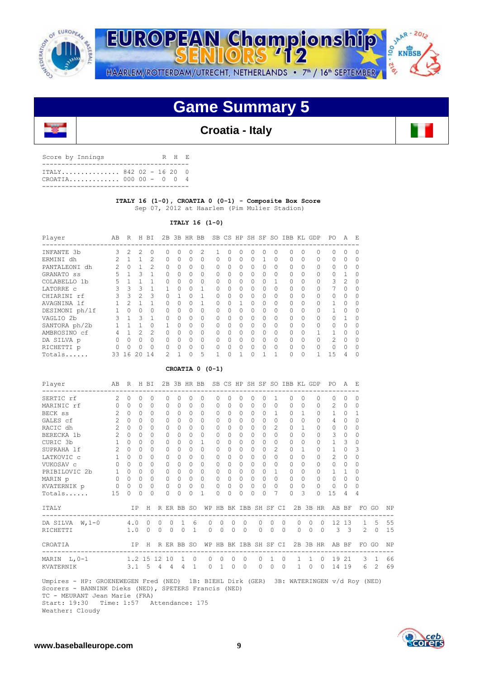



# **Game Summary 5**

## **Croatia - Italy**

| Score by Innings                                 | R H E |  |
|--------------------------------------------------|-------|--|
| TTALY 842 02 - 16 20 0<br>CROATTA 000 00 - 0 0 4 |       |  |
|                                                  |       |  |

## **ITALY 16 (1-0), CROATIA 0 (0-1) - Composite Box Score** Sep 07, 2012 at Haarlem (Pim Mulier Stadion)

## **ITALY 16 (1-0)**

| Player         | AВ | R        | H              | ΒI             | 2B            | 3B           | HR.      | BB       |   |           | SB CS HP  |          | SH SF     | SO.          | IBB          | KL       | GDP      | P0            | A             | E,       |
|----------------|----|----------|----------------|----------------|---------------|--------------|----------|----------|---|-----------|-----------|----------|-----------|--------------|--------------|----------|----------|---------------|---------------|----------|
| INFANTE 3b     | 3  | 2        | $\mathcal{L}$  | $\bigcap$      | $\bigcap$     | <sup>0</sup> | $\Omega$ | 2        |   | $\bigcap$ | $\Omega$  | 0        | 0         | $\Omega$     | $\Omega$     | $\Omega$ | $\Omega$ | <sup>n</sup>  | <sup>0</sup>  | $\Omega$ |
| ERMINI dh      |    |          |                | $\mathfrak{D}$ | $\bigcap$     | $\Omega$     | $\Omega$ | $\Omega$ | O | $\Omega$  | $\Omega$  | $\Omega$ |           | $\Omega$     | $\Omega$     | $\Omega$ | $\Omega$ | $\Omega$      | $\Omega$      | $\Omega$ |
| PANTALEONI dh  | 2  | $\Omega$ |                | 2              | $\Omega$      | 0            | 0        | 0        | 0 | $\Omega$  | $\Omega$  | $\Omega$ | 0         | 0            | $\mathbf{0}$ | $\Omega$ | $\Omega$ | 0             | 0             | 0        |
| GRANATO SS     | 5  |          | 3              | 1              | $\bigcap$     | 0            | $\Omega$ | $\Omega$ | 0 | $\Omega$  | $\Omega$  | $\Omega$ | $\Omega$  | $\Omega$     | $\Omega$     | $\Omega$ | $\Omega$ | 0             |               | $\Omega$ |
| COLABELLO 1b   | 5  |          |                |                | $\Omega$      | 0            | $\Omega$ | $\Omega$ | O | $\Omega$  | $\bigcap$ | $\Omega$ | $\Omega$  |              | $\Omega$     | $\Omega$ | $\Omega$ | 3             | $\mathcal{P}$ | $\Omega$ |
| LATORRE C      | 3  | 3        | 3              |                |               | O            | $\Omega$ |          | O | $\bigcap$ | O.        | $\Omega$ | 0         | $\Omega$     | $\Omega$     | $\Omega$ | $\Omega$ |               | $\Omega$      | $\Omega$ |
| CHIARINI rf    |    | 3        | $\mathfrak{D}$ | 3              | $\cap$        |              | $\Omega$ |          | O | $\Omega$  | $\Omega$  | $\Omega$ | $\Omega$  | 0            | $\Omega$     | $\Omega$ | $\Omega$ | $\Omega$      | <sup>0</sup>  | O        |
| AVAGNINA 1f    |    | 2        |                |                | $\bigcap$     | 0            | $\Omega$ |          | 0 | $\Omega$  |           | $\Omega$ | $\Omega$  | $\mathbf{0}$ | $\Omega$     | $\Omega$ | $\Omega$ |               | 0             | $\Omega$ |
| DESIMONI ph/lf |    | 0        | $\Omega$       | $\Omega$       | $\bigcap$     | 0            | $\Omega$ | $\Omega$ | 0 | $\Omega$  | $\Omega$  | $\Omega$ | $\Omega$  | $\Omega$     | $\Omega$     | $\Omega$ | $\Omega$ |               | 0             | $\Omega$ |
| VAGLIO 2b      | 3  |          | $\mathcal{L}$  | 1              | $\bigcap$     | $\Omega$     | $\cap$   | $\Omega$ | O | $\Omega$  | $\Omega$  | $\Omega$ | $\bigcap$ | $\Omega$     | $\bigcap$    | $\Omega$ | $\Omega$ | $\cap$        |               | $\Omega$ |
| SANTORA ph/2b  |    |          |                |                |               | O            | $\cap$   | $\Omega$ | O | $\bigcap$ | $\cap$    | $\Omega$ | $\bigcap$ | 0            | $\cap$       | $\Omega$ | $\Omega$ | $\Omega$      | O             | $\Omega$ |
| AMBROSINO cf   | 4  |          | $\mathfrak{D}$ | $\mathfrak{D}$ | $\Omega$      | $\Omega$     | $\Omega$ | $\Omega$ | U | $\Omega$  | $\Omega$  | $\Omega$ | $\Omega$  | 0            | $\Omega$     | $\Omega$ | 1.       |               | O             | $\Omega$ |
| DA SILVA p     | 0  | 0        | $\Omega$       | $\Omega$       | $\Omega$      | 0            | $\Omega$ | $\Omega$ | O | $\Omega$  | $\Omega$  | $\Omega$ | $\Omega$  | $\mathbf{0}$ | $\Omega$     | $\Omega$ | $\Omega$ | $\mathcal{L}$ | $\Omega$      | $\Omega$ |
| RICHETTI p     | U  | O        | $\Omega$       | $\Omega$       | $\bigcap$     | <sup>0</sup> | $\cap$   | $\Omega$ | O | $\Omega$  | $\Omega$  | $\Omega$ | $\Omega$  | $\Omega$     | $\cap$       | $\Omega$ | $\Omega$ | $\cap$        | $\bigcap$     | $\Omega$ |
| Totals         | 33 | 16       | 20             | 14             | $\mathcal{P}$ |              | O        | 5        |   | $\cap$    |           | $\Omega$ |           |              | $\Omega$     | $\Omega$ |          | 1.5           | 4             | O        |

### **CROATIA 0 (0-1)**

| Player<br>--------------------------------                                                                                                                                      | AB R H BI      |                   |           |           |          |               |             | 2B 3B HR BB SB CS HP SH SF SO IBB KL GDP PO A E      |                             |           |                |          |          |          |                                                    |                |                |         |                |                                      |                         |                                |       |           |
|---------------------------------------------------------------------------------------------------------------------------------------------------------------------------------|----------------|-------------------|-----------|-----------|----------|---------------|-------------|------------------------------------------------------|-----------------------------|-----------|----------------|----------|----------|----------|----------------------------------------------------|----------------|----------------|---------|----------------|--------------------------------------|-------------------------|--------------------------------|-------|-----------|
| $\sim$ 2<br>SERTIC rf                                                                                                                                                           |                | $\Omega$          | $\Omega$  | $\Omega$  | $\Omega$ | $\Omega$      | $\Omega$    | $\Omega$                                             | $\Omega$                    | $\Omega$  | $\Omega$       | $\Omega$ | $\Omega$ |          | 1                                                  | $\Omega$       | $\Omega$       |         | $\Omega$       | ------------------------<br>$\Omega$ | $\Omega$                | $\Omega$                       |       |           |
| MARINIC rf                                                                                                                                                                      |                | $0 \quad 0$       | $\bigcap$ | $\Omega$  | $\Omega$ | $\Omega$      | $\Omega$    | $\Omega$                                             | $\Omega$                    | $\Omega$  | $\Omega$       | $\Omega$ | $\Omega$ |          | $\Omega$                                           | 0 <sub>0</sub> |                |         | $\Omega$       |                                      | $2 \ 0$                 | $\Omega$                       |       |           |
| BECK ss                                                                                                                                                                         | $2^{\circ}$    | $\Omega$          | $\Omega$  | $\Omega$  | $\Omega$ | $\Omega$      | $\Omega$    | $\Omega$                                             | $\Omega$                    | $\Omega$  | $\Omega$       | $\Omega$ | $\Omega$ |          | $\mathbf{1}$                                       | $\Omega$       | $\overline{1}$ |         | $\Omega$       | $\mathbf{1}$                         | $\bigcirc$              | $\mathbf{1}$                   |       |           |
| GALES cf                                                                                                                                                                        | $\overline{2}$ | $\cap$            | $\Omega$  | $\bigcap$ | $\Omega$ | $\Omega$      | $\bigcap$   | $\Omega$                                             | $\Omega$                    | $\cap$    | $\Omega$       | $\Omega$ | $\Omega$ |          | $\Omega$                                           | $\bigcap$      | $\Omega$       |         | $\Omega$       | $\overline{4}$                       | $\Omega$                | $\Omega$                       |       |           |
| RACIC dh                                                                                                                                                                        | $2^{\circ}$    | $\Omega$          | $\Omega$  | $\bigcap$ | $\Omega$ | $\Omega$      | $\Omega$    | $\Omega$                                             | $\Omega$                    | $\Omega$  | $\Omega$       | $\Omega$ | $\Omega$ |          | $\mathcal{L}$                                      | $\Omega$       | $\overline{1}$ |         | $\Omega$       | $\Omega$                             | $\bigcirc$              | $\Omega$                       |       |           |
| BERECKA 1b                                                                                                                                                                      | $\overline{2}$ | $\Omega$          | $\Omega$  | $\Omega$  | $\Omega$ | $\Omega$      | $\cap$      | $\Omega$                                             | $\Omega$                    | $\Omega$  | $\Omega$       | $\Omega$ | $\Omega$ |          | $\Omega$                                           | $\bigcap$      | $\Omega$       |         | $\Omega$       | 3                                    | $\overline{0}$          | $\Omega$                       |       |           |
| CURIC 3b                                                                                                                                                                        |                | $1 \quad 0$       | $\Omega$  | $\Omega$  | $\Omega$ | $\Omega$      | $\Omega$    | $\mathbf{1}$                                         | $\Omega$                    | $\cap$    | $\Omega$       | $\Omega$ | $\Omega$ | $\Omega$ |                                                    | $\Omega$       | $\Omega$       |         | $\Omega$       | $\mathbf{1}$                         | $\overline{\mathbf{3}}$ | $\circ$                        |       |           |
| SUPRAHA lf                                                                                                                                                                      | $2^{\circ}$    | $\Omega$          | $\Omega$  | $\bigcap$ | $\cap$   | 0             | $\bigcap$   | $\Omega$                                             | $\Omega$                    | $\cap$    | $\Omega$       | $\Omega$ | $\Omega$ |          | $\mathfrak{D}$                                     | $\Omega$       | $\mathbf{1}$   |         | $\Omega$       | $\mathbf{1}$                         | $\Omega$                | 3                              |       |           |
| LATKOVIC c                                                                                                                                                                      | 1              | $\Omega$          | $\Omega$  | $\Omega$  | $\Omega$ | $\Omega$      | $\Omega$    | $\Omega$                                             | $\Omega$                    | $\bigcap$ | $\Omega$       | $\Omega$ | $\Omega$ |          | $\Omega$                                           | $\Omega$       | $\Omega$       |         | $\Omega$       | $\mathfrak{D}$                       | $\Omega$                | $\Omega$                       |       |           |
| VUKOSAV c                                                                                                                                                                       |                | $0\quad 0$        | $\Omega$  | $\Omega$  | $\Omega$ | $\Omega$      | $\Omega$    | $\Omega$                                             | $\Omega$                    | $\cap$    | $\Omega$       | $\Omega$ | $\Omega$ |          | $\Omega$                                           | $\Omega$       | $\Omega$       |         | $\Omega$       | $\Omega$                             | $\Omega$                | $\Omega$                       |       |           |
| PRIBILOVIC 2b 1 0                                                                                                                                                               |                |                   | $\Omega$  | $\Omega$  | $\Omega$ | $\Omega$      | $\Omega$    | $\Omega$                                             | $\Omega$                    | $\Omega$  | $\Omega$       | $\Omega$ | $\Omega$ |          | $\overline{1}$                                     | $\Omega$       | $\Omega$       |         | $\Omega$       | $\mathbf{1}$                         | $\overline{1}$          | $\Omega$                       |       |           |
| MARIN p                                                                                                                                                                         |                | $0\quad 0$        | $\Omega$  | $\bigcap$ | $\Omega$ | $\Omega$      | $\cap$      | $\cap$                                               | $\Omega$                    | $\Omega$  | $\Omega$       | $\cap$   |          | $\cap$   | $\Omega$                                           | $\Omega$       | $\Omega$       |         | $\Omega$       | $\circ$                              | $\overline{0}$          | $\Omega$                       |       |           |
| KVATERNIK p                                                                                                                                                                     |                | $0\quad 0\quad 0$ |           | $\Omega$  | $\Omega$ |               | $0 \quad 0$ | $\Omega$                                             | $\Omega$                    | $\Omega$  | $\bigcirc$     | $\Omega$ |          | $\Omega$ | $\Omega$                                           | $\Omega$       | $\Omega$       |         | $\Omega$       | $\circ$                              | $\bigcirc$              | $\Omega$                       |       |           |
| Totals                                                                                                                                                                          | 15             | $\cap$            | $\Omega$  | $\cap$    | $\cap$   | $\Omega$      | $\Omega$    | $\mathbf{1}$                                         | $\Omega$                    | $\Omega$  | $\Omega$       | $\Omega$ | $\Omega$ | 7        |                                                    | $\bigcap$      | $\mathcal{B}$  |         | $\Omega$       | 15                                   | $\overline{4}$          | $\overline{4}$                 |       |           |
| T TALY                                                                                                                                                                          |                |                   |           |           |          |               |             | IP H R ER BB SO WP HB BK IBB SH SF CI 2B 3B HR AB BF |                             |           |                |          |          |          |                                                    |                |                |         |                |                                      |                         | ------------------------------ | FO GO | NP        |
| DA SILVA W, 1-0 4.0 0 0                                                                                                                                                         |                |                   |           |           |          | $0 \quad 1$   |             | 6<br>$\Omega$                                        | $\bigcirc$                  |           | $0 \quad 0$    |          | $\Omega$ | $\Omega$ | $\bigcirc$                                         |                |                |         |                |                                      |                         | 0 0 0 12 13 1 5                |       | 55        |
| RICHETTI                                                                                                                                                                        |                |                   |           |           |          | 1.0 0 0 0 0 1 |             |                                                      | $0\qquad 0\qquad 0\qquad 0$ |           |                |          |          |          | $\begin{array}{ccccccccc}\n0 & 0 & 0\n\end{array}$ |                |                |         |                |                                      |                         | 0 0 0 3 3 2 0                  |       | 15        |
| CROATIA                                                                                                                                                                         |                |                   |           |           |          |               |             | IP H RERBB SO WP HB BK IBB SH SF CI 2B 3B HR AB BF   |                             |           |                |          |          |          |                                                    |                |                |         |                |                                      |                         |                                | FO GO | <b>NP</b> |
| MARIN L, 0-1 1.2 15 12 10                                                                                                                                                       |                |                   |           |           |          | $\sim$ 1      | $\circ$     | $\Omega$                                             | $\circ$                     | $\Omega$  |                | $\Omega$ | $\Omega$ |          | $1 \quad 0$                                        |                |                |         | 1 1 0          |                                      |                         | 19 21 3 1                      |       | 66        |
| KVATERNIK                                                                                                                                                                       |                |                   |           |           |          | 3.1 5 4 4 4 1 |             | $\circ$                                              | $1$ $\,$                    | $\circ$   | $\overline{0}$ |          | $\Omega$ | $\circ$  | $\overline{0}$                                     |                | 1              | $\circ$ | $\overline{0}$ |                                      |                         | 14 19 6 2                      |       | - 69      |
| Umpires - HP: GROENEWEGEN Fred (NED) 1B: BIEHL Dirk (GER) 3B: WATERINGEN v/d Roy (NED)<br>Scorers - BANNINK Dieks (NED), SPETERS Francis (NED)<br>TC - MEURANT Jean Marie (FRA) |                |                   |           |           |          |               |             |                                                      |                             |           |                |          |          |          |                                                    |                |                |         |                |                                      |                         |                                |       |           |

Start: 19:30 Time: 1:57 Attendance: 175



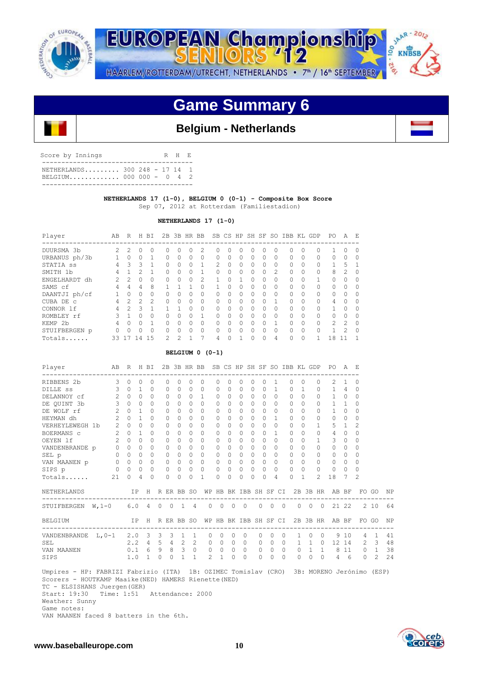

JAAR - 2012 **EUROPEAN Championship** 00 **KNBSB** -216 HAARLEM/ROTTERDAM/UTRECHT, NETHERLANDS • 7<sup>th</sup> / 16<sup>th</sup> SEPTEMBER

# **Game Summary 6**

## **Belgium - Netherlands**

| Score by Innings                                         |  |  | R H E |  |
|----------------------------------------------------------|--|--|-------|--|
| NETHERLANDS 300 248 - 17 14 1<br>BELGIUM 000 000 - 0 4 2 |  |  |       |  |
|                                                          |  |  |       |  |

## **NETHERLANDS 17 (1-0), BELGIUM 0 (0-1) - Composite Box Score** Sep 07, 2012 at Rotterdam (Familiestadion)

### **NETHERLANDS 17 (1-0)**

| Player        | AВ             | R             | H              | ВI            | 2B           | 3B            | HR           | <b>BB</b> |               | SB CS HP  |              |          | SH SF        | SO.      | IBB          | KL       | GDP          | PO.            | A              | E,       |
|---------------|----------------|---------------|----------------|---------------|--------------|---------------|--------------|-----------|---------------|-----------|--------------|----------|--------------|----------|--------------|----------|--------------|----------------|----------------|----------|
| DUURSMA 3b    | $\mathfrak{D}$ | 2             | $\Omega$       |               | U            | Ω             | O.           | 2         |               | $\bigcap$ |              | n        | 0            | O        | <sup>0</sup> | $\Omega$ | <sup>0</sup> |                |                | $\Omega$ |
| URBANUS ph/3b |                | $\Omega$      | <sup>0</sup>   |               | <sup>0</sup> | <sup>0</sup>  | $\Omega$     | $\Omega$  | 0             | $\Omega$  | <sup>0</sup> | 0        | <sup>n</sup> | 0        | $\Omega$     | $\Omega$ | $\Omega$     | $\Omega$       | <sup>0</sup>   | $\Omega$ |
| STATIA SS     | 4              | 3             | ς              |               |              | <sup>0</sup>  | $\Omega$     | 1         | $\mathcal{P}$ | $\Omega$  | <sup>0</sup> | $\cap$   | <sup>n</sup> | $\Omega$ | $\cap$       | $\Omega$ | $\Omega$     |                | 5              |          |
| SMITH 1b      | 4              |               |                |               | <sup>0</sup> | U             | 0            |           | O             | $\Omega$  | <sup>0</sup> | 0        | 0            | 2        | $\Omega$     | $\Omega$ | $\Omega$     | 8              | $\mathfrak{D}$ | $\Omega$ |
| ENGELHARDT dh | $\mathcal{P}$  | $\mathcal{P}$ | 0              | $\Omega$      | <sup>0</sup> | <sup>0</sup>  | $\Omega$     | 2         |               | $\cap$    |              | U        | 0            | $\Omega$ | $\Omega$     | $\Omega$ | 1            | $\Omega$       | $\bigcap$      | $\Omega$ |
| SAMS cf       | 4              | 4             | 4              | 8             |              |               |              | $\Omega$  |               | $\Omega$  | O            | $\Omega$ | 0            | $\Omega$ | $\Omega$     | $\Omega$ | $\Omega$     | $\Omega$       | $\Omega$       | $\Omega$ |
| DAANTJI ph/cf |                |               | $\Omega$       | $\Omega$      | $\cap$       | U             | $\Omega$     | $\Omega$  | $\Omega$      | $\cap$    | $\Omega$     | U        | O.           | $\Omega$ | $\cap$       | $\Omega$ | $\Omega$     | $\Omega$       | $\bigcap$      | $\Omega$ |
| CUBA DE C     | 4              | $\mathcal{P}$ | $\mathcal{P}$  | $\mathcal{P}$ | $\cap$       | O             | $\Omega$     | 0         | $\Omega$      | $\Omega$  | O            | O        | O            | 1        | $\Omega$     | $\Omega$ | $\Omega$     | 4              | $\bigcap$      | $\Omega$ |
| CONNOR 1f     | 4              | っ             | २              | 1             |              |               | $\cap$       | O         | 0             | $\cap$    | O            | $\cap$   | 0            | $\Omega$ | $\cap$       | $\Omega$ | $\Omega$     |                | $\bigcap$      | $\Omega$ |
| ROMBLEY rf    |                |               | O              | $\bigcap$     | <sup>0</sup> | U             | $\Omega$     |           | U             | $\Omega$  | O            | 0        | O.           | $\Omega$ | $\Omega$     | $\Omega$ | $\Omega$     | $\Omega$       | $\cap$         | $\Omega$ |
| KEMP 2b       | 4              |               | U              |               | $\cap$       | U             | $\cap$       | 0         | U             | $\cap$    | O            | U        | U.           | 1        | $\cap$       | $\Omega$ | $\Omega$     | $\mathfrak{D}$ | $\mathcal{P}$  | $\cap$   |
| STUIFBERGEN p | 0              |               | U              |               | O            | U             | <sup>0</sup> | 0         | U             | $\Omega$  |              | O        | <sup>n</sup> | $\Omega$ | $\Omega$     | $\Omega$ | $\Omega$     |                | 2              | $\Omega$ |
| Totals        | 33             |               | $\overline{4}$ | .5            | 2            | $\mathcal{D}$ |              | 7         | 4             | $\Omega$  |              | 0        | $\Omega$     | 4        | $\Omega$     | $\Omega$ |              | 18             |                |          |

### **BELGIUM 0 (0-1)**

| Player                                                                                                                                      | AB R H BI      |             |              |                       |          |                |                |                 | 2B 3B HR BB SB CS HP SH SF SO IBB KL GDP             |                |                   |            |           |           |              |                |              |                |              | PO.                                  | A F.           |                |                |      |
|---------------------------------------------------------------------------------------------------------------------------------------------|----------------|-------------|--------------|-----------------------|----------|----------------|----------------|-----------------|------------------------------------------------------|----------------|-------------------|------------|-----------|-----------|--------------|----------------|--------------|----------------|--------------|--------------------------------------|----------------|----------------|----------------|------|
| RIBBENS 2b                                                                                                                                  | 3              | $\Omega$    | 0            | $\Omega$              |          | $\Omega$       | 0              | $\Omega$        | $\Omega$                                             | 0              | $\Omega$          | 0          | $\Omega$  | $\Omega$  | $\mathbf{1}$ |                | $\Omega$     | $\Omega$       | 0            | 2                                    | $\mathbf{1}$   | 0              |                |      |
| DILLE SS                                                                                                                                    | 3              | $\Omega$    | $\mathbf{1}$ | $\Omega$              |          | 0              | $\Omega$       | $\Omega$        | $\Omega$                                             | 0              | $\cap$            | $\Omega$   | $\bigcap$ | $\Omega$  | $\mathbf{1}$ |                | $\Omega$     | $\overline{1}$ | $\mathbf 0$  | $\mathbf{1}$                         | 4              | $\Omega$       |                |      |
| DELANNOY cf                                                                                                                                 | 2              | $\Omega$    | $\Omega$     | $\bigcap$             |          | $\Omega$       | 0              | $\Omega$        | 1                                                    | $\Omega$       | $\Omega$          | $\Omega$   | $\bigcap$ | $\Omega$  | $\Omega$     |                | $\Omega$     | $\Omega$       | $\Omega$     | $\mathbf{1}$                         | $\mathbf{0}$   | $\Omega$       |                |      |
| DE OUINT 3b                                                                                                                                 | $\mathbf{3}$   | $\Omega$    | $\Omega$     | $\Omega$              |          | $\Omega$       | 0              | $\Omega$        | $\Omega$                                             | $\Omega$       | $\Omega$          | $\Omega$   | $\bigcap$ | $\Omega$  | $\Omega$     |                | $\Omega$     | $\Omega$       | $\Omega$     | $\mathbf{1}$                         | $\mathbf{1}$   | 0              |                |      |
| DE WOLF rf                                                                                                                                  | 2              | $\Omega$    | 1            | $\bigcap$             |          | $\Omega$       | $\Omega$       | $\bigcap$       | $\Omega$                                             | $\Omega$       | $\Omega$          | $\Omega$   | $\Omega$  | $\Omega$  | $\Omega$     |                | $\Omega$     | $\Omega$       | 0            | 1                                    | $\Omega$       | $\Omega$       |                |      |
| HEYMAN dh                                                                                                                                   | $\mathfrak{D}$ | $\Omega$    | $\mathbf{1}$ | $\bigcap$             |          | $\Omega$       | 0              | $\Omega$        | $\Omega$                                             | $\Omega$       | $\Omega$          | $\Omega$   | $\bigcap$ | $\Omega$  | $\mathbf{1}$ |                | $\bigcap$    | $\Omega$       | $\Omega$     | $\Omega$                             | $\Omega$       | $\Omega$       |                |      |
| VERHEYLEWEGH 1b                                                                                                                             | 2              | $\bigcap$   | $\Omega$     | $\bigcap$             |          | $\Omega$       | $\Omega$       | $\Omega$        | $\Omega$                                             | $\Omega$       | $\Omega$          | $\Omega$   | $\bigcap$ | $\Omega$  | $\Omega$     |                | $\cap$       | $\Omega$       | 1.           | 5                                    | $\overline{1}$ | $\mathfrak{D}$ |                |      |
| BOERMANS C                                                                                                                                  | 2              | $\Omega$    | $\mathbf{1}$ | $\cap$                |          | $\Omega$       | 0              | $\cap$          | $\Omega$                                             | $\Omega$       | $\Omega$          | $\Omega$   | $\bigcap$ | $\Omega$  | 1            |                | $\bigcap$    | $\Omega$       | $\Omega$     | 4                                    | $\Omega$       | $\Omega$       |                |      |
| OEYEN 1f                                                                                                                                    | $\overline{2}$ | $\Omega$    | $\Omega$     | $\Omega$              |          | 0              | $\Omega$       | $\Omega$        | $\Omega$                                             | 0              | $\Omega$          | $\Omega$   | $\Omega$  | $\Omega$  | $\Omega$     |                | $\Omega$     | $\Omega$       | $\mathbf{1}$ | 3                                    | $\Omega$       | $\Omega$       |                |      |
| VANDENBRANDE p                                                                                                                              | $\Omega$       | $\Omega$    | $\Omega$     | $\bigcap$             |          | $\Omega$       | 0              | $\Omega$        | $\Omega$                                             | $\Omega$       | $\Omega$          | $\Omega$   | $\bigcap$ | $\Omega$  | $\Omega$     |                | $\bigcap$    | $\Omega$       | $\Omega$     | $\Omega$                             | $\Omega$       | 0              |                |      |
| SEL p                                                                                                                                       | $0\quad 0$     |             | $\Omega$     | $\Omega$              |          | $\circ$        | $\Omega$       | $\Omega$        | $\Omega$                                             | 0              | $\Omega$          | $\Omega$   | $\bigcap$ | $\Omega$  | $\Omega$     |                | $\Omega$     | $\Omega$       | $\Omega$     | $\Omega$                             | $\Omega$       | $\Omega$       |                |      |
| VAN MAANEN p                                                                                                                                |                | $0 \quad 0$ | $\Omega$     | $\Omega$              |          | $\Omega$       | $\Omega$       | $\Omega$        | $\Omega$                                             | $\Omega$       | $\Omega$          | $\Omega$   | $\Omega$  | $\Omega$  | $\Omega$     |                | $\Omega$     | $\Omega$       | $\Omega$     | $\Omega$                             | $\Omega$       | $\Omega$       |                |      |
| SIPS p                                                                                                                                      | $\circ$        | $\bigcirc$  | 0            | $\circ$               |          | 0              | 0              | $\Omega$        | $\Omega$                                             | 0              | $\Omega$          | $\Omega$   | $\Omega$  | $\Omega$  | $\Omega$     |                | $\Omega$     | $\Omega$       | $\Omega$     | $\Omega$                             | $\Omega$       | $\Omega$       |                |      |
| Totals                                                                                                                                      | 21             | $\Omega$    | 4            | $\Omega$              |          | $\Omega$       | 0              | $\Omega$        | 1                                                    | $\Omega$       | $\Omega$          | 0          | $\Omega$  | $\bigcap$ | 4            |                | $\Omega$     | 1              | 2.           | 18                                   | 7              | $\mathcal{D}$  |                |      |
| NETHERLANDS                                                                                                                                 |                |             |              |                       |          |                |                | IP H R ER BB SO |                                                      |                |                   |            |           |           |              |                |              |                |              | WP HB BK IBB SH SF CI 2B 3B HR AB BF |                |                | FO GO          | NP   |
| STUIFBERGEN W, 1-0                                                                                                                          |                | 6.0         |              | 4 0                   |          | $\overline{0}$ | $\overline{1}$ | $\overline{4}$  | $\Omega$                                             | $\overline{0}$ | $\circ$           | $\bigcirc$ |           | $\Omega$  | $\circ$      | $\bigcirc$     | $\Omega$     | $\circ$        | $\bigcirc$   |                                      | 21 22          |                | 2 10           | 64   |
| BELGIUM                                                                                                                                     |                |             |              |                       |          |                |                |                 | IP H R ER BB SO WP HB BK IBB SH SF CI 2B 3B HR AB BF |                |                   |            |           |           |              |                |              |                |              |                                      |                |                | FO GO          | NP N |
| VANDENBRANDE $L, 0-1$ 2.0 3 3                                                                                                               |                |             |              |                       |          |                | 3 1            | $\mathbf{1}$    | $\circ$                                              | $\overline{0}$ | $\circ$           | $\circ$    |           | $\Omega$  | $\circ$      | $\Omega$       | $\mathbf{1}$ | $\circ$        | $\Omega$     | 9                                    | 10             | $\overline{4}$ | $\mathbf{1}$   | 41   |
| SEL                                                                                                                                         |                |             |              | $2.2 \quad 4 \quad 5$ |          |                | $4\quad 2$     |                 | $2^{\circ}$                                          |                | $0\quad 0\quad 0$ | $\bigcirc$ |           | $\Omega$  | $\Omega$     | $\Omega$       | $\mathbf{1}$ |                | 1 0          |                                      | 12 14          | 2              | $\mathcal{E}$  | 48   |
| VAN MAANEN                                                                                                                                  |                |             |              | $0.1 \t 6 \t 9$       |          |                | 8 3            | $\circ$         | $\circ$                                              | $\circ$        | $\circ$           | $\bigcirc$ |           | $\circ$   | $\circ$      | $\overline{0}$ | $\circ$      |                |              | $1 \quad 1 \quad 8 \quad 11 \quad 0$ |                |                | $\overline{1}$ | 38   |
| SIPS                                                                                                                                        |                | 1.0         |              | $\mathbf{1}$          | $\Omega$ | $\Omega$       | $\mathbf{1}$   | $\mathbf{1}$    | 2                                                    | $\mathbf{1}$   | $\Omega$          | $\Omega$   |           | $\Omega$  | $\Omega$     | $\Omega$       | $\Omega$     | $\Omega$       | $\bigcirc$   |                                      | $4\quad 6$     | $\Omega$       | $\mathcal{L}$  | 24   |
| Umpires - HP: FABRIZI Fabrizio (ITA) 1B: OZIMEC Tomislav (CRO) 3B: MORENO Jerónimo<br>Scorers - HOUTKAMP Maaike (NED) HAMERS Rienette (NED) |                |             |              |                       |          |                |                |                 |                                                      |                |                   |            |           |           |              |                |              |                |              |                                      |                |                | (ESP)          |      |

 TC - ELSISHANS Juergen(GER) Start: 19:30 Time: 1:51 Attendance: 2000

Weather: Sunny

 Game notes: VAN MAANEN faced 8 batters in the 6th.

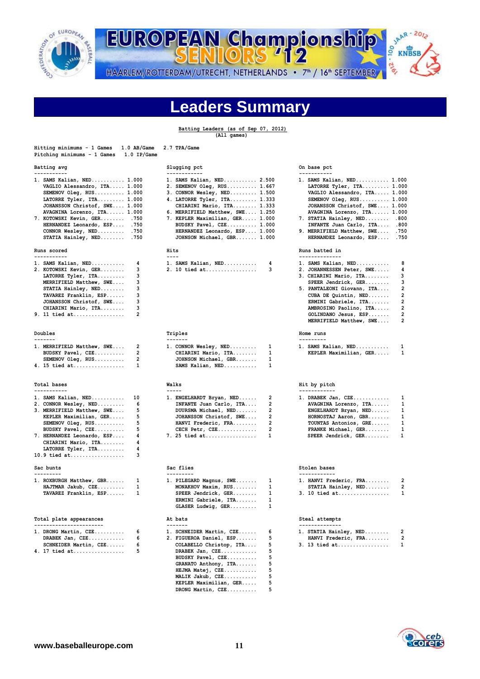

# SIMAR-2012 EUROPEAN Championship 01.2%

HAARLEM/ROTTERDAM/UTRECHT, NETHERLANDS • 7<sup>th</sup> / 16<sup>th</sup> SEPTEMBER

# **Leaders Summary**

## **Batting Leaders (as of Sep 07, 2012)**

 **(All games)**

| Hitting minimums - 1 Games<br>1.0 AB/Game<br>Pitching minimums - 1 Games<br>$1.0$ IP/Game                                                                                                                                                                                                                   | 2.7 TPA/Game                                                                                                                                                                                                                                                                                                                       |                                                                                                                                                                                                                                                                                                                                                                                      |
|-------------------------------------------------------------------------------------------------------------------------------------------------------------------------------------------------------------------------------------------------------------------------------------------------------------|------------------------------------------------------------------------------------------------------------------------------------------------------------------------------------------------------------------------------------------------------------------------------------------------------------------------------------|--------------------------------------------------------------------------------------------------------------------------------------------------------------------------------------------------------------------------------------------------------------------------------------------------------------------------------------------------------------------------------------|
| Batting avg<br>-----------                                                                                                                                                                                                                                                                                  | Slugging pct<br>------------                                                                                                                                                                                                                                                                                                       | On base pct<br>-----------                                                                                                                                                                                                                                                                                                                                                           |
| 1. SAMS Kalian, NED 1.000<br>VAGLIO Alessandro, ITA 1.000<br>SEMENOV Oleg, RUS 1.000<br>LATORRE Tyler, ITA 1.000<br>JOHANSSON Christof, SWE 1.000<br>AVAGNINA Lorenzo, ITA 1.000<br>7. KOTOWSKI Kevin, GER .750<br>HERNANDEZ Leonardo, ESP .750<br>CONNOR Wesley, NED .750<br>STATIA Hainley, NED .750      | 1. SAMS Kalian, NED 2.500<br>2. SEMENOV Oleg, RUS 1.667<br>3. CONNOR Wesley, NED 1.500<br>4. LATORRE Tyler, ITA 1.333<br>CHIARINI Mario, ITA 1.333<br>6. MERRIFIELD Matthew, SWE 1.250<br>7. KEPLER Maximilian, GER 1.000<br>BUDSKY Pavel, CZE 1.000<br>HERNANDEZ Leonardo, ESP 1.000<br>JOHNSON Michael, GBR 1.000                | 1. SAMS Kalian, NED 1.000<br>LATORRE Tyler, ITA 1.000<br>VAGLIO Alessandro, ITA 1.000<br>SEMENOV Oleg, RUS 1.000<br>JOHANSSON Christof, SWE 1.000<br>AVAGNINA Lorenzo, ITA 1.000<br>7. STATIA Hainley, NED .800<br>INFANTE Juan Carlo, ITA .800<br>9. MERRIFIELD Matthew, SWE .750<br>HERNANDEZ Leonardo, ESP .750                                                                   |
| Runs scored<br>-----------                                                                                                                                                                                                                                                                                  | Hits<br>$- - - -$                                                                                                                                                                                                                                                                                                                  | Runs batted in<br>--------------                                                                                                                                                                                                                                                                                                                                                     |
| 4<br>1. SAMS Kalian, NED<br>3<br>2. KOTOWSKI Kevin, GER<br>3<br>LATORRE Tyler, ITA<br>3<br>MERRIFIELD Matthew, SWE<br>3<br>STATIA Hainley, NED<br>3<br>TAVAREZ Franklin, ESP<br>3<br>JOHANSSON Christof, SWE<br>3<br>CHIARINI Mario, ITA<br>9. 11 tied at<br>2                                              | 1. SAMS Kalian, NED<br>4<br>2. 10 tied at<br>3                                                                                                                                                                                                                                                                                     | 8<br>1. SAMS Kalian, NED<br>4<br>2. JOHANNESSEN Peter, SWE<br>3<br>3. CHIARINI Mario, ITA<br>з<br>SPEER Jendrick, GER<br>$\overline{\mathbf{c}}$<br>5. PANTALEONI Giovann, ITA<br>2<br>CUBA DE Quintin, NED<br>$\overline{\mathbf{c}}$<br>ERMINI Gabriele, ITA<br>$\overline{a}$<br>AMBROSINO Paolino, ITA<br>2<br>GOLINDANO Jesus, ESP<br>$\overline{2}$<br>MERRIFIELD Matthew, SWE |
| Doubles<br>-------                                                                                                                                                                                                                                                                                          | Triples<br>-------                                                                                                                                                                                                                                                                                                                 | Home runs<br>---------                                                                                                                                                                                                                                                                                                                                                               |
| 1. MERRIFIELD Matthew, SWE<br>2<br>$\overline{2}$<br>BUDSKY Pavel, CZE<br>$\overline{2}$<br>SEMENOV Oleg, RUS<br>$\mathbf{1}$<br>4. 15 tied at                                                                                                                                                              | 1. CONNOR Wesley, NED<br>1<br>$\mathbf{1}$<br>CHIARINI Mario, ITA<br>JOHNSON Michael, GBR<br>1<br>1<br>SAMS Kalian, NED                                                                                                                                                                                                            | 1. SAMS Kalian, NED<br>1<br>KEPLER Maximilian, GER<br>1                                                                                                                                                                                                                                                                                                                              |
| Total bases                                                                                                                                                                                                                                                                                                 | Walks                                                                                                                                                                                                                                                                                                                              | Hit by pitch                                                                                                                                                                                                                                                                                                                                                                         |
| -----------<br>1. SAMS Kalian, NED<br>10<br>2. CONNOR Wesley, NED<br>6<br>5<br>3. MERRIFIELD Matthew, SWE<br>5<br>KEPLER Maximilian, GER<br>5<br>SEMENOV Oleg, RUS<br>5<br>BUDSKY Pavel, CZE<br>4<br>7. HERNANDEZ Leonardo, ESP<br>4<br>CHIARINI Mario, ITA<br>LATORRE Tyler, ITA<br>4<br>10.9 tied at<br>3 | -----<br>$\overline{\mathbf{2}}$<br>1. ENGELHARDT Bryan, NED<br>$\overline{2}$<br>INFANTE Juan Carlo, ITA<br>$\overline{\mathbf{2}}$<br>DUURSMA Michael, NED<br>$\overline{\mathbf{2}}$<br>JOHANSSON Christof, SWE<br>$\overline{\mathbf{2}}$<br>HANVI Frederic, FRA<br>$\overline{2}$<br>$CECH$ Petr, $CZE$<br>7. 25 tied at<br>1 | ------------<br>1. DRABEK Jan, CZE<br>1<br>1<br>AVAGNINA Lorenzo, ITA<br>1<br>ENGELHARDT Bryan, NED<br>$\mathbf 1$<br>HORNOSTAJ Aaron, GBR<br>1<br>TOUNTAS Antonios, GRE<br>FRANKE Michael, GER<br>$\mathbf{1}$<br>SPEER Jendrick, GER<br>$\mathbf{1}$                                                                                                                               |
| Sac bunts<br>---------                                                                                                                                                                                                                                                                                      | Sac flies<br>---------                                                                                                                                                                                                                                                                                                             | Stolen bases<br>------------                                                                                                                                                                                                                                                                                                                                                         |
| 1. ROXBURGH Matthew, GBR<br>1<br>1<br>HAJTMAR Jakub, CZE<br>TAVAREZ Franklin, ESP<br>1                                                                                                                                                                                                                      | 1. PILEGARD Magnus, SWE<br>1<br>MONAKHOV Maxim, RUS<br>1<br>SPEER Jendrick, GER<br>1<br>ERMINI Gabriele, ITA<br>1<br>GLASER Ludwig, GER<br>1                                                                                                                                                                                       | 1. HANVI Frederic, FRA<br>2<br>$\overline{2}$<br>STATIA Hainley, NED<br>1<br>$3. 10$ tied at                                                                                                                                                                                                                                                                                         |
| Total plate appearances<br>------------------------                                                                                                                                                                                                                                                         | At bats<br>-------                                                                                                                                                                                                                                                                                                                 | Steal attempts<br>--------------                                                                                                                                                                                                                                                                                                                                                     |
| 1. DRONG Martin, CZE<br>6<br>6<br>DRABEK $Jan, CZE$<br>SCHNEIDER Martin, CZE<br>6<br>5<br>$4 \t17 + i$ ed at                                                                                                                                                                                                | 1. SCHNEIDER Martin, CZE<br>6<br>5<br>2. FIGUEROA Daniel, ESP<br>COLABELLO Christop, ITA<br>5<br>DRAREK Jan CZE                                                                                                                                                                                                                    | 1. STATIA Hainley, NED<br>2<br>$\overline{2}$<br>HANVI Frederic, FRA<br>3. 13 tied at<br>$\mathbf{1}$                                                                                                                                                                                                                                                                                |

| Slugging pct<br>. _ _ _ _ _ _ _ _ _ _ |                                  |   |  |
|---------------------------------------|----------------------------------|---|--|
|                                       | 1. SAMS Kalian, NED 2.500        |   |  |
|                                       | 2. SEMENOV Oleg, RUS 1.667       |   |  |
|                                       | 3. CONNOR Wesley, NED 1.500      |   |  |
|                                       | 4. LATORRE Tyler, ITA 1.333      |   |  |
|                                       | CHIARINI Mario, ITA 1.333        |   |  |
|                                       | 6. MERRIFIELD Matthew, SWE 1.250 |   |  |
|                                       | 7. KEPLER Maximilian, GER 1.000  |   |  |
|                                       | BUDSKY Pavel, CZE 1.000          |   |  |
|                                       | HERNANDEZ Leonardo, ESP 1.000    |   |  |
|                                       | JOHNSON Michael, GBR 1.000       |   |  |
| Hits                                  |                                  |   |  |
|                                       | 1. SAMS Kalian, NED              | 4 |  |
|                                       | 2. 10 tied at                    | 3 |  |
|                                       |                                  |   |  |

| 1. CONNOR Wesley, NED |
|-----------------------|
| CHIARINI Mario, ITA   |
| JOHNSON Michael, GBR  |
| SAMS Kalian, NED      |

|  | 1. ENGELHARDT Bryan, NED | ٥ |
|--|--------------------------|---|
|  | INFANTE Juan Carlo, ITA  | 2 |
|  | DUURSMA Michael, NED     | ٥ |
|  | JOHANSSON Christof, SWE  | ٥ |
|  | HANVI Frederic, FRA      | ٥ |
|  | CECH Petr, CZE           | 2 |
|  | $7.25$ tied at           | 1 |

| 1. PILEGARD Magnus, SWE | 1 |
|-------------------------|---|
| MONAKHOV Maxim, RUS     | 1 |
| SPEER Jendrick, GER     | 1 |
| ERMINI Gabriele, ITA    | 1 |
| GLASER Ludwig, GER      | 1 |

| 1. DRONG Martin, CZE  |   | 1. SCHNEIDER Martin, CZE<br>6 |
|-----------------------|---|-------------------------------|
| DRABEK Jan, CZE       | 6 | 2. FIGUEROA Daniel, ESP 5     |
| SCHNEIDER Martin, CZE | 6 | COLABELLO Christop, ITA       |
| 4. 17 tied at         | 5 | DRABEK Jan, CZE<br>5          |
|                       |   | 5<br>BUDSKY Pavel, CZE        |
|                       |   | 5<br>GRANATO Anthony, ITA     |
|                       |   | HEJMA Matej, CZE<br>5         |
|                       |   | 5<br>MALIK Jakub, CZE         |
|                       |   | KEPLER Maximilian, GER<br>5   |
|                       |   | 5<br>DRONG Martin, CZE        |

## **Dn** base pct

| 1. SAMS Kalian, NED 1.000       |                         |
|---------------------------------|-------------------------|
| LATORRE Tyler, ITA 1.000        |                         |
| VAGLIO Alessandro, ITA 1.000    |                         |
| SEMENOV Oleg, RUS 1.000         |                         |
| JOHANSSON Christof, SWE 1.000   |                         |
| AVAGNINA Lorenzo, ITA 1.000     |                         |
| 7. STATIA Hainley, NED .800     |                         |
| INFANTE Juan Carlo, ITA .800    |                         |
| 9. MERRIFIELD Matthew, SWE .750 |                         |
| HERNANDEZ Leonardo, ESP .750    |                         |
| Runs batted in<br>------------- |                         |
| 1. SAMS Kalian, NED      8      |                         |
| 2. JOHANNESSEN Peter, SWE 4     |                         |
| 3. CHIARINI Mario, ITA 3        |                         |
| SPEER Jendrick, GER             | $\overline{\mathbf{3}}$ |
| 5. PANTALEONI Giovann, ITA 2    |                         |
|                                 |                         |
| CUBA DE Quintin, NED            | $\overline{2}$          |
| ERMINI Gabriele, ITA 2          |                         |
| AMBROSINO Paolino, ITA 2        |                         |
| GOLINDANO Jesus, ESP 2          |                         |
| MERRIFIELD Matthew, SWE         | $\overline{2}$          |

| ------- |                        |  |   |
|---------|------------------------|--|---|
|         | SAMS Kalian, NED       |  |   |
|         | KEPLER Maximilian, GER |  | 1 |

## **Total bases Walks Hit by pitch**

| DRABEK Jan, CZE       | 1  |
|-----------------------|----|
| AVAGNINA Lorenzo, ITA | 1  |
| ENGELHARDT Bryan, NED | 1  |
| HORNOSTAJ Aaron, GBR  | 1  |
| TOUNTAS Antonios, GRE | 1  |
| FRANKE Michael, GER   | 1  |
| SPEER Jendrick, GER   | 1. |
|                       |    |

### Sac flies Sac **bunts** Stolen bases

| -------------          |                |
|------------------------|----------------|
| 1. HANVI Frederic, FRA | 2              |
| STATIA Hainley, NED    | $\overline{2}$ |
| 3. 10 tied at          | 1              |

### At bats **Total plants** Steal attempts **----------------------- ------- --------------**

| 1. STATIA Hainley, NED             |   |
|------------------------------------|---|
| HANVI Frederic, FRA                | 2 |
| $3.13$ tied at $\ldots$ . $\ldots$ |   |

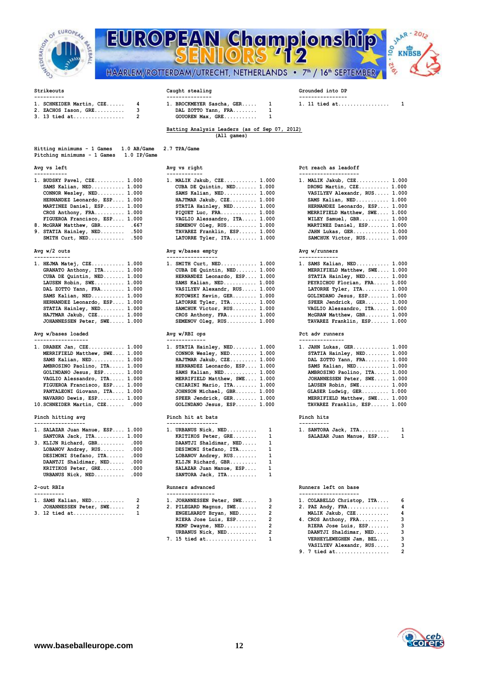

| <b>MOZINATION</b><br>Ĕ | EAN<br>HAARLEM/ROTTERDAM/UTRECHT, NETHERLANDS . | Championship<br>S<br>KN<br><b>COL</b><br>7 <sup>th</sup> / 16 <sup>th</sup> SEPTEMBER |
|------------------------|-------------------------------------------------|---------------------------------------------------------------------------------------|
| Strikeouts             | Caught stealing                                 | Grounded into DP                                                                      |



## **---------- --------------- ---------------- 1. SCHNEIDER Martin, CZE...... 4 1. BROCKMEYER Sascha, GER..... 1 1. 11 tied at.................. 1**<br> **2. ZACHOS Iason, GRE............ 3 DAL ZOTTO Yann, FRA........** 1<br> **3. 13 tied at.........................** 2

- **2. ZACHOS Iason, GRE.......... 3 DAL ZOTTO Yann, FRA........ 1 3. 13 tied at................. 2 GOUOREN Max, GRE........... 1**
- 

## **Batting Analysis Leaders (as of Sep 07, 2012) (All games)**

| Hitting minimums - 1 Games              | $1.0$ AB/Game | 2.7 TPA/Game |
|-----------------------------------------|---------------|--------------|
| Pitching minimums - 1 Games 1.0 IP/Game |               |              |
|                                         |               |              |

| 1. BUDSKY Pavel, CZE 1.000    | 1. MALIK Jakub, CZE 1.000    | 1. MALIK Jakub, CZE 1.000     |
|-------------------------------|------------------------------|-------------------------------|
| SAMS Kalian, $NED$ $1.000$    | CUBA DE Quintin, NED 1.000   | DRONG Martin, CZE 1.000       |
| CONNOR Wesley, $NED$ $1.000$  | SAMS Kalian, $NED$ $1.000$   | VASILYEV Alexandr, RUS 1.000  |
| HERNANDEZ Leonardo, ESP 1.000 | HAJTMAR Jakub, CZE 1.000     | SAMS Kalian, NED 1.000        |
| MARTINEZ Daniel, ESP 1.000    | STATIA Hainley, NED 1.000    | HERNANDEZ Leonardo, ESP 1.000 |
| CROS Anthony, $FRA$ $1.000$   | PIQUET Luc, FRA $1.000$      | MERRIFIELD Matthew, SWE 1.000 |
| FIGUEROA Francisco, ESP 1.000 | VAGLIO Alessandro, ITA 1.000 | WILEY Samuel, GBR 1.000       |
| 8. McGRAW Matthew, GBR .667   | $SEMENT$ Oleg, $RUS$ 1.000   | MARTINEZ Daniel, ESP 1.000    |
| 9. STATTA Hainley, NED. 500   | TAVAREZ Franklin, ESP 1.000  |                               |

## $Avg w/2 outs$

| 1. HEJMA Matej, CZE 1.000     | 1. SMITH Curt, NED 1.000      | 1. SAMS Kalian, NED 1.000     |
|-------------------------------|-------------------------------|-------------------------------|
| GRANATO Anthony, ITA 1.000    | CUBA DE Quintin, NED 1.000    | MERRIFIELD Matthew, SWE 1.000 |
| CUBA DE Quintin, NED 1.000    | HERNANDEZ Leonardo, ESP 1.000 | STATIA Hainley, NED 1.000     |
| LAUSEN Robin, SWE 1.000       | SAMS Kalian, $NED$ $1.000$    | PEYRICHOU Florian, FRA 1.000  |
| DAL ZOTTO Yann, FRA 1.000     | VASILYEV Alexandr, RUS 1.000  | LATORRE Tyler, ITA 1.000      |
| SAMS Kalian, $NED$ $1.000$    | KOTOWSKI Kevin, GER 1.000     | GOLINDANO Jesus, ESP 1.000    |
| HERNANDEZ Leonardo, ESP 1.000 | LATORRE Tyler, ITA 1.000      | SPEER Jendrick, GER 1.000     |
| STATIA Hainley, NED 1.000     | SAMCHUK Victor, RUS 1.000     | VAGLIO Alessandro, ITA 1.000  |
| HAJTMAR Jakub, CZE 1.000      | CROS Anthony, $FRA$ $1.000$   | McGRAW Matthew, GBR 1.000     |
| JOHANNESSEN Peter, SWE 1.000  | SEMENOV $Oleg$ , RUS $1.000$  | TAVAREZ Franklin, ESP 1.000   |

## Avg w/bases loaded **Avg w/RBI ops Pct adv** runners

| ------------------            |                                |                               |
|-------------------------------|--------------------------------|-------------------------------|
| 1. DRABEK Jan, CZE 1.000      | 1. STATIA Hainley, $NED$ 1.000 | 1. JAHN Lukas, GER 1.000      |
| MERRIFIELD Matthew, SWE 1.000 | CONNOR Wesley, $NED$ $1.000$   | STATIA Hainley, NED 1.000     |
| SAMS Kalian, $NED$ $1.000$    | HAJTMAR Jakub, CZE 1.000       | DAL ZOTTO Yann, FRA 1.000     |
| AMBROSINO Paolino, ITA 1.000  | HERNANDEZ Leonardo, ESP 1.000  | SAMS Kalian, NED 1.000        |
| GOLINDANO Jesus, ESP 1.000    | SAMS Kalian, $NED$ $1.000$     | AMBROSINO Paolino, ITA 1.000  |
| VAGLIO Alessandro, ITA 1.000  | MERRIFIELD Matthew, SWE 1.000  | JOHANNESSEN Peter, SWE 1.000  |
| FIGUEROA Francisco, ESP 1.000 | CHIARINI Mario, ITA 1.000      | LAUSEN Robin, SWE 1.000       |
| PANTALEONI Giovann, ITA 1.000 | JOHNSON Michael, GBR 1.000     | GLASER Ludwig, GER 1.000      |
| NAVARRO Dewis, ESP 1.000      | SPEER Jendrick, GER 1.000      | MERRIFIELD Matthew, SWE 1.000 |
| 10.SCHNEIDER Martin, CZE .000 | GOLINDANO Jesus, ESP 1.000     | TAVAREZ Franklin, ESP 1.000   |

## **Pinch hitting avg Pinch hit at bats Pinch hits**

| 1. SALAZAR Juan Manue, ESP 1.000<br>SANTORA $Jack, ITA$ $1.000$<br>3. KLIJN Richard, GBR .000<br>LOBANOV Andrey, RUS .000<br>DESIMONI Stefano, ITA .000<br>DAANTJI Shaldimar, NED .000<br>KRITIKOS Peter, GRE .000<br>URBANUS Nick, NED .000 | 1. URBANUS Nick, NED 1<br>KRITIKOS Peter, GRE 1<br>DAANTJI Shaldimar, NED 1<br>DESIMONI Stefano, ITA 1<br>LOBANOV Andrey, RUS 1<br>KLIJN Richard, GBR 1<br>SALAZAR Juan Manue, ESP 1<br>SANTORA Jack, $ITA$ $1$ | 1. SANTORA Jack, ITA<br>$\overline{\phantom{0}}$<br>SALAZAR Juan Manue, ESP 1 |
|----------------------------------------------------------------------------------------------------------------------------------------------------------------------------------------------------------------------------------------------|-----------------------------------------------------------------------------------------------------------------------------------------------------------------------------------------------------------------|-------------------------------------------------------------------------------|
| 2-out RBIs                                                                                                                                                                                                                                   | Runners advanced                                                                                                                                                                                                | Runners left on base                                                          |
| ----------                                                                                                                                                                                                                                   | --------------                                                                                                                                                                                                  | --------------------                                                          |

| 1. SAMS Kalian, NED 2    | 1. JOHANNESSEN Peter, SWE 3 | 1. COLABELLO Christop, ITA |  |
|--------------------------|-----------------------------|----------------------------|--|
| JOHANNESSEN Peter, SWE 2 | 2. PILEGARD Magnus, SWE 2   | 2. PAZ Andy, FRA           |  |
| 3. 12 tied at 1          | ENGELHARDT Bryan, NED 2     | MALIK Jakub, CZE           |  |

| 1. BUDSKY Pavel, CZE 1.000    | 1. MALIK Jakub, CZE 1.000    |  | 1. MALIK Jakub, CZE. |
|-------------------------------|------------------------------|--|----------------------|
| SAMS Kalian, $NED$ $1.000$    | CUBA DE Quintin, NED 1.000   |  | DRONG Martin, CZE    |
| CONNOR Wesley, $NED$ 1.000    | SAMS Kalian, $NED$ 1.000     |  | VASILYEV Alexandr    |
| HERNANDEZ Leonardo, ESP 1.000 | HAJTMAR Jakub, CZE 1.000     |  | SAMS Kalian, NED.    |
| MARTINEZ Daniel, ESP 1.000    | STATIA Hainley, NED 1.000    |  | HERNANDEZ Leonard    |
| CROS Anthony, $FRA$ $1.000$   | PIQUET Luc, FRA $1.000$      |  | MERRIFIELD Matthe    |
| FIGUEROA Francisco, ESP 1.000 | VAGLIO Alessandro, ITA 1.000 |  | WILEY Samuel, GBR    |
| 8. McGRAW Matthew, GBR .667   | SEMENOV $Oleg$ , RUS $1.000$ |  | MARTINEZ Daniel, 1   |
| 9. STATIA Hainley, NED .500   | TAVAREZ Franklin, ESP 1.000  |  | JAHN Lukas, GER      |
| SMITH $Curt, NED$ .500        | LATORRE Tyler, ITA 1.000     |  | SAMCHUK Victor, R    |
|                               |                              |  |                      |

## Avg w/bases empty **Avg w/runners**

| SMITH Curt, NED 1.000         |  |
|-------------------------------|--|
| CUBA DE Quintin, NED 1.000    |  |
| HERNANDEZ Leonardo, ESP 1.000 |  |
| SAMS Kalian, NED 1.000        |  |
| VASILYEV Alexandr, RUS 1.000  |  |
| KOTOWSKI Kevin, GER 1.000     |  |
| LATORRE Tyler, ITA 1.000      |  |
| SAMCHUK Victor, RUS 1.000     |  |
| CROS Anthony, FRA 1.000       |  |
| SEMENOV Oleg, RUS 1.000       |  |

| STATIA Hainley, NED 1.000     |  |
|-------------------------------|--|
| CONNOR Wesley, NED 1.000      |  |
| HAJTMAR Jakub, CZE 1.000      |  |
| HERNANDEZ Leonardo, ESP 1.000 |  |
| SAMS Kalian, NED 1.000        |  |
| MERRIFIELD Matthew, SWE 1.000 |  |
| CHIARINI Mario, ITA 1.000     |  |
| JOHNSON Michael, GBR 1.000    |  |
| SPEER Jendrick, GER 1.000     |  |
| GOLINDANO Jesus, ESP 1.000    |  |

| 1. SALAZAR Juan Manue, ESP 1.000 | 1. URBANUS Nick, NED 1    | <b>1. SANTORA</b> |
|----------------------------------|---------------------------|-------------------|
| SANTORA Jack, $ITA$ $1.000$      | KRITIKOS Peter, GRE 1     | <b>SALAZAR</b>    |
| 3. KLIJN Richard, GBR .000       | DAANTJI Shaldimar, NED 1  |                   |
| LOBANOV Andrey, RUS .000         | DESIMONI Stefano, ITA 1   |                   |
| DESIMONI Stefano, ITA .000       | LOBANOV Andrey, RUS 1     |                   |
| DAANTJI Shaldimar, NED .000      | KLIJN Richard, GBR 1      |                   |
| KRITIKOS Peter, GRE .000         | SALAZAR Juan Manue, ESP 1 |                   |
| URBANUS Nick, NED .000           | SANTORA Jack, ITA 1       |                   |

| 1. JOHANNESSEN Peter, SWE | 3 |
|---------------------------|---|
| 2. PILEGARD Magnus, SWE   | 2 |
| ENGELHARDT Bryan, NED     | 2 |
| RIERA Jose Luis, ESP      | 2 |
| KEMP Dwayne, NED          | 2 |
| URBANUS Nick, NED         | 2 |
| 7. 15 tied at             | 1 |

### Avg vs left **Avg vs right** Avg vs right Pct reach as leadoff

| 1. BUDSKY Pavel, CZE 1.000    | 1. MALIK Jakub, CZE 1.000    | 1. MALIK Jakub, CZE 1.000     |
|-------------------------------|------------------------------|-------------------------------|
| SAMS Kalian, $NED$ $1.000$    | CUBA DE Quintin, NED 1.000   | DRONG Martin, CZE 1.000       |
| CONNOR Wesley, $NED$ 1.000    | SAMS Kalian, $NED$ $1.000$   | VASILYEV Alexandr, RUS 1.000  |
| HERNANDEZ Leonardo, ESP 1.000 | HAJTMAR Jakub, CZE 1.000     | SAMS Kalian, $NED$ $1.000$    |
| MARTINEZ Daniel, ESP 1.000    | STATIA Hainley, NED 1.000    | HERNANDEZ Leonardo, ESP 1.000 |
| CROS Anthony, $FRA$ $1.000$   | PIQUET Luc, FRA $1.000$      | MERRIFIELD Matthew, SWE 1.000 |
| FIGUEROA Francisco, ESP 1.000 | VAGLIO Alessandro, ITA 1.000 | WILEY Samuel, GBR 1.000       |
| 8. McGRAW Matthew, GBR .667   | SEMENOV $Oleg$ , RUS $1.000$ | MARTINEZ Daniel, ESP 1.000    |
| 9. STATIA Hainley, NED .500   | TAVAREZ Franklin, ESP 1.000  | JAHN Lukas, GER 1.000         |
| SMITH $Curt, NED$ .500        | LATORRE Tyler, ITA 1.000     | SAMCHUK Victor, RUS 1.000     |

| . SAMS Kalian, NED 1.000      |  |
|-------------------------------|--|
| MERRIFIELD Matthew, SWE 1.000 |  |
| STATIA Hainley, NED 1.000     |  |
| PEYRICHOU Florian, FRA 1.000  |  |
| LATORRE Tyler, ITA 1.000      |  |
| GOLINDANO Jesus, ESP 1.000    |  |
| SPEER Jendrick, GER 1.000     |  |
| VAGLIO Alessandro, ITA 1.000  |  |
| McGRAW Matthew, GBR 1.000     |  |
| TAVAREZ Franklin, ESP 1.000   |  |

| 1. DRABEK Jan, CZE 1.000      | 1. STATIA Hainley, NED 1.000  | 1. JAHN Lukas, GER 1.000      |
|-------------------------------|-------------------------------|-------------------------------|
| MERRIFIELD Matthew, SWE 1.000 | CONNOR Wesley, $NED$ 1.000    | STATIA Hainley, NED 1.000     |
| SAMS Kalian, $NED$ $1.000$    | HAJTMAR Jakub, CZE 1.000      | DAL ZOTTO Yann, FRA 1.000     |
| AMBROSINO Paolino, ITA 1.000  | HERNANDEZ Leonardo, ESP 1.000 | SAMS Kalian, $NED$ $1.000$    |
| GOLINDANO Jesus, ESP 1.000    | SAMS Kalian, $NED$ $1.000$    | AMBROSINO Paolino, ITA 1.000  |
| VAGLIO Alessandro, ITA 1.000  | MERRIFIELD Matthew, SWE 1.000 | JOHANNESSEN Peter, SWE 1.000  |
| FIGUEROA Francisco, ESP 1.000 | CHIARINI Mario, ITA 1.000     | LAUSEN Robin, SWE 1.000       |
| PANTALEONI Giovann, ITA 1.000 | JOHNSON Michael, GBR 1.000    | GLASER Ludwig, GER 1.000      |
| NAVARRO Dewis, ESP 1.000      | SPEER Jendrick, GER 1.000     | MERRIFIELD Matthew, SWE 1.000 |
| 10.SCHNEIDER Martin, CZE .000 | GOLINDANO Jesus, ESP 1.000    | TAVAREZ Franklin, ESP 1.000   |

| 1. SANTORA Jack, ITA    |  |
|-------------------------|--|
| SALAZAR Juan Manue, ESP |  |
|                         |  |
|                         |  |
|                         |  |
|                         |  |

| 1. SAMS Kalian, NED 2    | 1. JOHANNESSEN Peter, SWE 3 | 1. COLABELLO Christop, ITA 6 |  |
|--------------------------|-----------------------------|------------------------------|--|
| JOHANNESSEN Peter, SWE 2 | 2. PILEGARD Magnus, SWE 2   | 2. PAZ Andy, FRA $4$         |  |
| 3. 12 tied at       1    | ENGELHARDT Bryan, NED 2     | MALIK Jakub, CZE 4           |  |
|                          | RIERA Jose Luis, ESP 2      | 4. CROS Anthony, FRA $3$     |  |
|                          | KEMP Dwayne, NED 2          | RIERA Jose Luis, ESP 3       |  |
|                          | URBANUS Nick, NED 2         | DAANTJI Shaldimar, NED 3     |  |
|                          | 7. 15 tied at 1             | VERHEYLEWEGHEN Jam, BEL 3    |  |
|                          |                             | VASILYEV Alexandr, RUS 3     |  |
|                          |                             |                              |  |
|                          |                             |                              |  |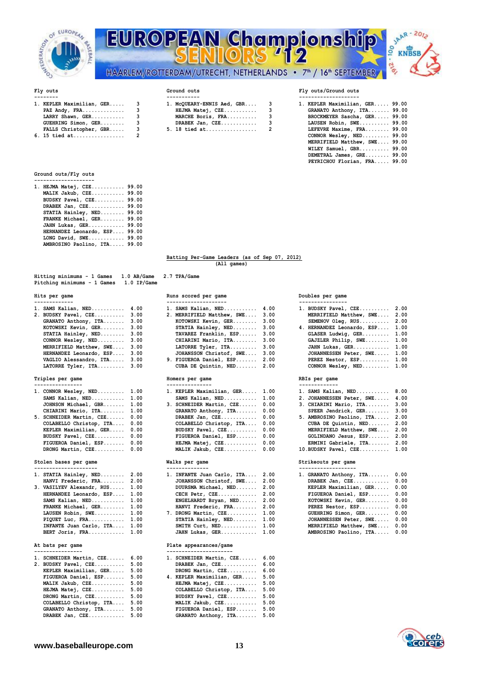



| 1. KEPLER Maximilian, GER | ٩ |
|---------------------------|---|
| PAZ Andy, FRA             | ٩ |
| LARRY Shawn, GER          | ٩ |
| GUEHRING Simon, GER       | ٩ |
| FALLS Christopher, GBR    | ٩ |
| 6. 15 tied at             | 2 |

| 1. KEPLER Maximilian, GER 3 | 1. MCOUEARY-ENNIS Aed, GBR 3 | 1. KEPLER Maximilian, GER 99.00 |
|-----------------------------|------------------------------|---------------------------------|
| PAZ Andy, $FRA$ 3           | HEJMA Matej, CZE 3           | GRANATO Anthony, ITA 99.00      |
| LARRY Shawn, GER 3          | MARCHE Boris, FRA 3          | BROCKMEYER Sascha, GER 99.00    |
| $GUEHRING$ Simon, $GER$ 3   | DRABEK Jan, $CZE$ 3          | LAUSEN Robin, SWE 99.00         |
| FALLS Christopher, GBR 3    | 5. 18 tied at 2              | LEFEVRE Maxime, FRA 99.00       |

## Fly outs **Ground outs** Ground outs **Ground outs Fly outs/Ground outs**

| 1. KEPLER Maximilian, GER 3 | 1. MCQUEARY-ENNIS Aed, GBR 3 | 1. KEPLER Maximilian, GER 99.00 |
|-----------------------------|------------------------------|---------------------------------|
| PAZ Andy, $FRA$ 3           | $HEJMA Matei, CZE$ 3         | GRANATO Anthony, ITA 99.00      |
| LARRY Shawn, GER 3          | MARCHE Boris, FRA 3          | BROCKMEYER Sascha, GER 99.00    |
| $GUEHRING Simon, GER.$ 3    | DRABEK Jan, $CZE$ 3          | LAUSEN Robin, SWE $99.00$       |
| FALLS Christopher, GBR 3    | 5. 18 tied at 2              | LEFEVRE Maxime, FRA 99.00       |
| 6. 15 tied at 2             |                              | CONNOR Wesley, $NED$ 99.00      |
|                             |                              | MERRIFIELD Matthew, SWE 99.00   |
|                             |                              | WILEY Samuel, GBR 99.00         |
|                             |                              | DEMETRAL James, GRE 99.00       |
|                             |                              | PEYRICHOU Florian, FRA 99.00    |

## **Ground outs/Fly outs**

| 1. HEJMA Matej, CZE 99.00    |       |
|------------------------------|-------|
| MALIK Jakub, CZE 99.00       |       |
| BUDSKY Pavel, CZE            | 99.00 |
| DRABEK Jan, CZE 99.00        |       |
| STATIA Hainley, NED          | 99.00 |
| FRANKE Michael, GER          | 99.00 |
| JAHN Lukas, GER 99.00        |       |
| HERNANDEZ Leonardo, ESP      | 99.00 |
| LONG David, SWE 99.00        |       |
| AMBROSINO Paolino, ITA 99.00 |       |
|                              |       |

### **Batting Per-Game Leaders (as of Sep 07, 2012) (All games)**

## **Hitting minimums - 1 Games 1.0 AB/Game 2.7 TPA/Game Pitching minimums - 1 Games 1.0 IP/Game**

|  |                                                                                                                                                                                                                                                                            | 1. BUDSKY Pavel, CZE 2.00                                                                                                                                                                                                                                                |  |
|--|----------------------------------------------------------------------------------------------------------------------------------------------------------------------------------------------------------------------------------------------------------------------------|--------------------------------------------------------------------------------------------------------------------------------------------------------------------------------------------------------------------------------------------------------------------------|--|
|  |                                                                                                                                                                                                                                                                            | MERRIFIELD Matthew, SWE 2.00                                                                                                                                                                                                                                             |  |
|  |                                                                                                                                                                                                                                                                            | $SEMENT$ Oleg, $RUS$ 2.00                                                                                                                                                                                                                                                |  |
|  |                                                                                                                                                                                                                                                                            | 4. HERNANDEZ Leonardo, ESP 1.00                                                                                                                                                                                                                                          |  |
|  |                                                                                                                                                                                                                                                                            | GLASER Ludwig, GER 1.00                                                                                                                                                                                                                                                  |  |
|  |                                                                                                                                                                                                                                                                            | GAJZLER Philip, SWE 1.00                                                                                                                                                                                                                                                 |  |
|  |                                                                                                                                                                                                                                                                            | JAHN Lukas, GER 1.00                                                                                                                                                                                                                                                     |  |
|  |                                                                                                                                                                                                                                                                            | JOHANNESSEN Peter, SWE 1.00                                                                                                                                                                                                                                              |  |
|  |                                                                                                                                                                                                                                                                            | PEREZ Nestor, ESP 1.00                                                                                                                                                                                                                                                   |  |
|  | 1. SAMS Kalian, $NED$ $4.00$<br>2. BUDSKY Pavel, CZE 3.00<br>GRANATO Anthony, ITA 3.00<br>KOTOWSKI Kevin, GER 3.00<br>STATIA Hainley, NED 3.00<br>CONNOR Wesley, $NED$ 3.00<br>MERRIFIELD Matthew, SWE 3.00<br>HERNANDEZ Leonardo, ESP 3.00<br>VAGLIO Alessandro, ITA 3.00 | 1. SAMS Kalian, NED 4.00<br>2. MERRIFIELD Matthew, SWE 3.00<br>KOTOWSKI Kevin, GER 3.00<br>STATIA Hainley, NED 3.00<br>TAVAREZ Franklin, ESP 3.00<br>CHIARINI Mario, ITA 3.00<br>LATORRE Tyler, ITA 3.00<br>JOHANSSON Christof, SWE 3.00<br>9. FIGUEROA Daniel, ESP 2.00 |  |

## **Triples per game Homers per game RBIs per game**

| ----------------              | ---------------                | -------------                  |  |
|-------------------------------|--------------------------------|--------------------------------|--|
| 1. CONNOR Wesley, NED 1.00    | 1. KEPLER Maximilian, GER 1.00 | 1. SAMS Kalian, NED 8.00       |  |
| SAMS Kalian, $NED$ $1.00$     | SAMS Kalian, $NED$ $1.00$      | 2. JOHANNESSEN Peter, SWE 4.00 |  |
| JOHNSON Michael, GBR 1.00     | 3. SCHNEIDER Martin, CZE 0.00  | 3. CHIARINI Mario, ITA 3.00    |  |
| CHIARINI Mario, ITA 1.00      | GRANATO Anthony, ITA 0.00      | SPEER Jendrick, GER 3.00       |  |
| 5. SCHNEIDER Martin, CZE 0.00 | DRABEK Jan, $CZE$ 0.00         | 5. AMBROSINO Paolino, ITA 2.00 |  |
| COLABELLO Christop, ITA 0.00  | COLABELLO Christop, ITA 0.00   | CUBA DE Quintin, NED 2.00      |  |
| KEPLER Maximilian, GER 0.00   | BUDSKY Pavel, CZE 0.00         | MERRIFIELD Matthew, SWE 2.00   |  |
| BUDSKY Pavel, CZE 0.00        | FIGUEROA Daniel, ESP 0.00      | GOLINDANO Jesus, ESP 2.00      |  |
| FIGUEROA Daniel, ESP 0.00     | HEJMA Matej, CZE 0.00          | ERMINI Gabriele, ITA 2.00      |  |
| DRONG Martin CZE 0.00         | MALIK Jakub CZE 0.00           | 10 BUDSKY Pavel $CSE$ 1.00     |  |

| 1. STATIA Hainley, NED    | 2.00  |
|---------------------------|-------|
| HANVI Frederic, FRA       | 2.00  |
| 3. VASILYEV Alexandr, RUS | 1.00  |
| HERNANDEZ Leonardo, ESP   | 1.00  |
| SAMS Kalian, NED          | 1.00  |
| FRANKE Michael, GER       | 1.00  |
| LAUSEN Robin, SWE         | 1.00  |
| PIQUET Luc, FRA           | 1.00  |
| INFANTE Juan Carlo, ITA   | 1.00  |
| גמס הנצאת חססם            | 1. OO |

## **---------------- ----------------------**

| 1. SCHNEIDER Martin, CZE | 6.00 | 1. SCHNEIDER Martin, CZE  | 6.00 |
|--------------------------|------|---------------------------|------|
| 2. BUDSKY Pavel, CZE     | 5.00 | DRABEK Jan, CZE           | 6.00 |
| KEPLER Maximilian, GER   | 5.00 | DRONG Martin, CZE         | 6.00 |
| FIGUEROA Daniel, ESP     | 5.00 | 4. KEPLER Maximilian, GER | 5.00 |
| MALIK Jakub, CZE         | 5.00 | HEJMA Matej, CZE          | 5.00 |
| HEJMA Matej, CZE         | 5.00 | COLABELLO Christop, ITA   | 5.00 |
| DRONG Martin, CZE        | 5.00 | BUDSKY Pavel, CZE         | 5.00 |
| COLABELLO Christop, ITA  | 5.00 | MALIK Jakub, CZE          | 5.00 |
| GRANATO Anthony, ITA     | 5.00 | FIGUEROA Daniel, ESP      | 5.00 |
| DRABEK $Jan, CZE$        | 5.00 | GRANATO Anthony, ITA      | 5.00 |

| SAMS Kalian, NED        | 4.00 | 1. SAMS Kalian, NED        | 4.00 |
|-------------------------|------|----------------------------|------|
| BUDSKY Pavel, CZE       | 3.00 | 2. MERRIFIELD Matthew, SWE | 3.00 |
| GRANATO Anthony, ITA    | 3.00 | KOTOWSKI Kevin, GER        | 3.00 |
| KOTOWSKI Kevin, GER     | 3.00 | STATIA Hainley, NED        | 3.00 |
| STATIA Hainley, NED     | 3.00 | TAVAREZ Franklin, ESP      | 3.00 |
| CONNOR Wesley, NED      | 3.00 | CHIARINI Mario, ITA        | 3.00 |
| MERRIFIELD Matthew, SWE | 3.00 | LATORRE Tyler, ITA         | 3.00 |
| HERNANDEZ Leonardo, ESP | 3.00 | JOHANSSON Christof, SWE    | 3.00 |
| VAGLIO Alessandro, ITA  | 3.00 | 9. FIGUEROA Daniel, ESP    | 2.00 |
| LATORRE Tyler, ITA      | 3.00 | CUBA DE Quintin, NED       | 2.00 |

|  | 1. CONNOR Wesley, NED 1.00<br>SAMS Kalian, $NED$ $1.00$<br>JOHNSON Michael, GBR 1.00<br>CHIARINI Mario, ITA 1.00<br>5. SCHNEIDER Martin, CZE 0.00<br>COLABELLO Christop, ITA 0.00<br>KEPLER Maximilian, GER 0.00<br>BUDSKY Pavel, CZE 0.00<br>FIGUEROA Daniel, ESP 0.00<br>DRONG Martin, $CZE$ $0.00$ |  | 1. KEPLER Maximilian, GER 1.00<br>SAMS Kalian, $NED$ $1.00$<br>3. SCHNEIDER Martin, CZE 0.00<br>GRANATO Anthony, ITA 0.00<br>DRABEK Jan, $CZE$ 0.00<br>COLABELLO Christop, ITA 0.00<br>BUDSKY Pavel, CZE 0.00<br>FIGUEROA Daniel, ESP 0.00<br>HEJMA Matej, CZE 0.00<br>MALIK Jakub, CZE 0.00 | 1. SAMS Kalian, NED 8.00<br>2. JOHANNESSEN Peter, SWE 4.00<br>3. CHIARINI Mario, ITA 3.00<br>SPEER Jendrick, GER 3.00<br>5. AMBROSINO Paolino, ITA 2.00<br>CUBA DE Quintin, NED 2.00<br>MERRIFIELD Matthew, SWE 2.00<br>GOLINDANO Jesus, ESP 2.00<br>ERMINI Gabriele, ITA 2.00<br>10. BUDSKY Pavel, CZE 1.00 |
|--|-------------------------------------------------------------------------------------------------------------------------------------------------------------------------------------------------------------------------------------------------------------------------------------------------------|--|----------------------------------------------------------------------------------------------------------------------------------------------------------------------------------------------------------------------------------------------------------------------------------------------|--------------------------------------------------------------------------------------------------------------------------------------------------------------------------------------------------------------------------------------------------------------------------------------------------------------|

| STATIA Hainley, NED 2.00      | 1. INFANTE Juan Carlo, ITA   | 2.00 |
|-------------------------------|------------------------------|------|
| HANVI Frederic, FRA 2.00      | JOHANSSON Christof, SWE      | 2.00 |
| . VASILYEV Alexandr, RUS 1.00 | DUURSMA Michael, NED         | 2.00 |
| HERNANDEZ Leonardo, ESP 1.00  | CECH Petr, CZE               | 2.00 |
| SAMS Kalian, $NED$ $1.00$     | $ENGELHARDT$ $Bryan$ , $NED$ | 2.00 |
| FRANKE Michael, GER 1.00      | HANVI Frederic, FRA 2.00     |      |
| LAUSEN Robin, SWE 1.00        | 7. DRONG Martin, CZE         | 1.00 |
| PIQUET Luc, FRA $1.00$        | STATIA Hainley, NED          | 1.00 |
| INFANTE Juan Carlo, ITA 1.00  | SMITH Curt, NED              | 1.00 |
| BERT Joris, FRA 1.00          | JAHN Lukas, GER 1.00         |      |

## **At bats per game Plate appearances/game**

| 1. SCHNEIDER Martin, CZE | 6.00 | 1. SCHNEIDER Martin, CZE  | 6.00 |
|--------------------------|------|---------------------------|------|
| 2. BUDSKY Pavel, CZE     | 5.00 | DRABEK Jan, CZE           | 6.00 |
| KEPLER Maximilian, GER   | 5.00 | DRONG Martin, CZE         | 6.00 |
| FIGUEROA Daniel, ESP     | 5.00 | 4. KEPLER Maximilian, GER | 5.00 |
| MALIK Jakub, CZE         | 5.00 | HEJMA Matej, CZE          | 5.00 |
| HEJMA Matej, CZE         | 5.00 | COLABELLO Christop, ITA   | 5.00 |
| DRONG Martin, CZE        | 5.00 | BUDSKY Pavel, CZE         | 5.00 |
| COLABELLO Christop, ITA  | 5.00 | MALIK Jakub, CZE          | 5.00 |
| GRANATO Anthony, ITA     | 5.00 | FIGUEROA Daniel, ESP      | 5.00 |
| DRABEK Jan. $CZE$        | 5.00 | GRANATO Anthony, ITA      | 5.00 |

## **Hits per game Runs scored per game Doubles per game**

| 1. BUDSKY Pavel, CZE       | 2.00 |
|----------------------------|------|
| MERRIFIELD Matthew, SWE    | 2.00 |
| SEMENOV Oleg, RUS          | 2.00 |
| 4. HERNANDEZ Leonardo, ESP | 1.00 |
| GLASER Ludwig, GER         | 1.00 |
| GAJZLER Philip, SWE        | 1.00 |
| JAHN Lukas, GER            | 1.00 |
| JOHANNESSEN Peter, SWE     | 1.00 |
| PEREZ Nestor, ESP          | 1.00 |
| CONNOR Wesley, NED         | 1.00 |
|                            |      |

| Stolen bases per game         |  | Walks per game                 | Strikeouts per game |  |                                 |  |  |  |  |
|-------------------------------|--|--------------------------------|---------------------|--|---------------------------------|--|--|--|--|
| DRONG Martin, CZE 0.00        |  | MALIK Jakub, CZE 0.00          |                     |  | $10.BUDSKY$ Pavel, $CZE$ $1.00$ |  |  |  |  |
| FIGUEROA Daniel, ESP 0.00     |  | HEJMA Matej, CZE 0.00          |                     |  | ERMINI Gabriele, ITA 2.00       |  |  |  |  |
| BUDSKY Pavel, CZE 0.00        |  | FIGUEROA Daniel, ESP 0.00      |                     |  | GOLINDANO Jesus, ESP 2.00       |  |  |  |  |
| KEPLER Maximilian, GER 0.00   |  | BUDSKY Pavel, CZE 0.00         |                     |  | MERRIFIELD Matthew, SWE 2.00    |  |  |  |  |
| COLABELLO Christop, ITA 0.00  |  | COLABELLO Christop, ITA 0.00   |                     |  | CUBA DE Quintin, NED 2.00       |  |  |  |  |
| 5. SCHNEIDER Martin, CZE 0.00 |  | DRABEK Jan, $CZE$ 0.00         |                     |  | 5. AMBROSINO Paolino, ITA 2.00  |  |  |  |  |
| CHIARINI Mario, ITA 1.00      |  | GRANATO Anthony, ITA 0.00      |                     |  | SPEER Jendrick, GER 3.00        |  |  |  |  |
| JOHNSON Michael, GBR 1.00     |  | 3. SCHNEIDER Martin, CZE 0.00  |                     |  | 3. CHIARINI Mario, ITA 3.00     |  |  |  |  |
| SAMS Kalian, $NED$ $1.00$     |  | SAMS Kalian, NED 1.00          |                     |  | 2. JOHANNESSEN Peter, SWE 4.00  |  |  |  |  |
| 1. CONNOR Wesley, NED 1.00    |  | 1. KEPLER Maximilian, GER 1.00 |                     |  | 1. SAMS Kalian, NED 8.00        |  |  |  |  |
|                               |  |                                |                     |  |                                 |  |  |  |  |

| 1. STATIA Hainley, NED 2.00    |  | 1. INFANTE Juan Carlo, ITA 2.00 |  | 1. GRANATO Anthony, ITA 0.00 |  |
|--------------------------------|--|---------------------------------|--|------------------------------|--|
| HANVI Frederic, FRA 2.00       |  | JOHANSSON Christof, SWE 2.00    |  | DRABEK Jan, $CZE$ 0.00       |  |
| 3. VASILYEV Alexandr, RUS 1.00 |  | DUURSMA Michael, NED 2.00       |  | KEPLER Maximilian, GER 0.00  |  |
| HERNANDEZ Leonardo, ESP 1.00   |  | CECH Petr, $CZE$ 2.00           |  | FIGUEROA Daniel, ESP 0.00    |  |
| SAMS Kalian, $NED$ $1.00$      |  | $ENGELHARDT$ Bryan, $NED$ 2.00  |  | KOTOWSKI Kevin, GER 0.00     |  |
| FRANKE Michael, GER 1.00       |  | HANVI Frederic, FRA 2.00        |  | PEREZ Nestor, ESP 0.00       |  |
| LAUSEN Robin, SWE 1.00         |  | 7. DRONG Martin, CZE 1.00       |  | GUEHRING Simon, GER 0.00     |  |
| PIQUET Luc, FRA $1.00$         |  | STATIA Hainley, NED 1.00        |  | JOHANNESSEN Peter, SWE 0.00  |  |
| INFANTE Juan Carlo, ITA 1.00   |  | SMITH $Curt, NED$ $1.00$        |  | MERRIFIELD Matthew, SWE 0.00 |  |
| BERT Joris, $FRA$ 1.00         |  | JAHN Lukas, GER 1.00            |  | AMBROSINO Paolino, ITA 0.00  |  |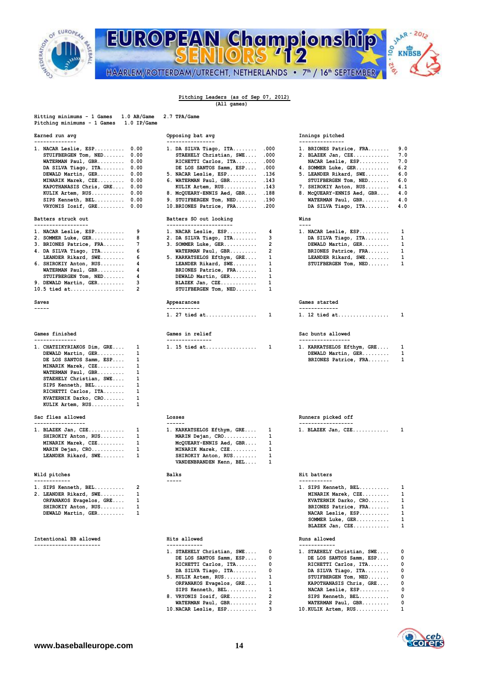

## JAAR - 2012 EUROPEAN Championship **KNBSB** -216 HAARLEM/ROTTERDAM/UTRECHT, NETHERLANDS • 7<sup>th</sup> / 16<sup>th</sup> SEPTEMBER

### **Pitching Leaders (as of Sep 07, 2012) (All games)**

**Hitting minimums - 1 Games 1.0 AB/Game 2.7 TPA/Game Pitching minimums - 1 Games 1.0 IP/Game Earned run avg Series and Series proposing bat avg Series proposing bat avg -------------- ---------------- ---------------** 1. NACAR Leslie, ESP......... 0.00 1. DA SILVA Tiago, ITA........ .000 **STUIFBERGEN Tom, NED....... 0.00 STAEHELY Christian, SWE.... .000 RICHETTI Carlos, ITA........ .000** DE LOS SANTOS Samm, ESP.... .000  **WATERMAN Paul, GBR......... 0.00**<br>DA SILVA Tiago, ITA......... 0.00<br>DEWALD Martin, GER......... 0.00 **5. NACAR Leslie, ESP.......... .136**<br>**6. WATERMAN Paul, GBR......... .143 MINARIK Marek, CZE......... 0.00 6. WATERMAN Paul, GBR......... 143<br>KAPOTHANASIS Chris, GRE.... 0.00 KULIK Artem, RUS........... 143 KAPOTHANASIS Chris, GRE.... 0.00 8.123 8.123 8.123 8.123 8.143 8.143 8.143 8.143 8.143 8.143 8.143 8.143 8.143 8.143 8.143 8.143 8.143 8.143 8.143 8.143 8.143 8.143 8.143 8.143 8.143 8.143 8.143 8.143 8.143 8.143 8.143 8 KULIK Artem, RUS........... 0.00 8. McQUEARY-ENNIS Aed, GBR.... .188**<br>SIPS Kenneth, BEL......... 0.00 9. STUIFBERGEN Tom, NED....... .190 **SIPS Kenneth, BEL.......... 0.00 9. STUIFBERGEN Tom, NED....... .190**<br>VRYONIS Iosif, GRE......... 0.00 10.BRIONES Patrice, FRA....... .200  **10.BRIONES Patrice, FRA....... .200 Batters struck out CONTING BATTERS SO out looking ------------------ ---------------------- ---- 1. NACAR Leslie, ESP.......... 9 1. NACAR Leslie, ESP.......... 4 1. NACAR Leslie, ESP.......... 1** 2. SOMMER Luke, GER............ 8 2. DA SILVA Tiago, ITA......... 3<br>3. BRIONES Patrice, FRA....... 7 3. SOMMER Luke, GER............ 2 3. SOMMER Luke, GER...........<br>WATERMAN Paul, GBR......... 1. DA SILVA Tiago, ITA......... 6 **WATERMAN Paul, GBR.......... 2**<br>LEANDER Rikard, SWE........ 6 5. KARKATSELOS Efthym, GRE.... 1 6 5. KARKATSELOS Efthym, GRE.... 1 6. SHIROKIY Anton, RUS........ 4 LEANDER Rikard, SWE........ 1 **WATERMAN Paul, GBR......... 4** BRIONES Patrice, FRA....... 1<br>STUIFBERGEN Tom, NED....... 4 DEWALD Martin, GER......... 1 **DEWALD Martin, GER........ 9. DEWALD Martin, GER......... 3 BLAZEK Jan, CZE............ 1 10.5 tied at.................. Saves Barrow Community School Community Appearances Games Games** started **----- ----------- ------------- 1. 27 tied at................. 1 1. 12 tied at................. 1 Games finished Games in relief Sac bunts allowed -------------- --------------- -----------------** 1. CHATZIKYRIAKOS Dim, GRE.... 1 1. 15 tied at................... 1 DEWALD Martin, GER......... 1 **DE LOS SANTOS Samm, ESP....** 1  **MINARIK Marek, CZE......... 1 WATERMAN Paul, GBR......... 1 STAEHELY Christian, SWE.... 1 SIPS Kenneth, BEL.......... 1 RICHETTI Carlos, ITA....... 1 KVATERNIK Darko, CRO....... 1 KULIK Artem, RUS........... 1 Sac flies allowed Losses Runners picked off Runners picked off ----------------- ------ ------------------** 1. BLAZEK Jan, CZE.............. 1 1. KARKATSELOS Efthym, GRE.... 1 1. BLAZEK Jan, CZE............<br>SHIROKIY Anton, RUS........ 1 1 MARIN Dejan, CRO........... 1  **SHIROKIY Anton, RUS........ 1 MARIN Dejan, CRO........... 1 MINARIK Marek, CZE......... 1 McQUEARY-ENNIS Aed, GBR.... 1**  1 MINARIK Marek, CZE.......... 1<br>1 SHIROKIY Anton, RUS........ 1 **MARIN Dejan, CRO................ 1**<br> **LEANDER Rikard, SWE........** 1 **SHIROKIY Anton, RUS.........** 1<br> **VANDENBRANDEN Kenn, BEL....** 1  **VANDENBRANDEN Kenn, BEL.... 1 Wild pitches Balks Hit batters ------------ ----- ----------- 1. SIPS Kenneth, BEL.......... 2 1. SIPS Kenneth, BEL.......... 1 2. LEANDER Rikard, SWE........ 1 MINARIK Marek, CZE......... 1 ORFANAKOS Evagelos, GRE..... 1**<br>SHIROKIY Anton, RUS........ 1 SHIROKIY Anton, RUS........ **DEWALD Martin, GER.......... 1 SOMMER Luke, GER........... 1 BLAZEK Jan, CZE............ 1 Intentional BB allowed Hits allowed Runs allowed**

| Innings pitched |
|-----------------|

|      | 1. BRIONES Patrice, FRA    | 9.0 |
|------|----------------------------|-----|
|      | 2. BLAZEK Jan, CZE         | 7.0 |
|      | NACAR Leslie, ESP          | 7.0 |
|      | 4. SOMMER Luke, GER        | 6.2 |
|      | 5. LEANDER Rikard, SWE     | 6.0 |
|      | STUIFBERGEN Tom, NED       | 6.0 |
|      | 7. SHIROKIY Anton, RUS     | 4.1 |
|      | 8. McQUEARY-ENNIS Aed, GBR | 4.0 |
|      | WATERMAN Paul, GBR         | 4.0 |
|      | DA SILVA Tiago, ITA        | 4.0 |
| Wins |                            |     |
|      |                            |     |
|      |                            |     |

| 1. NACAR Leslie, ESP | 1  |
|----------------------|----|
| DA SILVA Tiago, ITA  | 1. |
| DEWALD Martin, GER   | 1  |
| BRIONES Patrice, FRA | 1. |
| LEANDER Rikard, SWE  | 1  |
| STUIFBERGEN Tom, NED | 1  |

|  |  |  |  |  |  | 1. 12 tied at |  |  |  |  |  |  |  |  |  |  |
|--|--|--|--|--|--|---------------|--|--|--|--|--|--|--|--|--|--|

| ---------                  |              |
|----------------------------|--------------|
| 1. KARKATSELOS Efthym, GRE | $\mathbf{1}$ |
| DEWALD Martin, GER         | 1            |
| BRIONES Patrice, FRA       | 1            |

| $1$ BLAZEK Jan CZE |  |  |  |  |  |  |
|--------------------|--|--|--|--|--|--|

| 1. SIPS Kenneth, BEL | 1 |
|----------------------|---|
| MINARIK Marek, CZE   | 1 |
| KVATERNIK Darko, CRO | 1 |
| BRIONES Patrice, FRA | 1 |
| NACAR Leslie, ESP    | 1 |
| SOMMER Luke, GER     | 1 |
| BLAZEK Jan, CZE      | 1 |
|                      |   |

| 1. STAEHELY Christian, SWE 0 | 1. STAEHELY Christian, SWE 0 |  |
|------------------------------|------------------------------|--|
| DE LOS SANTOS Samm, ESP 0    | DE LOS SANTOS Samm, ESP 0    |  |
| RICHETTI Carlos, ITA 0       | RICHETTI Carlos, ITA 0       |  |
| DA SILVA Tiago, ITA 0        | DA SILVA Tiago, ITA 0        |  |
| $5.$ KULIK Artem, RUS $1$    | STUIFBERGEN Tom, NED 0       |  |
| ORFANAKOS Evagelos, GRE 1    | KAPOTHANASIS Chris, GRE 0    |  |
| SIPS Kenneth, $BEL$ $1$      | NACAR Leslie, ESP 0          |  |
| 8. VRYONIS Iosif, GRE 2      | SIPS Kenneth, BEL 0          |  |
| WATERMAN Paul, GBR 2         | WATERMAN Paul, GBR 0         |  |
| $10.NACAR$ Leslie, $ESP$     | $10.KULIK$ Artem, $RUS$ 1    |  |

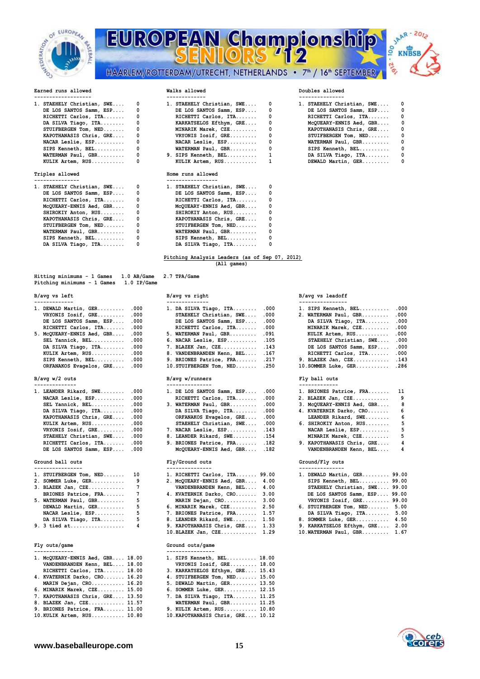

# EUROPEAN Championship HAARLEM/ROTTERDAM/UTRECHT, NETHERLANDS • 7<sup>th</sup> / 16<sup>th</sup> SEPTEMBER



| 1. STAEHELY Christian, SWE 0 | 1. STAEHELY Christian, SWE 0 | 1. STAEHELY Chr     |
|------------------------------|------------------------------|---------------------|
| DE LOS SANTOS Samm, ESP 0    | DE LOS SANTOS Samm, ESP 0    | DE LOS SANTO        |
| RICHETTI Carlos, ITA 0       | RICHETTI Carlos, ITA 0       | RICHETTI Car        |
| DA SILVA Tiago, ITA 0        | KARKATSELOS Efthym, GRE 0    | <b>MCOUEARY-ENN</b> |
| $STUIFBERGEN Tom, NED \t.$   | MINARIK Marek, CZE 0         | <b>KAPOTHANASIS</b> |
| KAPOTHANASIS Chris, GRE 0    | VRYONIS Iosif, GRE  0        | STUIFBERGEN         |
| NACAR Leslie, $ESP$ $0$      | $NACAR$ Leslie, $ESP$ 0      | <b>WATERMAN Pau</b> |
| $SIPS$ Kenneth, $BEL$ 0      | $WATERMAN$ Paul, $GBR$ $0$   | SIPS Kenneth        |
| $WATERMAN$ Paul, $GBR$ 0     | 9. SIPS Kenneth, BEL $1$     | DA SILVA Tia        |
| KULIK Artem, RUS 0           | KULIK Artem, RUS 1           | DEWALD Marti        |
|                              |                              |                     |

| 1. STAEHELY Christian, SWE | 0 | 1. STAEHELY Christian, SWE | 0          |
|----------------------------|---|----------------------------|------------|
| DE LOS SANTOS Samm, ESP    | 0 | DE LOS SANTOS Samm, ESP    | 0          |
| RICHETTI Carlos, ITA       | 0 | RICHETTI Carlos, ITA       | 0          |
| MCQUEARY-ENNIS Aed, GBR    | 0 | McQUEARY-ENNIS Aed, GBR    | $^{\circ}$ |
| SHIROKIY Anton, RUS        | 0 | SHIROKIY Anton, RUS        | 0          |
| KAPOTHANASIS Chris, GRE    | 0 | KAPOTHANASIS Chris, GRE    | $^{\circ}$ |
| STUIFBERGEN Tom, NED       | 0 | STUIFBERGEN Tom, NED       | $\Omega$   |
| WATERMAN Paul, GBR         | 0 | WATERMAN Paul, GBR         | $^{\circ}$ |
| SIPS Kenneth, BEL          | 0 | SIPS Kenneth, BEL          | 0          |
| DA SILVA Tiago, ITA        | 0 | DA SILVA Tiago, ITA        |            |

## **Hitting minimums - 1 Games 1.0 AB/Game 2.7 TPA/Game Pitching minimums - 1 Games 1.0 IP/Game**

| 1. DEWALD Martin, GER      | .000 |
|----------------------------|------|
| VRYONIS Iosif, GRE         | .000 |
| DE LOS SANTOS Samm, ESP    | .000 |
| RICHETTI Carlos, ITA       | .000 |
| 5. MCQUEARY-ENNIS Aed, GBR | .000 |
| SEL Yannick, BEL           | .000 |
| DA SILVA Tiago, ITA        | .000 |
| KULIK Artem, RUS           | .000 |
| SIPS Kenneth, BEL          | .000 |
| ORFANAKOS Evagelos, GRE    | .000 |
|                            |      |

## $B/avg w/2 outs$

| --------------               |                                 |                                              |
|------------------------------|---------------------------------|----------------------------------------------|
| 1. LEANDER Rikard, SWE .000  | 1. DE LOS SANTOS Samm, ESP .000 | 1. BRIONES Patrice, FRA 11                   |
| NACAR Leslie, ESP .000       | RICHETTI Carlos, ITA .000       | و ۔<br>2. BLAZEK Jan, CZE                    |
| SEL Yannick, $BEL$ .000      | 3. WATERMAN Paul, GBR .000      | - 8<br>3. McQUEARY-ENNIS Aed, GBR            |
| DA SILVA Tiago, ITA .000     | DA SILVA Tiago, ITA .000        | 4. KVATERNIK Darko, CRO<br>- 6               |
| KAPOTHANASIS Chris, GRE .000 | ORFANAKOS Evagelos, GRE .000    | LEANDER Rikard, SWE 6                        |
| KULIK Artem, RUS .000        | STAEHELY Christian, SWE .000    | 6. SHIROKIY Anton, RUS 5                     |
| VRYONIS Iosif, GRE .000      | 7. NACAR Leslie, ESP 143        | NACAR Leslie, ESP<br>- 5                     |
| STAEHELY Christian, SWE .000 | 8. LEANDER Rikard, SWE . 154    | $-5$<br>MINARIK Marek, CZE                   |
| RICHETTI Carlos, ITA .000    | 9. BRIONES Patrice, FRA .182    | 9. KAPOTHANASIS Chris, GRE<br>$\overline{4}$ |
| DE LOS SANTOS Samm, ESP .000 | McQUEARY-ENNIS Aed, GBR .182    | VANDENBRANDEN Kenn, BEL<br>- 4               |
|                              |                                 |                                              |

| ---------------- |                                    |                |                                  |  |                     |  |
|------------------|------------------------------------|----------------|----------------------------------|--|---------------------|--|
|                  | 1. STUIFBERGEN Tom, NED 10         |                | 1. RICHETTI Carlos, ITA 99.00    |  | 1. DEWALD Marti     |  |
|                  | 2. SOMMER Luke, GER 9              |                | 2. MCQUEARY-ENNIS Aed, GBR 4.00  |  | SIPS Kenneth        |  |
|                  | 3. BLAZEK Jan, CZE                 | $7\phantom{0}$ | VANDENBRANDEN Kenn, BEL 4.00     |  | STAEHELY Chr        |  |
|                  | BRIONES Patrice, FRA 7             |                | 4. KVATERNIK Darko, CRO 3.00     |  | DE LOS SANTO        |  |
|                  | 5. WATERMAN Paul, GBR              | 5 -            | MARIN Dejan, CRO 3.00            |  | <b>VRYONIS Iosi</b> |  |
|                  | DEWALD Martin, GER                 | 5              | 6. MINARIK Marek, CZE 2.50       |  | 6. STUIFBERGEN      |  |
|                  | NACAR Leslie, $ESP$ 5              |                | 7. BRIONES Patrice, FRA 1.57     |  | DA SILVA Tia        |  |
|                  | DA SILVA Tiago, ITA 5              |                | 8. LEANDER Rikard, SWE 1.50      |  | 8. SOMMER Luke,     |  |
|                  | 9. 3 tied at $\ldots$ . $\ldots$ 4 |                | 9. KAPOTHANASTS Chris. GRE. 1.33 |  | 9 KARKATSELOS       |  |

## **------------- ----------------**

| 1. MCQUEARY-ENNIS Aed, GBR 18.00<br>VANDENBRANDEN Kenn, BEL 18.00 |  | 1. SIPS Kenneth, BEL 18.00<br>VRYONIS Iosif, GRE 18.00 |
|-------------------------------------------------------------------|--|--------------------------------------------------------|
| RICHETTI Carlos, ITA 18.00                                        |  | 3. KARKATSELOS Efthym, GRE 15.43                       |
| 4. KVATERNIK Darko, CRO 16.20                                     |  | 4. STUIFBERGEN Tom, NED 15.00                          |
| MARIN Dejan, CRO 16.20                                            |  | 5. DEWALD Martin, GER 13.50                            |
| 6. MINARIK Marek, CZE 15.00                                       |  | 6. SOMMER Luke, GER 12.15                              |
| 7. KAPOTHANASIS Chris, GRE 13.50                                  |  | 7. DA SILVA Tiago, ITA 11.25                           |
| 8. BLAZEK Jan, CZE 11.57                                          |  | WATERMAN Paul, GBR 11.25                               |
| 9. BRIONES Patrice, FRA 11.00                                     |  | 9. KULIK Artem, RUS 10.80                              |
| 10. KULIK Artem, RUS 10.80                                        |  | 10. KAPOTHANASIS Chris, GRE 10.12                      |

## **Earned runs allowed Walks allowed Doubles allowed 1. STAEHELY Christian, SWE.... 0 1.**

| DE LOS SANTOS Samm, ESP 0                       | DE LOS SANTOS Samm, ESP 0                       | DE LOS SANTOS Samm, ESP 0 |   |
|-------------------------------------------------|-------------------------------------------------|---------------------------|---|
| RICHETTI Carlos, ITA 0                          | RICHETTI Carlos, ITA 0                          | RICHETTI Carlos, ITA      | 0 |
| DA SILVA Tiago, ITA 0                           | KARKATSELOS Efthym, GRE 0                       | MCQUEARY-ENNIS Aed, GBR   | 0 |
| STUIFBERGEN Tom, $NED$ 0                        | MINARIK Marek, CZE 0                            | KAPOTHANASIS Chris, GRE   | 0 |
| KAPOTHANASIS Chris, GRE 0                       | VRYONIS Iosif, GRE 0                            | STUIFBERGEN Tom, NED      | 0 |
| NACAR Leslie, $ESP$ $0$                         | NACAR Leslie, $ESP$ $0$                         | WATERMAN Paul, GBR        | 0 |
| $SIPS$ Kenneth, $BEL$ 0                         | WATERMAN Paul, GBR 0                            | $SIPS$ Kenneth, $BEL$     | 0 |
|                                                 | WATERMAN Paul, GBR 0 9. SIPS Kenneth, BEL 1     | DA SILVA Tiago, ITA       | 0 |
|                                                 | KULIK Artem, RUS 1                              | DEWALD Martin, GER        | 0 |
| Triples allowed                                 | Home runs allowed                               |                           |   |
| ---------------<br>1. STAEHELY Christian, SWE 0 | -----------------<br>1. STAEHELY Christian, SWE |                           |   |
| DE LOS SANTOS Samm, ESP 0                       | DE LOS SANTOS Samm, ESP                         |                           |   |
|                                                 | RICHETTI Carlos, ITA 0 RICHETTI Carlos, ITA     |                           |   |
|                                                 |                                                 |                           |   |
| McQUEARY-ENNIS Aed, GBR 0                       | McQUEARY-ENNIS Aed, GBR                         |                           |   |
| SHIROKIY Anton, RUS 0                           | SHIROKIY Anton, RUS                             |                           |   |
| KAPOTHANASIS Chris, GRE 0                       | KAPOTHANASIS Chris, GRE                         |                           |   |
| STUIFBERGEN Tom, $NED$ 0                        | STUIFBERGEN Tom, NED                            |                           |   |
| $WATERMAN$ Paul, GBR $0$                        | WATERMAN Paul, GBR                              |                           |   |
| $SIPS$ Kenneth, $BEL$ , , , , , , , , , 0       |                                                 |                           |   |

### **Pitching Analysis Leaders (as of Sep 07, 2012) (All games)**

| ------------                    |                                  |                      |
|---------------------------------|----------------------------------|----------------------|
| 1. DEWALD Martin, GER .000      | 1. DA SILVA Tiago, ITA .000      | 1. SIPS Kenneth,     |
| VRYONIS Iosif, GRE .000         | STAEHELY Christian, SWE .000     | 2. WATERMAN Paul     |
| DE LOS SANTOS Samm, ESP .000    | DE LOS SANTOS Samm, ESP .000     | DA SILVA Tiaq        |
| RICHETTI Carlos, ITA .000       | RICHETTI Carlos, ITA .000        | <b>MINARIK Marek</b> |
| 5. McQUEARY-ENNIS Aed, GBR .000 | 5. WATERMAN Paul, GBR .091       | KULIK Artem,         |
| SEL Yannick, $BEL$ .000         | 6. NACAR Leslie, $ESP$ .105      | STAEHELY Chri        |
| DA SILVA Tiago, ITA .000        | 7. BLAZEK Jan, CZE . 143         | DE LOS SANTOS        |
| KULIK Artem, RUS .000           | 8. VANDENBRANDEN Kenn, BEL . 167 | RICHETTI Carl        |
| SIPS Kenneth, BEL .000          | 9. BRIONES Patrice, FRA .217     | 9. BLAZEK Jan, C     |
| ORFANAKOS Evagelos, GRE .000    | 10. STUIFBERGEN Tom, NED . 250   | 10. SOMMER Luke,     |

## **B/avg w/2 outs B/avg w/runners Fly ball outs**

| 1. DE LOS SANTOS Samm, ESP | .000 |
|----------------------------|------|
| RICHETTI Carlos, ITA       | .000 |
| 3. WATERMAN Paul, GBR      | .000 |
| DA SILVA Tiago, ITA        | .000 |
| ORFANAKOS Evagelos, GRE    | .000 |
| STAEHELY Christian, SWE    | .000 |
| 7. NACAR Leslie, ESP       | .143 |
| 8. LEANDER Rikard, SWE     | .154 |
| 9. BRIONES Patrice, FRA    | .182 |
| MCOUEARY-ENNIS Aed, GBR    | .182 |
|                            |      |

| 1. RICHETTI Carlos, ITA 99.00   |  | 1. DEWALD Martin,  |
|---------------------------------|--|--------------------|
| 2. McQUEARY-ENNIS Aed, GBR 4.00 |  | SIPS Kenneth,      |
| VANDENBRANDEN Kenn, BEL 4.00    |  | STAEHELY Chris     |
| 4. KVATERNIK Darko, CRO 3.00    |  | DE LOS SANTOS      |
| MARIN Dejan, CRO 3.00           |  | VRYONIS Iosif,     |
| 6. MINARIK Marek, CZE 2.50      |  | 6. STUIFBERGEN To  |
| 7. BRIONES Patrice, FRA 1.57    |  | DA SILVA Tiago     |
| 8. LEANDER Rikard, SWE 1.50     |  | 8. SOMMER Luke, G  |
| 9. KAPOTHANASIS Chris, GRE 1.33 |  | 9. KARKATSELOS Ef  |
| $10.BLAZEK Jan. CZE$ $1.29$     |  | 10. WATERMAN Paul, |

## **Fly outs/game Ground outs/game**

| 1. SIPS Kenneth, BEL 18.00        |  |
|-----------------------------------|--|
| VRYONIS Iosif, GRE 18.00          |  |
| 3. KARKATSELOS Efthym, GRE 15.43  |  |
| 4. STUIFBERGEN Tom, NED 15.00     |  |
| 5. DEWALD Martin, GER 13.50       |  |
| 6. SOMMER Luke, GER 12.15         |  |
| 7. DA SILVA Tiago, ITA 11.25      |  |
| WATERMAN Paul, GBR 11.25          |  |
| 9. KULIK Artem, RUS 10.80         |  |
| 10. KAPOTHANASIS Chris, GRE 10.12 |  |

| STAEHELY Christian, SWE | n |
|-------------------------|---|
| DE LOS SANTOS Samm, ESP | 0 |
| RICHETTI Carlos, ITA    | 0 |
| MCOUEARY-ENNIS Aed, GBR | 0 |
| KAPOTHANASIS Chris, GRE | 0 |
| STUIFBERGEN Tom, NED    | 0 |
| WATERMAN Paul, GBR      | 0 |
| SIPS Kenneth, BEL       | 0 |
| DA SILVA Tiago, ITA     | O |
| DEWALD Martin, GER      |   |

## B/avg vs left **B/avg vs right** B/avg vs right **B/avg vs** leadoff

| 1. DEWALD Martin, GER .000      |  | 1. DA SILVA Tiago, ITA $.000$    | 1. SIPS Kenneth, BEL .000    |  |
|---------------------------------|--|----------------------------------|------------------------------|--|
| VRYONIS Iosif, GRE .000         |  | STAEHELY Christian, SWE .000     | 2. WATERMAN Paul, GBR .000   |  |
| DE LOS SANTOS Samm, ESP .000    |  | DE LOS SANTOS Samm, ESP .000     | DA SILVA Tiago, ITA .000     |  |
| RICHETTI Carlos, ITA .000       |  | RICHETTI Carlos, ITA .000        | MINARIK Marek, CZE .000      |  |
| 5. McQUEARY-ENNIS Aed, GBR .000 |  | 5. WATERMAN Paul, GBR .091       | KULIK Artem, RUS .000        |  |
| SEL Yannick, $BEL$ .000         |  | 6. NACAR Leslie, ESP .105        | STAEHELY Christian, SWE .000 |  |
| DA SILVA Tiago, ITA .000        |  | 7. BLAZEK Jan, CZE . 143         | DE LOS SANTOS Samm, ESP .000 |  |
| KULIK Artem, RUS .000           |  | 8. VANDENBRANDEN Kenn, BEL . 167 | RICHETTI Carlos, ITA .000    |  |
| SIPS Kenneth, BEL .000          |  | 9. BRIONES Patrice, FRA .217     | 9. BLAZEK Jan, CZE . 143     |  |
| ORFANAKOS Evagelos, GRE .000    |  | 10. STUIFBERGEN Tom, NED . 250   | $10.50$ MMER Luke, GER $286$ |  |

| 1. LEANDER Rikard, SWE .000  | 1. DE LOS SANTOS Samm, ESP .000 | 1. BRIONES Patrice, FRA 11 |                 |
|------------------------------|---------------------------------|----------------------------|-----------------|
| NACAR Leslie, ESP .000       | RICHETTI Carlos, ITA .000       | 2. BLAZEK Jan, CZE         | -9              |
| SEL Yannick, $BEL$ .000      | $3.$ WATERMAN Paul, GBR 000     | 3. McQUEARY-ENNIS Aed, GBR | 8               |
| DA SILVA Tiago, ITA .000     | DA SILVA Tiago, ITA .000        | 4. KVATERNIK Darko, CRO    | $6\overline{6}$ |
| KAPOTHANASIS Chris, GRE .000 | ORFANAKOS Evagelos, GRE .000    | LEANDER Rikard, SWE        | 6               |
| KULIK Artem, RUS .000        | STAEHELY Christian, SWE .000    | 6. SHIROKIY Anton, RUS     | -5              |
| VRYONIS Iosif, GRE .000      | 7. NACAR Leslie, ESP . 143      | NACAR Leslie, ESP          | 5               |
| STAEHELY Christian, SWE .000 | 8. LEANDER Rikard, SWE .154     | MINARIK Marek, CZE         | 5               |
| RICHETTI Carlos, ITA .000    | 9. BRIONES Patrice, FRA .182    | 9. KAPOTHANASIS Chris, GRE | 4               |
| DE LOS SANTOS Samm, ESP .000 | McQUEARY-ENNIS Aed, GBR .182    | VANDENBRANDEN Kenn, BEL    | 4               |
| Ground ball outs             | Fly/Ground outs                 | Ground/Flv outs            |                 |

| 1. STUIFBERGEN Tom, NED 10     | 1. RICHETTI Carlos, ITA 99.00   | 1. DEWALD Martin, GER 99.00     |
|--------------------------------|---------------------------------|---------------------------------|
| 2. SOMMER Luke, GER 9          | 2. MCQUEARY-ENNIS Aed, GBR 4.00 | SIPS Kenneth, BEL $99.00$       |
|                                | VANDENBRANDEN Kenn, BEL 4.00    | STAEHELY Christian, SWE 99.00   |
| BRIONES Patrice, FRA 7         | 4. KVATERNIK Darko, CRO 3.00    | DE LOS SANTOS Samm, ESP 99.00   |
| 5. WATERMAN Paul, GBR 5        | MARIN Dejan, CRO 3.00           | VRYONIS Iosif, GRE 99.00        |
| DEWALD Martin, GER 5           | 6. MINARIK Marek, CZE 2.50      | 6. STUIFBERGEN Tom, NED 5.00    |
| NACAR Leslie, $ESP \ldots . 5$ | 7. BRIONES Patrice, FRA 1.57    | DA SILVA Tiago, ITA 5.00        |
| DA SILVA Tiago, ITA 5          | 8. LEANDER Rikard, SWE 1.50     | 8. SOMMER Luke, GER 4.50        |
| 9. 3 tied at 4                 | 9. KAPOTHANASIS Chris, GRE 1.33 | 9. KARKATSELOS Efthym, GRE 2.00 |
|                                | $10$ BLAZEK Jan CZE $129$       | 10 WATERMAN Paul CRR 167        |

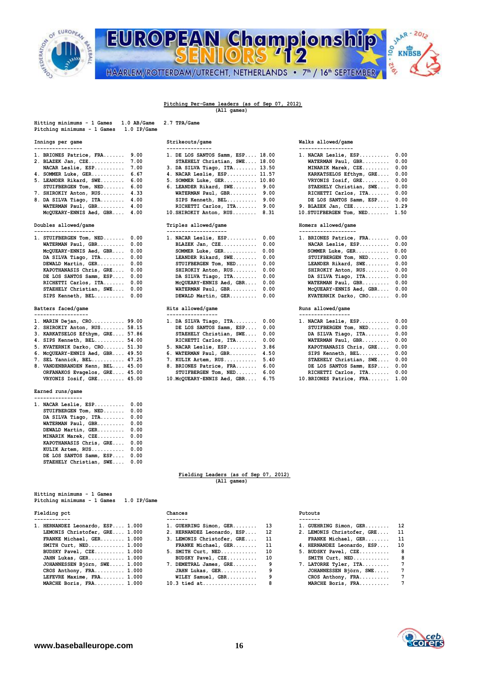

JAAR - 2012 **EUROPEAN Championship** oo **KNBSB** -216 HAARLEM/ROTTERDAM/UTRECHT, NETHERLANDS • 7<sup>th</sup> / 16<sup>th</sup> SEPTEMBER

### **Pitching Per-Game leaders (as of Sep 07, 2012) (All games)**

 **10. SHIROKIY Anton, RUS........ 8.31** 

**Hitting minimums - 1 Games 1.0 AB/Game 2.7 TPA/Game** 

| Hitting minimums - 1 Games  | $1.0$ AB/Game | 2.7 |
|-----------------------------|---------------|-----|
| Pitching minimums - 1 Games | 1.0 IP/Game   |     |

| ----------------             |                                  |                              |  |
|------------------------------|----------------------------------|------------------------------|--|
| 1. BRIONES Patrice, FRA 9.00 | 1. DE LOS SANTOS Samm, ESP 18.00 | 1. NACAR Leslie, ESP 0.00    |  |
| 2. BLAZEK Jan, CZE 7.00      | STAEHELY Christian, SWE 18.00    | WATERMAN Paul, GBR 0.00      |  |
| NACAR Leslie, ESP 7.00       | 3. DA SILVA Tiago, ITA 13.50     | MINARIK Marek, CZE 0.00      |  |
| 4. SOMMER Luke, GER 6.67     | 4. NACAR Leslie, ESP 11.57       | KARKATSELOS Efthym, GRE 0.00 |  |
| 5. LEANDER Rikard, SWE 6.00  | 5. SOMMER Luke, GER 10.80        | VRYONIS Iosif, GRE 0.00      |  |
| STUIFBERGEN Tom, NED 6.00    | 6. LEANDER Rikard, SWE $9.00$    | STAEHELY Christian, SWE 0.00 |  |
| 7. SHIROKIY Anton, RUS 4.33  | WATERMAN Paul, GBR 9.00          | RICHETTI Carlos, ITA 0.00    |  |
| 8. DA SILVA Tiago, ITA 4.00  | SIPS Kenneth, BEL 9.00           | DE LOS SANTOS Samm, ESP 0.00 |  |

**WATERMAN Paul, GBR............ 4.00 PICHETTI Carlos, ITA........... 9.00**<br>McQUEARY-ENNIS Aed, GBR..... 4.00 10.SHIROKIY Anton, RUS........ 8.31

| 1. STUIFBERGEN Tom, NED 0.00 | 1. NACAR Leslie, ESP 0.00 |      |
|------------------------------|---------------------------|------|
| WATERMAN Paul, GBR 0.00      | BLAZEK Jan, CZE 0.00      |      |
| McQUEARY-ENNIS Aed, GBR 0.00 | SOMMER Luke, GER $0.00$   |      |
| DA SILVA Tiago, ITA 0.00     | LEANDER Rikard, SWE 0.00  |      |
| DEWALD Martin, GER 0.00      | STUIFBERGEN Tom, NED      | 0.00 |
| KAPOTHANASIS Chris, GRE 0.00 | SHIROKIY Anton, RUS       | 0.00 |
| DE LOS SANTOS Samm, ESP 0.00 | DA SILVA Tiago, ITA       | 0.00 |
| RICHETTI Carlos, ITA 0.00    | MCQUEARY-ENNIS Aed, GBR   | 0.00 |
| STAEHELY Christian, SWE 0.00 | WATERMAN Paul, GBR        | 0.00 |
| SIPS Kenneth, BEL 0.00       | DEWALD Martin, GER 0.00   |      |
|                              |                           |      |

### **Batters faced/game Hits allowed/game Runs allowed/game**

| 1. MARIN Dejan, CRO 99.00        |  |
|----------------------------------|--|
| 2. SHIROKIY Anton, RUS 58.15     |  |
| 3. KARKATSELOS Efthym, GRE 57.86 |  |
| 4. SIPS Kenneth, BEL 54.00       |  |
| 5. KVATERNIK Darko, CRO 51.30    |  |
| 6. McQUEARY-ENNIS Aed, GBR 49.50 |  |
| 7. SEL Yannick, BEL 47.25        |  |
| 8. VANDENBRANDEN Kenn, BEL 45.00 |  |
| ORFANAKOS Evagelos, GRE 45.00    |  |
| VRYONIS Iosif, GRE 45.00         |  |
|                                  |  |

## **Earned runs/game**

| 1. NACAR Leslie, ESP    | 0.00 |
|-------------------------|------|
| STUIFBERGEN Tom, NED    | 0.00 |
| DA SILVA Tiago, ITA     | 0.00 |
| WATERMAN Paul, GBR      | 0.00 |
| DEWALD Martin, GER      | 0.00 |
| MINARIK Marek, CZE      | 0.00 |
| KAPOTHANASIS Chris, GRE | 0.00 |
| KULIK Artem, RUS        | 0.00 |
| DE LOS SANTOS Samm, ESP | 0.00 |
| STAEHELY Christian, SWE | 0.00 |
|                         |      |

| nicting minimums - i cames  |               |
|-----------------------------|---------------|
| Pitching minimums - 1 Games | $1.0$ IP/Game |

**Hitting minimums - 1 Games** 

## **Fielding pct Chances Chances Putouts Putouts**

| 1. HERNANDEZ Leonardo, ESP 1.000 | 1. GUEHRING Simon, GER 13     | 1. GUEHRING Simon, GER 12          |
|----------------------------------|-------------------------------|------------------------------------|
| LEMONIS Christofer, GRE 1.000    | 2. HERNANDEZ Leonardo, ESP 12 | 2. LEMONIS Christofer, GRE<br>- 11 |
| FRANKE Michael, GER 1.000        | 3. LEMONIS Christofer, GRE 11 | FRANKE Michael, GER<br>- 11        |
| SMITH Curt, NED 1.000            | FRANKE Michael, GER 11        | 4. HERNANDEZ Leonardo, ESP 10      |
| BUDSKY Pavel, CZE 1.000          | 5. SMITH Curt, NED 10         | 5. BUDSKY Pavel, CZE<br>- 8        |
| JAHN Lukas, GER 1.000            | BUDSKY Pavel, CZE 10          | SMITH $Curt, NED$ 8                |
| JOHANNESSEN Björn, SWE 1.000     | 7. DEMETRAL James, GRE 9      | - 7<br>7. LATORRE Tyler, ITA       |
| CROS Anthony, $FRA$ $1.000$      | JAHN Lukas, GER 9             | - 7<br>JOHANNESSEN Björn, SWE      |
| LEFEVRE Maxime, FRA 1.000        | WILEY Samuel, GBR 9           | CROS Anthony, FRA $7$              |
| MARCHE Boris, FRA 1.000          | 10.3 tied at 8                | MARCHE Boris, FRA 7                |

| 1.000 | 1. GUEHRING Simon, GER 13     |                | 1. GUEHRING Simon, GER 12     |     |
|-------|-------------------------------|----------------|-------------------------------|-----|
| 1.000 | 2. HERNANDEZ Leonardo, ESP 12 |                | 2. LEMONIS Christofer, GRE 11 |     |
| 1.000 | 3. LEMONIS Christofer, GRE 11 |                | FRANKE Michael, GER 11        |     |
| 1.000 | FRANKE Michael, GER 11        |                | 4. HERNANDEZ Leonardo, ESP 10 |     |
| 1.000 | 5. SMITH Curt, NED 10         |                | 5. BUDSKY Pavel, CZE          | - 8 |
| 1.000 | BUDSKY Pavel, CZE 10          |                | SMITH $Curt, NED$ 8           |     |
| 1.000 | 7. DEMETRAL James, GRE        | $\overline{9}$ | 7. LATORRE Tyler, ITA 7       |     |
| 1.000 | JAHN Lukas, GER 9             |                | JOHANNESSEN Björn, SWE        | -7  |
| 1.000 | WILEY Samuel, GBR             | 9              | CROS Anthony, FRA             | - 7 |
| 1.000 | $10.3$ tied at                | 8              | MARCHE Boris, FRA             | - 7 |
|       |                               |                |                               |     |

## **Innings per game Strikeouts/game Walks allowed/game**

| 1. NACAR Leslie, ESP    | 0.00 |
|-------------------------|------|
| WATERMAN Paul, GBR      | 0.00 |
| MINARIK Marek, CZE      | 0.00 |
| KARKATSELOS Efthym, GRE | 0.00 |
| VRYONIS Iosif, GRE      | 0.00 |
| STAEHELY Christian, SWE | 0.00 |
| RICHETTI Carlos, ITA    | 0.00 |
| DE LOS SANTOS Samm, ESP | 0.00 |
| 9. BLAZEK Jan, CZE      | 1.29 |
| 10.STUIFBERGEN Tom, NED | 1.50 |
|                         |      |

### **Doubles allowed/game Triples allowed/game Homers allowed/game -------------------- -------------------- -------------------**

| 1. BRIONES Patrice, FRA | 0.00 |
|-------------------------|------|
| NACAR Leslie, ESP       | 0.00 |
| SOMMER Luke, GER        | 0.00 |
| STUIFBERGEN Tom, NED    | 0.00 |
| LEANDER Rikard, SWE     | 0.00 |
| SHIROKIY Anton, RUS     | 0.00 |
| DA SILVA Tiago, ITA     | 0.00 |
| WATERMAN Paul, GBR      | 0.00 |
| McQUEARY-ENNIS Aed, GBR | 0.00 |
| KVATERNIK Darko, CRO    | 0.00 |
|                         |      |

## **------------------ ----------------- -----------------**

| 1. MARIN Dejan, CRO 99.00        |  | 1. DA SILVA Tiago, ITA $0.00$    |  | 1. NACAR Leslie, ESP 0.00     |  |
|----------------------------------|--|----------------------------------|--|-------------------------------|--|
| 2. SHIROKIY Anton, RUS 58.15     |  | DE LOS SANTOS Samm, ESP 0.00     |  | STUIFBERGEN Tom, NED 0.00     |  |
| 3. KARKATSELOS Efthym, GRE 57.86 |  | STAEHELY Christian, SWE 0.00     |  | DA SILVA Tiago, ITA 0.00      |  |
| 4. SIPS Kenneth, BEL 54.00       |  | RICHETTI Carlos, ITA 0.00        |  | WATERMAN Paul, GBR 0.00       |  |
| 5. KVATERNIK Darko, CRO 51.30    |  | 5. NACAR Leslie, ESP 3.86        |  | KAPOTHANASIS Chris, GRE 0.00  |  |
| 6. MCQUEARY-ENNIS Aed, GBR 49.50 |  | 6. WATERMAN Paul, GBR 4.50       |  | SIPS Kenneth, BEL 0.00        |  |
| 7. SEL Yannick, BEL 47.25        |  | 7. KULIK Artem, RUS 5.40         |  | STAEHELY Christian, SWE 0.00  |  |
| 8. VANDENBRANDEN Kenn, BEL 45.00 |  | 8. BRIONES Patrice, FRA 6.00     |  | DE LOS SANTOS Samm, ESP 0.00  |  |
| ORFANAKOS Evagelos, GRE 45.00    |  | STUIFBERGEN Tom, NED 6.00        |  | RICHETTI Carlos, ITA 0.00     |  |
| VRYONIS Iosif, GRE 45.00         |  | 10. McQUEARY-ENNIS Aed, GBR 6.75 |  | 10. BRIONES Patrice, FRA 1.00 |  |

### **Fielding Leaders (as of Sep 07, 2012) (All games)**

| . GUEHRING Simon, GER     | 12 |
|---------------------------|----|
| . LEMONIS Christofer, GRE | 11 |
| FRANKE Michael, GER       | 11 |
| . HERNANDEZ Leonardo, ESP | 10 |
| $RIDSKY$ Pavel $CZR$      | 8  |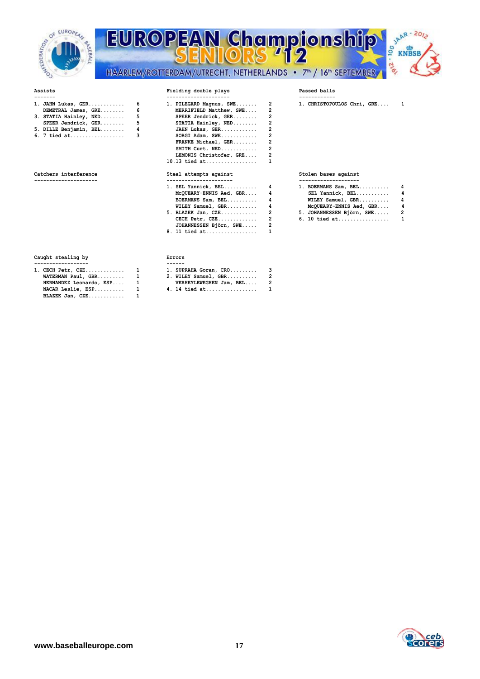

## **EUROPEAN Championship** 00 -216 HAARLEM/ROTTERDAM/UTRECHT, NETHERLANDS • 7<sup>th</sup> / 16<sup>th</sup> SEPTEMBER



## **Assists Fielding double plays Passed balls**

| 1. JAHN Lukas, GER 6     | 1. PILEGARD Magnus, SWE 2 | 1. CHRISTOPO |
|--------------------------|---------------------------|--------------|
| DEMETRAL James, GRE 6    | MERRIFIELD Matthew, SWE 2 |              |
| 3. STATIA Hainley, NED 5 | SPEER Jendrick, GER 2     |              |
| SPEER Jendrick, GER 5    | STATIA Hainley, $NED$ 2   |              |
| 5. DILLE Benjamin, BEL 4 |                           |              |
|                          | $SORGI$ Adam, $SWE$ 2     |              |

| .                     |  |  |  |  |  | . |  |  |  |  |  |
|-----------------------|--|--|--|--|--|---|--|--|--|--|--|
| --------------------- |  |  |  |  |  |   |  |  |  |  |  |
|                       |  |  |  |  |  |   |  |  |  |  |  |

| 1. JAHN Lukas, GER<br>$DEMETRAL$ James, $GRE$ | 6<br>6.     | 1. PILEGARD Magnus, SWE 2<br>MERRIFIELD Matthew, SWE |                | 1. CHRISTOPOULOS Chri, GRE                   | 1              |
|-----------------------------------------------|-------------|------------------------------------------------------|----------------|----------------------------------------------|----------------|
| 3. STATIA Hainley, NED                        | $5^{\circ}$ | SPEER Jendrick, GER                                  |                |                                              |                |
| SPEER Jendrick, GER                           | $5\degree$  | STATIA Hainley, NED                                  |                |                                              |                |
| 5. DILLE Benjamin, BEL                        |             | JAHN Lukas, GER                                      |                |                                              |                |
| 6. 7 tied at                                  | 3           | SORGI Adam, SWE                                      |                |                                              |                |
|                                               |             | FRANKE Michael, GER                                  |                |                                              |                |
|                                               |             | SMITH Curt, NED                                      |                |                                              |                |
|                                               |             | LEMONIS Christofer, GRE                              |                |                                              |                |
|                                               |             | $10.13$ tied at                                      |                |                                              |                |
| Catchers interference                         |             | Steal attempts against                               |                | Stolen bases against                         |                |
|                                               |             | -----------------------<br>$1.$ SEL Yannick, BEL $4$ |                | --------------------<br>1. BOERMANS Sam, BEL |                |
|                                               |             | McQUEARY-ENNIS Aed, GBR 4                            |                | SEL Yannick, BEL                             |                |
|                                               |             |                                                      |                | WILEY Samuel, GBR                            | 4              |
|                                               |             | WILEY Samuel, GBR                                    |                | McQUEARY-ENNIS Aed, GBR                      | 4              |
|                                               |             | 5. BLAZEK Jan, CZE                                   | $\overline{2}$ | 5. JOHANNESSEN Björn, SWE                    | $\overline{2}$ |
|                                               |             | $CECH$ $Petr$ , $CZE$                                |                | 6. 10 tied at                                | 1              |
|                                               |             | JOHANNESSEN Björn, SWE                               |                |                                              |                |
|                                               |             | 8. 11 tied at                                        |                |                                              |                |

| 1. BOERMANS Sam, BEL | 4 |
|----------------------|---|
| SEL Yannick, BEL     | 4 |
| WILEY Samuel, GBR    | 4 |
|                      |   |

- **5. BLAZEK Jan, CZE............ 2 5. JOHANNESSEN Björn, SWE..... 2**
- **6. 10 tied at.................**

## **Caught stealing by Errors**

| 1. CECH Petr, CZE       | 1 | 1. SUPR     |
|-------------------------|---|-------------|
| WATERMAN Paul, GBR      | 1 | 2. WILE     |
| HERNANDEZ Leonardo, ESP | 1 | <b>VERH</b> |
| NACAR Leslie, ESP       | 1 | 4. 14 $t$   |
| BLAZEK Jan, CZE         |   |             |
|                         |   |             |

| 1. CECH Petr, CZE        | $\mathbf{1}$ | 1. SUPRAHA Goran, CRO 3   |  |
|--------------------------|--------------|---------------------------|--|
| $WATERMAN$ Paul, GBR $1$ |              | 2. WILEY Samuel, GBR 2    |  |
| HERNANDEZ Leonardo, ESP  |              | VERHEYLEWEGHEN Jam, BEL 2 |  |
| NACAR Leslie, ESP        |              | 4. 14 tied at 1           |  |

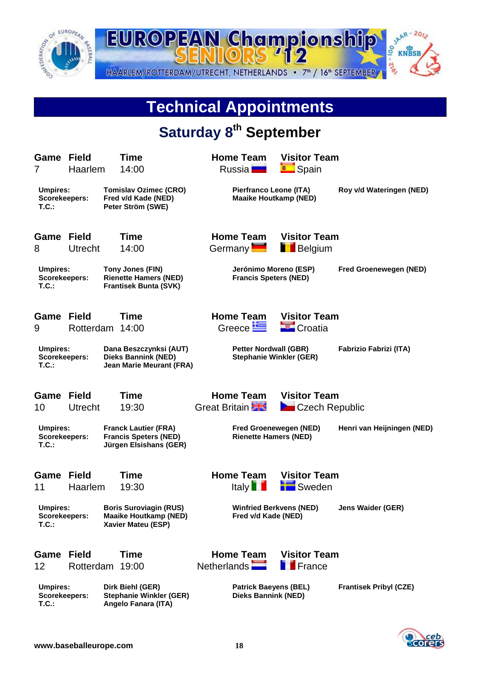

**T.C.: Angelo Fanara (ITA)**

 $Stephanie$  Winkler (GER)

12 Rotterdam 19:00 Netherlands **France** 

**Umpires: Dirk Biehl (GER) Patrick Baeyens (BEL) Frantisek Pribyl (CZE)**